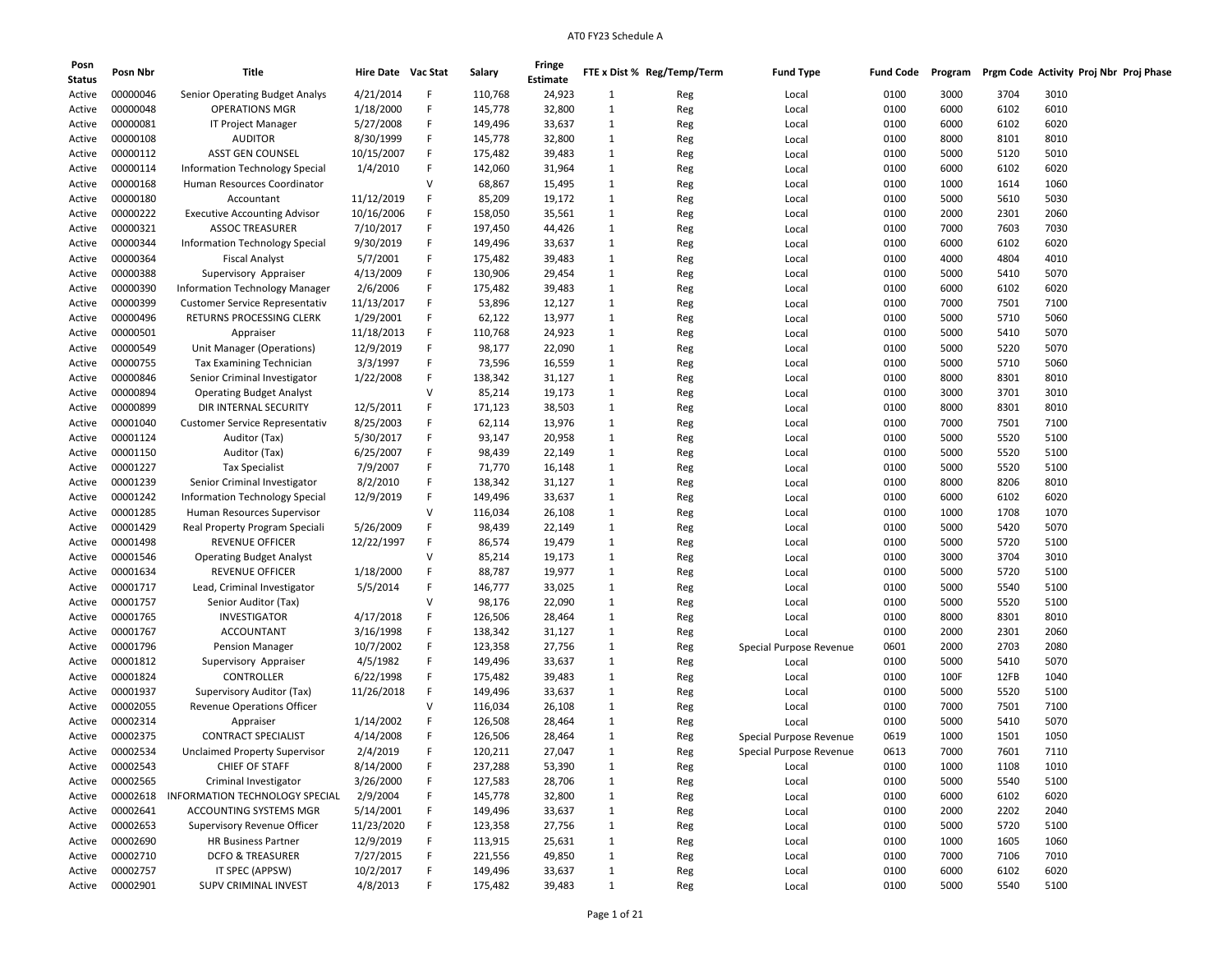| Posn<br><b>Status</b> | Posn Nbr | Title                                 | Hire Date Vac Stat |   | Salary  | Fringe<br>Estimate |                              | FTE x Dist % Reg/Temp/Term | <b>Fund Type</b>        | Fund Code | Program |      | Prgm Code Activity Proj Nbr Proj Phase |
|-----------------------|----------|---------------------------------------|--------------------|---|---------|--------------------|------------------------------|----------------------------|-------------------------|-----------|---------|------|----------------------------------------|
| Active                | 00000046 | Senior Operating Budget Analys        | 4/21/2014          | F | 110,768 | 24,923             | 1                            | Reg                        | Local                   | 0100      | 3000    | 3704 | 3010                                   |
| Active                | 00000048 | <b>OPERATIONS MGR</b>                 | 1/18/2000          | F | 145,778 | 32,800             | 1                            | Reg                        | Local                   | 0100      | 6000    | 6102 | 6010                                   |
| Active                | 00000081 | IT Project Manager                    | 5/27/2008          | F | 149,496 | 33,637             | 1                            | Reg                        | Local                   | 0100      | 6000    | 6102 | 6020                                   |
| Active                | 00000108 | <b>AUDITOR</b>                        | 8/30/1999          | F | 145,778 | 32,800             | 1                            | Reg                        | Local                   | 0100      | 8000    | 8101 | 8010                                   |
| Active                | 00000112 | ASST GEN COUNSEL                      | 10/15/2007         | F | 175,482 | 39,483             | 1                            | Reg                        | Local                   | 0100      | 5000    | 5120 | 5010                                   |
| Active                | 00000114 | <b>Information Technology Special</b> | 1/4/2010           | F | 142,060 | 31,964             | $\mathbf{1}$                 | Reg                        | Local                   | 0100      | 6000    | 6102 | 6020                                   |
| Active                | 00000168 | Human Resources Coordinator           |                    | v | 68,867  | 15,495             | $\mathbf{1}$                 | Reg                        | Local                   | 0100      | 1000    | 1614 | 1060                                   |
| Active                | 00000180 | Accountant                            | 11/12/2019         | F | 85,209  | 19,172             | 1                            |                            | Local                   | 0100      | 5000    | 5610 | 5030                                   |
| Active                | 00000222 | <b>Executive Accounting Advisor</b>   | 10/16/2006         | F | 158,050 | 35,561             | $\mathbf{1}$                 | Reg                        |                         | 0100      | 2000    | 2301 | 2060                                   |
|                       | 00000321 | <b>ASSOC TREASURER</b>                | 7/10/2017          | F | 197,450 | 44,426             | 1                            | Reg                        | Local                   | 0100      | 7000    | 7603 | 7030                                   |
| Active                | 00000344 | <b>Information Technology Special</b> | 9/30/2019          | F |         |                    |                              | Reg                        | Local                   | 0100      | 6000    |      |                                        |
| Active                |          | <b>Fiscal Analyst</b>                 |                    | F | 149,496 | 33,637             | $\mathbf{1}$<br>$\mathbf{1}$ | Reg                        | Local                   |           |         | 6102 | 6020                                   |
| Active                | 00000364 |                                       | 5/7/2001           |   | 175,482 | 39,483             |                              | Reg                        | Local                   | 0100      | 4000    | 4804 | 4010                                   |
| Active                | 00000388 | Supervisory Appraiser                 | 4/13/2009          | F | 130,906 | 29,454             | $\mathbf{1}$                 | Reg                        | Local                   | 0100      | 5000    | 5410 | 5070                                   |
| Active                | 00000390 | <b>Information Technology Manager</b> | 2/6/2006           | F | 175,482 | 39,483             | 1                            | Reg                        | Local                   | 0100      | 6000    | 6102 | 6020                                   |
| Active                | 00000399 | <b>Customer Service Representativ</b> | 11/13/2017         | F | 53,896  | 12,127             | 1                            | Reg                        | Local                   | 0100      | 7000    | 7501 | 7100                                   |
| Active                | 00000496 | RETURNS PROCESSING CLERK              | 1/29/2001          | F | 62,122  | 13,977             | 1                            | Reg                        | Local                   | 0100      | 5000    | 5710 | 5060                                   |
| Active                | 00000501 | Appraiser                             | 11/18/2013         | F | 110,768 | 24,923             | $\mathbf{1}$                 | Reg                        | Local                   | 0100      | 5000    | 5410 | 5070                                   |
| Active                | 00000549 | Unit Manager (Operations)             | 12/9/2019          | F | 98,177  | 22,090             | $\mathbf{1}$                 | Reg                        | Local                   | 0100      | 5000    | 5220 | 5070                                   |
| Active                | 00000755 | Tax Examining Technician              | 3/3/1997           | F | 73,596  | 16,559             | $\mathbf{1}$                 | Reg                        | Local                   | 0100      | 5000    | 5710 | 5060                                   |
| Active                | 00000846 | Senior Criminal Investigator          | 1/22/2008          | F | 138,342 | 31,127             | 1                            | Reg                        | Local                   | 0100      | 8000    | 8301 | 8010                                   |
| Active                | 00000894 | <b>Operating Budget Analyst</b>       |                    | v | 85,214  | 19,173             | $\mathbf{1}$                 | Reg                        | Local                   | 0100      | 3000    | 3701 | 3010                                   |
| Active                | 00000899 | DIR INTERNAL SECURITY                 | 12/5/2011          | F | 171,123 | 38,503             | $\mathbf{1}$                 | Reg                        | Local                   | 0100      | 8000    | 8301 | 8010                                   |
| Active                | 00001040 | <b>Customer Service Representativ</b> | 8/25/2003          | F | 62,114  | 13,976             | $\mathbf{1}$                 | Reg                        | Local                   | 0100      | 7000    | 7501 | 7100                                   |
| Active                | 00001124 | Auditor (Tax)                         | 5/30/2017          | F | 93,147  | 20,958             | $\mathbf{1}$                 | Reg                        | Local                   | 0100      | 5000    | 5520 | 5100                                   |
| Active                | 00001150 | Auditor (Tax)                         | 6/25/2007          | F | 98,439  | 22,149             | 1                            | Reg                        | Local                   | 0100      | 5000    | 5520 | 5100                                   |
| Active                | 00001227 | <b>Tax Specialist</b>                 | 7/9/2007           | F | 71,770  | 16,148             | $\mathbf{1}$                 | Reg                        | Local                   | 0100      | 5000    | 5520 | 5100                                   |
| Active                | 00001239 | Senior Criminal Investigator          | 8/2/2010           | F | 138,342 | 31,127             | $\mathbf{1}$                 | Reg                        | Local                   | 0100      | 8000    | 8206 | 8010                                   |
| Active                | 00001242 | <b>Information Technology Special</b> | 12/9/2019          | F | 149,496 | 33,637             | $\mathbf{1}$                 | Reg                        | Local                   | 0100      | 6000    | 6102 | 6020                                   |
| Active                | 00001285 | Human Resources Supervisor            |                    | v | 116,034 | 26,108             | 1                            | Reg                        | Local                   | 0100      | 1000    | 1708 | 1070                                   |
| Active                | 00001429 | Real Property Program Speciali        | 5/26/2009          | F | 98,439  | 22,149             | 1                            | Reg                        | Local                   | 0100      | 5000    | 5420 | 5070                                   |
| Active                | 00001498 | <b>REVENUE OFFICER</b>                | 12/22/1997         | F | 86,574  | 19,479             | 1                            | Reg                        | Local                   | 0100      | 5000    | 5720 | 5100                                   |
| Active                | 00001546 | <b>Operating Budget Analyst</b>       |                    | v | 85,214  | 19,173             | $\mathbf{1}$                 | Reg                        | Local                   | 0100      | 3000    | 3704 | 3010                                   |
| Active                | 00001634 | <b>REVENUE OFFICER</b>                | 1/18/2000          | F | 88,787  | 19,977             | 1                            | Reg                        | Local                   | 0100      | 5000    | 5720 | 5100                                   |
| Active                | 00001717 | Lead, Criminal Investigator           | 5/5/2014           | F | 146,777 | 33,025             | 1                            | Reg                        | Local                   | 0100      | 5000    | 5540 | 5100                                   |
| Active                | 00001757 | Senior Auditor (Tax)                  |                    | v | 98,176  | 22,090             | 1                            | Reg                        | Local                   | 0100      | 5000    | 5520 | 5100                                   |
| Active                | 00001765 | <b>INVESTIGATOR</b>                   | 4/17/2018          | F | 126,506 | 28,464             | $\mathbf{1}$                 | Reg                        | Local                   | 0100      | 8000    | 8301 | 8010                                   |
| Active                | 00001767 | <b>ACCOUNTANT</b>                     | 3/16/1998          | F | 138,342 | 31,127             | $\mathbf{1}$                 | Reg                        | Local                   | 0100      | 2000    | 2301 | 2060                                   |
| Active                | 00001796 | <b>Pension Manager</b>                | 10/7/2002          | F | 123,358 | 27,756             | 1                            | Reg                        | Special Purpose Revenue | 0601      | 2000    | 2703 | 2080                                   |
| Active                | 00001812 | Supervisory Appraiser                 | 4/5/1982           | F | 149,496 | 33,637             | 1                            | Reg                        | Local                   | 0100      | 5000    | 5410 | 5070                                   |
| Active                | 00001824 | CONTROLLER                            | 6/22/1998          | F | 175,482 | 39,483             | 1                            | Reg                        | Local                   | 0100      | 100F    | 12FB | 1040                                   |
| Active                | 00001937 | Supervisory Auditor (Tax)             | 11/26/2018         | F | 149,496 | 33,637             | 1                            | Reg                        | Local                   | 0100      | 5000    | 5520 | 5100                                   |
| Active                | 00002055 | <b>Revenue Operations Officer</b>     |                    | v | 116,034 | 26,108             | 1                            | Reg                        | Local                   | 0100      | 7000    | 7501 | 7100                                   |
| Active                | 00002314 | Appraiser                             | 1/14/2002          | F | 126,508 | 28,464             | 1                            | Reg                        | Local                   | 0100      | 5000    | 5410 | 5070                                   |
| Active                | 00002375 | <b>CONTRACT SPECIALIST</b>            | 4/14/2008          | F | 126,506 | 28,464             | $\mathbf{1}$                 | Reg                        | Special Purpose Revenue | 0619      | 1000    | 1501 | 1050                                   |
| Active                | 00002534 | <b>Unclaimed Property Supervisor</b>  | 2/4/2019           | F | 120,211 | 27,047             | 1                            | Reg                        | Special Purpose Revenue | 0613      | 7000    | 7601 | 7110                                   |
| Active                | 00002543 | CHIEF OF STAFF                        | 8/14/2000          | F | 237,288 | 53,390             | $\mathbf{1}$                 | Reg                        | Local                   | 0100      | 1000    | 1108 | 1010                                   |
| Active                | 00002565 | Criminal Investigator                 | 3/26/2000          | F | 127,583 | 28,706             | $\mathbf{1}$                 | Reg                        | Local                   | 0100      | 5000    | 5540 | 5100                                   |
| Active                | 00002618 | INFORMATION TECHNOLOGY SPECIAL        | 2/9/2004           | F | 145,778 | 32,800             | $\mathbf{1}$                 | Reg                        | Local                   | 0100      | 6000    | 6102 | 6020                                   |
| Active                | 00002641 | ACCOUNTING SYSTEMS MGR                | 5/14/2001          | F | 149,496 | 33,637             | $\mathbf{1}$                 | Reg                        | Local                   | 0100      | 2000    | 2202 | 2040                                   |
| Active                | 00002653 | Supervisory Revenue Officer           | 11/23/2020         | F | 123,358 | 27,756             | $\mathbf{1}$                 | Reg                        | Local                   | 0100      | 5000    | 5720 | 5100                                   |
| Active                | 00002690 | <b>HR Business Partner</b>            | 12/9/2019          | F | 113,915 | 25,631             | $\mathbf{1}$                 | Reg                        | Local                   | 0100      | 1000    | 1605 | 1060                                   |
| Active                | 00002710 | <b>DCFO &amp; TREASURER</b>           | 7/27/2015          | F | 221,556 | 49,850             | $\mathbf{1}$                 | Reg                        | Local                   | 0100      | 7000    | 7106 | 7010                                   |
| Active                | 00002757 | IT SPEC (APPSW)                       | 10/2/2017          | F | 149,496 | 33,637             | $\mathbf{1}$                 | Reg                        | Local                   | 0100      | 6000    | 6102 | 6020                                   |
| Active                | 00002901 | <b>SUPV CRIMINAL INVEST</b>           | 4/8/2013           | F | 175,482 | 39,483             | $\mathbf{1}$                 | Reg                        | Local                   | 0100      | 5000    | 5540 | 5100                                   |
|                       |          |                                       |                    |   |         |                    |                              |                            |                         |           |         |      |                                        |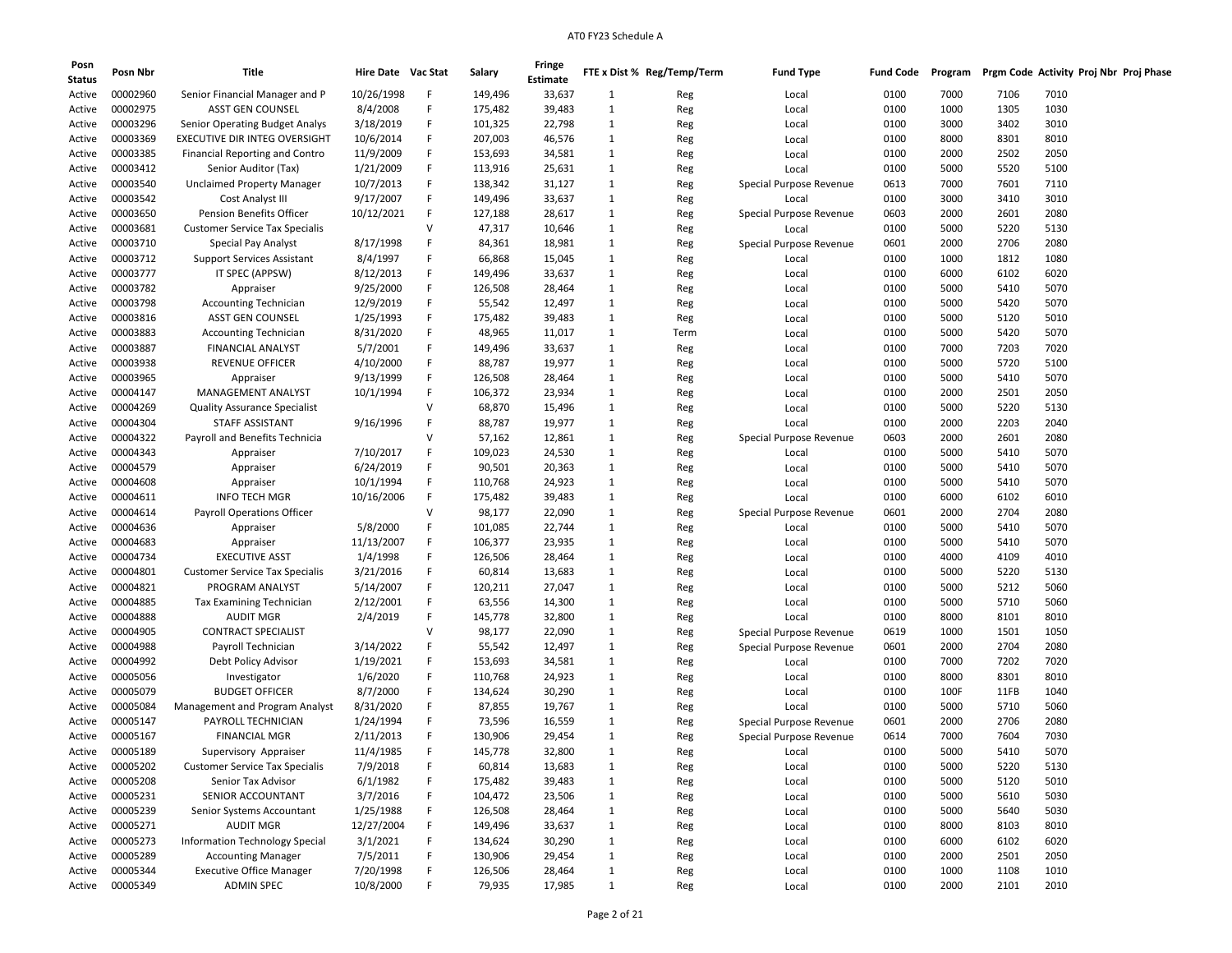| Posn<br><b>Status</b> | Posn Nbr | Title                                 | Hire Date Vac Stat     |        | Salary  | Fringe<br>Estimate |                   | FTE x Dist % Reg/Temp/Term | <b>Fund Type</b>        | <b>Fund Code</b> | Program |              | Prgm Code Activity Proj Nbr Proj Phase |
|-----------------------|----------|---------------------------------------|------------------------|--------|---------|--------------------|-------------------|----------------------------|-------------------------|------------------|---------|--------------|----------------------------------------|
| Active                | 00002960 | Senior Financial Manager and P        | 10/26/1998             | F      | 149,496 | 33,637             | 1                 | Reg                        | Local                   | 0100             | 7000    | 7106         | 7010                                   |
| Active                | 00002975 | <b>ASST GEN COUNSEL</b>               | 8/4/2008               | F      | 175,482 | 39,483             | 1                 | Reg                        | Local                   | 0100             | 1000    | 1305         | 1030                                   |
| Active                | 00003296 | Senior Operating Budget Analys        | 3/18/2019              | F      | 101,325 | 22,798             | $\mathbf{1}$      | Reg                        | Local                   | 0100             | 3000    | 3402         | 3010                                   |
| Active                | 00003369 | EXECUTIVE DIR INTEG OVERSIGHT         | 10/6/2014              | F      | 207,003 | 46,576             | 1                 | Reg                        | Local                   | 0100             | 8000    | 8301         | 8010                                   |
| Active                | 00003385 | <b>Financial Reporting and Contro</b> | 11/9/2009              |        | 153,693 | 34,581             | $\mathbf{1}$      | Reg                        | Local                   | 0100             | 2000    | 2502         | 2050                                   |
| Active                | 00003412 | Senior Auditor (Tax)                  | 1/21/2009              | F      | 113,916 | 25,631             | 1                 | Reg                        | Local                   | 0100             | 5000    | 5520         | 5100                                   |
| Active                | 00003540 | <b>Unclaimed Property Manager</b>     | 10/7/2013              | F      | 138,342 | 31,127             | 1                 | Reg                        | Special Purpose Revenue | 0613             | 7000    | 7601         | 7110                                   |
| Active                | 00003542 | Cost Analyst III                      | 9/17/2007              | F      | 149,496 | 33,637             | 1                 | Reg                        | Local                   | 0100             | 3000    | 3410         | 3010                                   |
| Active                | 00003650 | <b>Pension Benefits Officer</b>       | 10/12/2021             | F      | 127,188 | 28,617             | 1                 | Reg                        | Special Purpose Revenue | 0603             | 2000    | 2601         | 2080                                   |
| Active                | 00003681 | <b>Customer Service Tax Specialis</b> |                        | v      | 47,317  | 10,646             | $\mathbf{1}$      | Reg                        | Local                   | 0100             | 5000    | 5220         | 5130                                   |
| Active                | 00003710 | <b>Special Pay Analyst</b>            | 8/17/1998              | F      | 84,361  | 18,981             | $\mathbf{1}$      | Reg                        | Special Purpose Revenue | 0601             | 2000    | 2706         | 2080                                   |
| Active                | 00003712 | <b>Support Services Assistant</b>     | 8/4/1997               | F      | 66,868  | 15,045             | 1                 | Reg                        | Local                   | 0100             | 1000    | 1812         | 1080                                   |
| Active                | 00003777 | IT SPEC (APPSW)                       | 8/12/2013              | F      | 149,496 | 33,637             | $\mathbf{1}$      | Reg                        | Local                   | 0100             | 6000    | 6102         | 6020                                   |
| Active                | 00003782 | Appraiser                             | 9/25/2000              | F      | 126,508 | 28,464             | 1                 | Reg                        | Local                   | 0100             | 5000    | 5410         | 5070                                   |
| Active                | 00003798 | <b>Accounting Technician</b>          | 12/9/2019              | F      | 55,542  | 12,497             | 1                 | Reg                        | Local                   | 0100             | 5000    | 5420         | 5070                                   |
| Active                | 00003816 | <b>ASST GEN COUNSEL</b>               | 1/25/1993              | F      | 175,482 | 39,483             | 1                 | Reg                        | Local                   | 0100             | 5000    | 5120         | 5010                                   |
| Active                | 00003883 | <b>Accounting Technician</b>          | 8/31/2020              | F      | 48,965  | 11,017             | 1                 | Term                       | Local                   | 0100             | 5000    | 5420         | 5070                                   |
| Active                | 00003887 | <b>FINANCIAL ANALYST</b>              | 5/7/2001               | F      | 149,496 | 33,637             | 1                 | Reg                        | Local                   | 0100             | 7000    | 7203         | 7020                                   |
| Active                | 00003938 | <b>REVENUE OFFICER</b>                | 4/10/2000              | F      | 88,787  | 19,977             | $\mathbf{1}$      | Reg                        | Local                   | 0100             | 5000    | 5720         | 5100                                   |
| Active                | 00003965 | Appraiser                             | 9/13/1999              | F      | 126,508 | 28,464             | 1                 | Reg                        | Local                   | 0100             | 5000    | 5410         | 5070                                   |
| Active                | 00004147 | MANAGEMENT ANALYST                    | 10/1/1994              | F      | 106,372 | 23,934             | $\mathbf{1}$      | Reg                        | Local                   | 0100             | 2000    | 2501         | 2050                                   |
| Active                | 00004269 | <b>Quality Assurance Specialist</b>   |                        | v      | 68,870  | 15,496             | $\mathbf{1}$      | Reg                        | Local                   | 0100             | 5000    | 5220         | 5130                                   |
| Active                | 00004304 | STAFF ASSISTANT                       | 9/16/1996              | F      | 88,787  | 19,977             | 1                 | Reg                        | Local                   | 0100             | 2000    | 2203         | 2040                                   |
| Active                | 00004322 | Payroll and Benefits Technicia        |                        | v      | 57,162  | 12,861             | 1                 | Reg                        | Special Purpose Revenue | 0603             | 2000    | 2601         | 2080                                   |
| Active                | 00004343 | Appraiser                             | 7/10/2017              | F      | 109,023 | 24,530             | $\mathbf{1}$      | Reg                        | Local                   | 0100             | 5000    | 5410         | 5070                                   |
| Active                | 00004579 | Appraiser                             | 6/24/2019              | F      | 90,501  | 20,363             | $\mathbf{1}$      | Reg                        | Local                   | 0100             | 5000    | 5410         | 5070                                   |
| Active                | 00004608 | Appraiser                             | 10/1/1994              | F      | 110,768 | 24,923             | $\mathbf{1}$      | Reg                        | Local                   | 0100             | 5000    | 5410         | 5070                                   |
| Active                | 00004611 | <b>INFO TECH MGR</b>                  | 10/16/2006             | F      | 175,482 | 39,483             | $\mathbf{1}$      |                            | Local                   | 0100             | 6000    | 6102         | 6010                                   |
| Active                | 00004614 | <b>Payroll Operations Officer</b>     |                        | v      | 98,177  | 22,090             | $\mathbf{1}$      | Reg<br>Reg                 | Special Purpose Revenue | 0601             | 2000    | 2704         | 2080                                   |
| Active                | 00004636 | Appraiser                             | 5/8/2000               | F      | 101,085 | 22,744             | 1                 |                            | Local                   | 0100             | 5000    | 5410         | 5070                                   |
| Active                | 00004683 | Appraiser                             | 11/13/2007             | F      | 106,377 | 23,935             | 1                 | Reg                        | Local                   | 0100             | 5000    | 5410         | 5070                                   |
|                       | 00004734 | <b>EXECUTIVE ASST</b>                 | 1/4/1998               | F      | 126,506 |                    | $\mathbf{1}$      | Reg                        |                         | 0100             | 4000    | 4109         | 4010                                   |
| Active                | 00004801 | <b>Customer Service Tax Specialis</b> | 3/21/2016              | F      | 60,814  | 28,464<br>13,683   | 1                 | Reg                        | Local<br>Local          | 0100             | 5000    | 5220         | 5130                                   |
| Active                | 00004821 | PROGRAM ANALYST                       | 5/14/2007              | F      |         | 27,047             | 1                 | Reg                        |                         | 0100             | 5000    | 5212         | 5060                                   |
| Active                |          |                                       |                        | F      | 120,211 |                    | 1                 | Reg                        | Local                   |                  |         |              | 5060                                   |
| Active                | 00004885 | Tax Examining Technician              | 2/12/2001              | F      | 63,556  | 14,300             |                   | Reg                        | Local                   | 0100             | 5000    | 5710         |                                        |
| Active                | 00004888 | <b>AUDIT MGR</b>                      | 2/4/2019               | v      | 145,778 | 32,800             | 1                 | Reg                        | Local                   | 0100             | 8000    | 8101         | 8010                                   |
| Active                | 00004905 | <b>CONTRACT SPECIALIST</b>            |                        | F      | 98,177  | 22,090             | 1                 | Reg                        | Special Purpose Revenue | 0619             | 1000    | 1501         | 1050                                   |
| Active                | 00004988 | Payroll Technician                    | 3/14/2022<br>1/19/2021 | F      | 55,542  | 12,497             | $\mathbf{1}$<br>1 | Reg                        | Special Purpose Revenue | 0601             | 2000    | 2704<br>7202 | 2080<br>7020                           |
| Active                | 00004992 | Debt Policy Advisor                   |                        | F      | 153,693 | 34,581             |                   | Reg                        | Local                   | 0100             | 7000    |              |                                        |
| Active                | 00005056 | Investigator                          | 1/6/2020               |        | 110,768 | 24,923             | 1                 | Reg                        | Local                   | 0100             | 8000    | 8301         | 8010                                   |
| Active                | 00005079 | <b>BUDGET OFFICER</b>                 | 8/7/2000               | F<br>F | 134,624 | 30,290             | 1                 | Reg                        | Local                   | 0100             | 100F    | 11FB         | 1040                                   |
| Active                | 00005084 | Management and Program Analyst        | 8/31/2020              | F      | 87,855  | 19,767             | 1                 | Reg                        | Local                   | 0100             | 5000    | 5710         | 5060                                   |
| Active                | 00005147 | PAYROLL TECHNICIAN                    | 1/24/1994              | F      | 73,596  | 16,559             | 1                 | Reg                        | Special Purpose Revenue | 0601             | 2000    | 2706         | 2080                                   |
| Active                | 00005167 | <b>FINANCIAL MGR</b>                  | 2/11/2013              |        | 130,906 | 29,454             | $\mathbf{1}$      | Reg                        | Special Purpose Revenue | 0614             | 7000    | 7604         | 7030                                   |
| Active                | 00005189 | Supervisory Appraiser                 | 11/4/1985              |        | 145,778 | 32,800             | 1                 | Reg                        | Local                   | 0100             | 5000    | 5410         | 5070                                   |
| Active                | 00005202 | <b>Customer Service Tax Specialis</b> | 7/9/2018               | F      | 60,814  | 13,683             | $\mathbf{1}$      | Reg                        | Local                   | 0100             | 5000    | 5220         | 5130                                   |
| Active                | 00005208 | Senior Tax Advisor                    | 6/1/1982               | F      | 175,482 | 39,483             | $\mathbf{1}$      | Reg                        | Local                   | 0100             | 5000    | 5120         | 5010                                   |
| Active                | 00005231 | SENIOR ACCOUNTANT                     | 3/7/2016               | F      | 104,472 | 23,506             | $\mathbf{1}$      | Reg                        | Local                   | 0100             | 5000    | 5610         | 5030                                   |
| Active                | 00005239 | Senior Systems Accountant             | 1/25/1988              | F      | 126,508 | 28,464             | $\mathbf{1}$      | Reg                        | Local                   | 0100             | 5000    | 5640         | 5030                                   |
| Active                | 00005271 | <b>AUDIT MGR</b>                      | 12/27/2004             | F      | 149,496 | 33,637             | $\mathbf{1}$      | Reg                        | Local                   | 0100             | 8000    | 8103         | 8010                                   |
| Active                | 00005273 | <b>Information Technology Special</b> | 3/1/2021               | F      | 134,624 | 30,290             | $\mathbf{1}$      | Reg                        | Local                   | 0100             | 6000    | 6102         | 6020                                   |
| Active                | 00005289 | <b>Accounting Manager</b>             | 7/5/2011               | F      | 130,906 | 29,454             | $\mathbf{1}$      | Reg                        | Local                   | 0100             | 2000    | 2501         | 2050                                   |
| Active                | 00005344 | <b>Executive Office Manager</b>       | 7/20/1998              | F      | 126,506 | 28,464             | $\mathbf{1}$      | Reg                        | Local                   | 0100             | 1000    | 1108         | 1010                                   |
| Active                | 00005349 | <b>ADMIN SPEC</b>                     | 10/8/2000              | F      | 79,935  | 17,985             | $\mathbf{1}$      | Reg                        | Local                   | 0100             | 2000    | 2101         | 2010                                   |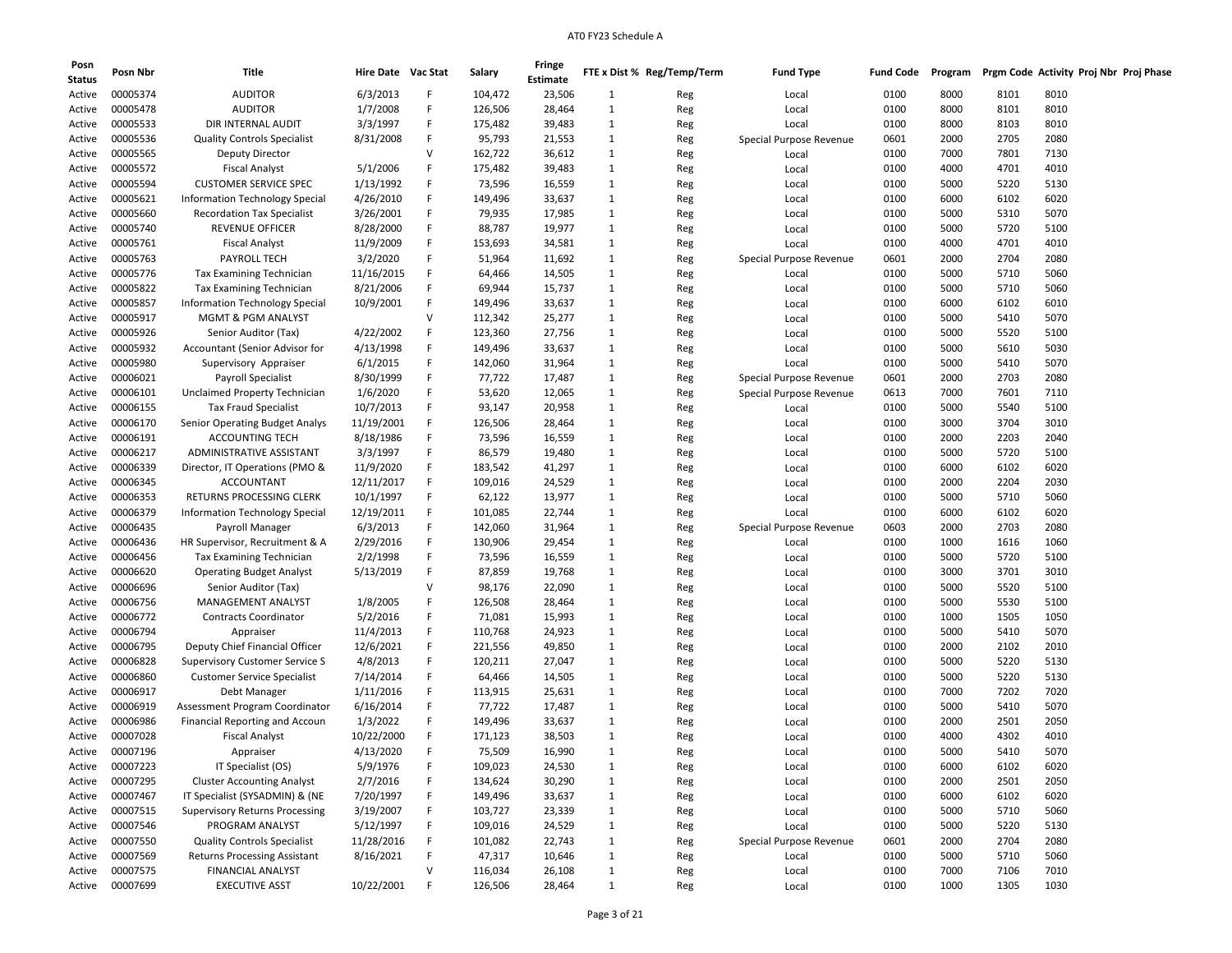| Posn<br><b>Status</b> | Posn Nbr             | Title                                                    | Hire Date Vac Stat |        | Salary  | Fringe<br>Estimate |              | FTE x Dist % Reg/Temp/Term | <b>Fund Type</b>        | <b>Fund Code</b> | Program | Prgm Code Activity Proj Nbr Proj Phase |      |  |
|-----------------------|----------------------|----------------------------------------------------------|--------------------|--------|---------|--------------------|--------------|----------------------------|-------------------------|------------------|---------|----------------------------------------|------|--|
| Active                | 00005374             | <b>AUDITOR</b>                                           | 6/3/2013           | F      | 104,472 | 23,506             | 1            | Reg                        | Local                   | 0100             | 8000    | 8101                                   | 8010 |  |
| Active                | 00005478             | <b>AUDITOR</b>                                           | 1/7/2008           | F      | 126,506 | 28,464             | 1            | Reg                        | Local                   | 0100             | 8000    | 8101                                   | 8010 |  |
| Active                | 00005533             | DIR INTERNAL AUDIT                                       | 3/3/1997           | F      | 175,482 | 39,483             | 1            | Reg                        | Local                   | 0100             | 8000    | 8103                                   | 8010 |  |
| Active                | 00005536             | <b>Quality Controls Specialist</b>                       | 8/31/2008          | F      | 95,793  | 21,553             | 1            | Reg                        | Special Purpose Revenue | 0601             | 2000    | 2705                                   | 2080 |  |
| Active                | 00005565             | Deputy Director                                          |                    | $\vee$ | 162,722 | 36,612             | 1            | Reg                        | Local                   | 0100             | 7000    | 7801                                   | 7130 |  |
| Active                | 00005572             | <b>Fiscal Analyst</b>                                    | 5/1/2006           | F      | 175,482 | 39,483             | 1            | Reg                        | Local                   | 0100             | 4000    | 4701                                   | 4010 |  |
| Active                | 00005594             | <b>CUSTOMER SERVICE SPEC</b>                             | 1/13/1992          | F      | 73,596  | 16,559             | 1            | Reg                        | Local                   | 0100             | 5000    | 5220                                   | 5130 |  |
| Active                | 00005621             | Information Technology Special                           | 4/26/2010          | F      | 149,496 | 33,637             | 1            | Reg                        | Local                   | 0100             | 6000    | 6102                                   | 6020 |  |
| Active                | 00005660             | <b>Recordation Tax Specialist</b>                        | 3/26/2001          | F      | 79,935  | 17,985             | 1            | Reg                        | Local                   | 0100             | 5000    | 5310                                   | 5070 |  |
| Active                | 00005740             | REVENUE OFFICER                                          | 8/28/2000          | F      | 88,787  | 19,977             | 1            | Reg                        | Local                   | 0100             | 5000    | 5720                                   | 5100 |  |
| Active                | 00005761             | <b>Fiscal Analyst</b>                                    | 11/9/2009          | F      | 153,693 | 34,581             | 1            | Reg                        | Local                   | 0100             | 4000    | 4701                                   | 4010 |  |
| Active                | 00005763             | <b>PAYROLL TECH</b>                                      | 3/2/2020           | F      | 51,964  | 11,692             | 1            | Reg                        | Special Purpose Revenue | 0601             | 2000    | 2704                                   | 2080 |  |
| Active                | 00005776             | Tax Examining Technician                                 | 11/16/2015         | F      | 64,466  | 14,505             | 1            | Reg                        | Local                   | 0100             | 5000    | 5710                                   | 5060 |  |
| Active                | 00005822             | Tax Examining Technician                                 | 8/21/2006          | F      | 69,944  | 15,737             | 1            | Reg                        | Local                   | 0100             | 5000    | 5710                                   | 5060 |  |
| Active                | 00005857             | Information Technology Special                           | 10/9/2001          | F      | 149,496 | 33,637             | 1            | Reg                        | Local                   | 0100             | 6000    | 6102                                   | 6010 |  |
| Active                | 00005917             | <b>MGMT &amp; PGM ANALYST</b>                            |                    | v      | 112,342 | 25,277             | 1            | Reg                        | Local                   | 0100             | 5000    | 5410                                   | 5070 |  |
| Active                | 00005926             | Senior Auditor (Tax)                                     | 4/22/2002          | F      | 123,360 | 27,756             | 1            | Reg                        | Local                   | 0100             | 5000    | 5520                                   | 5100 |  |
| Active                | 00005932             | Accountant (Senior Advisor for                           | 4/13/1998          | F      | 149,496 | 33,637             | 1            | Reg                        | Local                   | 0100             | 5000    | 5610                                   | 5030 |  |
| Active                | 00005980             | Supervisory Appraiser                                    | 6/1/2015           | F      | 142,060 | 31,964             | 1            | Reg                        | Local                   | 0100             | 5000    | 5410                                   | 5070 |  |
|                       | 00006021             | <b>Payroll Specialist</b>                                | 8/30/1999          | F      | 77,722  | 17,487             | 1            |                            |                         | 0601             | 2000    | 2703                                   | 2080 |  |
| Active                | 00006101             |                                                          | 1/6/2020           | F      | 53,620  |                    | 1            | Reg                        | Special Purpose Revenue | 0613             | 7000    |                                        | 7110 |  |
| Active                | 00006155             | Unclaimed Property Technician                            |                    | F      | 93,147  | 12,065             | 1            | Reg                        | Special Purpose Revenue | 0100             | 5000    | 7601<br>5540                           | 5100 |  |
| Active                |                      | <b>Tax Fraud Specialist</b>                              | 10/7/2013          | F      |         | 20,958             |              | Reg                        | Local                   |                  | 3000    |                                        |      |  |
| Active                | 00006170<br>00006191 | Senior Operating Budget Analys<br><b>ACCOUNTING TECH</b> | 11/19/2001         | F      | 126,506 | 28,464             | 1            | Reg                        | Local                   | 0100             |         | 3704                                   | 3010 |  |
| Active                |                      |                                                          | 8/18/1986          | F      | 73,596  | 16,559             | 1            | Reg                        | Local                   | 0100             | 2000    | 2203                                   | 2040 |  |
| Active                | 00006217             | ADMINISTRATIVE ASSISTANT                                 | 3/3/1997           |        | 86,579  | 19,480             | 1            | Reg                        | Local                   | 0100             | 5000    | 5720                                   | 5100 |  |
| Active                | 00006339             | Director, IT Operations (PMO &                           | 11/9/2020          | F<br>F | 183,542 | 41,297             | 1            | Reg                        | Local                   | 0100             | 6000    | 6102                                   | 6020 |  |
| Active                | 00006345             | <b>ACCOUNTANT</b>                                        | 12/11/2017         |        | 109,016 | 24,529             | 1            | Reg                        | Local                   | 0100             | 2000    | 2204                                   | 2030 |  |
| Active                | 00006353             | RETURNS PROCESSING CLERK                                 | 10/1/1997          | F      | 62,122  | 13,977             | 1            | Reg                        | Local                   | 0100             | 5000    | 5710                                   | 5060 |  |
| Active                | 00006379             | Information Technology Special                           | 12/19/2011         | F      | 101,085 | 22,744             | 1            | Reg                        | Local                   | 0100             | 6000    | 6102                                   | 6020 |  |
| Active                | 00006435             | Payroll Manager                                          | 6/3/2013           | F      | 142,060 | 31,964             | 1            | Reg                        | Special Purpose Revenue | 0603             | 2000    | 2703                                   | 2080 |  |
| Active                | 00006436             | HR Supervisor, Recruitment & A                           | 2/29/2016          | F      | 130,906 | 29,454             | 1            | Reg                        | Local                   | 0100             | 1000    | 1616                                   | 1060 |  |
| Active                | 00006456             | Tax Examining Technician                                 | 2/2/1998           | F      | 73,596  | 16,559             | 1            | Reg                        | Local                   | 0100             | 5000    | 5720                                   | 5100 |  |
| Active                | 00006620             | <b>Operating Budget Analyst</b>                          | 5/13/2019          | F      | 87,859  | 19,768             | 1            | Reg                        | Local                   | 0100             | 3000    | 3701                                   | 3010 |  |
| Active                | 00006696             | Senior Auditor (Tax)                                     |                    | V      | 98,176  | 22,090             | 1            | Reg                        | Local                   | 0100             | 5000    | 5520                                   | 5100 |  |
| Active                | 00006756             | MANAGEMENT ANALYST                                       | 1/8/2005           | F      | 126,508 | 28,464             | 1            | Reg                        | Local                   | 0100             | 5000    | 5530                                   | 5100 |  |
| Active                | 00006772             | <b>Contracts Coordinator</b>                             | 5/2/2016           | F      | 71,081  | 15,993             | 1            | Reg                        | Local                   | 0100             | 1000    | 1505                                   | 1050 |  |
| Active                | 00006794             | Appraiser                                                | 11/4/2013          | F      | 110,768 | 24,923             | 1            | Reg                        | Local                   | 0100             | 5000    | 5410                                   | 5070 |  |
| Active                | 00006795             | Deputy Chief Financial Officer                           | 12/6/2021          | F      | 221,556 | 49,850             | 1            | Reg                        | Local                   | 0100             | 2000    | 2102                                   | 2010 |  |
| Active                | 00006828             | <b>Supervisory Customer Service S</b>                    | 4/8/2013           | F      | 120,211 | 27,047             | 1            | Reg                        | Local                   | 0100             | 5000    | 5220                                   | 5130 |  |
| Active                | 00006860             | <b>Customer Service Specialist</b>                       | 7/14/2014          | F      | 64,466  | 14,505             | 1            | Reg                        | Local                   | 0100             | 5000    | 5220                                   | 5130 |  |
| Active                | 00006917             | Debt Manager                                             | 1/11/2016          | F      | 113,915 | 25,631             | 1            | Reg                        | Local                   | 0100             | 7000    | 7202                                   | 7020 |  |
| Active                | 00006919             | Assessment Program Coordinator                           | 6/16/2014          | F      | 77,722  | 17,487             | 1            | Reg                        | Local                   | 0100             | 5000    | 5410                                   | 5070 |  |
| Active                | 00006986             | <b>Financial Reporting and Accoun</b>                    | 1/3/2022           | F      | 149,496 | 33,637             | 1            | Reg                        | Local                   | 0100             | 2000    | 2501                                   | 2050 |  |
| Active                | 00007028             | <b>Fiscal Analyst</b>                                    | 10/22/2000         | F      | 171,123 | 38,503             | 1            | Reg                        | Local                   | 0100             | 4000    | 4302                                   | 4010 |  |
| Active                | 00007196             | Appraiser                                                | 4/13/2020          | F      | 75,509  | 16,990             | 1            | Reg                        | Local                   | 0100             | 5000    | 5410                                   | 5070 |  |
| Active                | 00007223             | IT Specialist (OS)                                       | 5/9/1976           | F      | 109,023 | 24,530             | $\mathbf{1}$ | Reg                        | Local                   | 0100             | 6000    | 6102                                   | 6020 |  |
| Active                | 00007295             | <b>Cluster Accounting Analyst</b>                        | 2/7/2016           | F      | 134,624 | 30,290             | $\mathbf{1}$ | Reg                        | Local                   | 0100             | 2000    | 2501                                   | 2050 |  |
| Active                | 00007467             | IT Specialist (SYSADMIN) & (NE                           | 7/20/1997          | F      | 149,496 | 33,637             | $\mathbf{1}$ | Reg                        | Local                   | 0100             | 6000    | 6102                                   | 6020 |  |
| Active                | 00007515             | <b>Supervisory Returns Processing</b>                    | 3/19/2007          | F      | 103,727 | 23,339             | $\mathbf{1}$ | Reg                        | Local                   | 0100             | 5000    | 5710                                   | 5060 |  |
| Active                | 00007546             | PROGRAM ANALYST                                          | 5/12/1997          | F      | 109,016 | 24,529             | $\mathbf{1}$ | Reg                        | Local                   | 0100             | 5000    | 5220                                   | 5130 |  |
| Active                | 00007550             | <b>Quality Controls Specialist</b>                       | 11/28/2016         | F      | 101,082 | 22,743             | $\mathbf{1}$ | Reg                        | Special Purpose Revenue | 0601             | 2000    | 2704                                   | 2080 |  |
| Active                | 00007569             | <b>Returns Processing Assistant</b>                      | 8/16/2021          | F      | 47,317  | 10,646             | $\mathbf{1}$ | Reg                        | Local                   | 0100             | 5000    | 5710                                   | 5060 |  |
| Active                | 00007575             | <b>FINANCIAL ANALYST</b>                                 |                    | $\vee$ | 116,034 | 26,108             | $\mathbf{1}$ | Reg                        | Local                   | 0100             | 7000    | 7106                                   | 7010 |  |
|                       | Active 00007699      | <b>EXECUTIVE ASST</b>                                    | 10/22/2001         | F      | 126,506 | 28,464             | $\mathbf{1}$ | Reg                        | Local                   | 0100             | 1000    | 1305                                   | 1030 |  |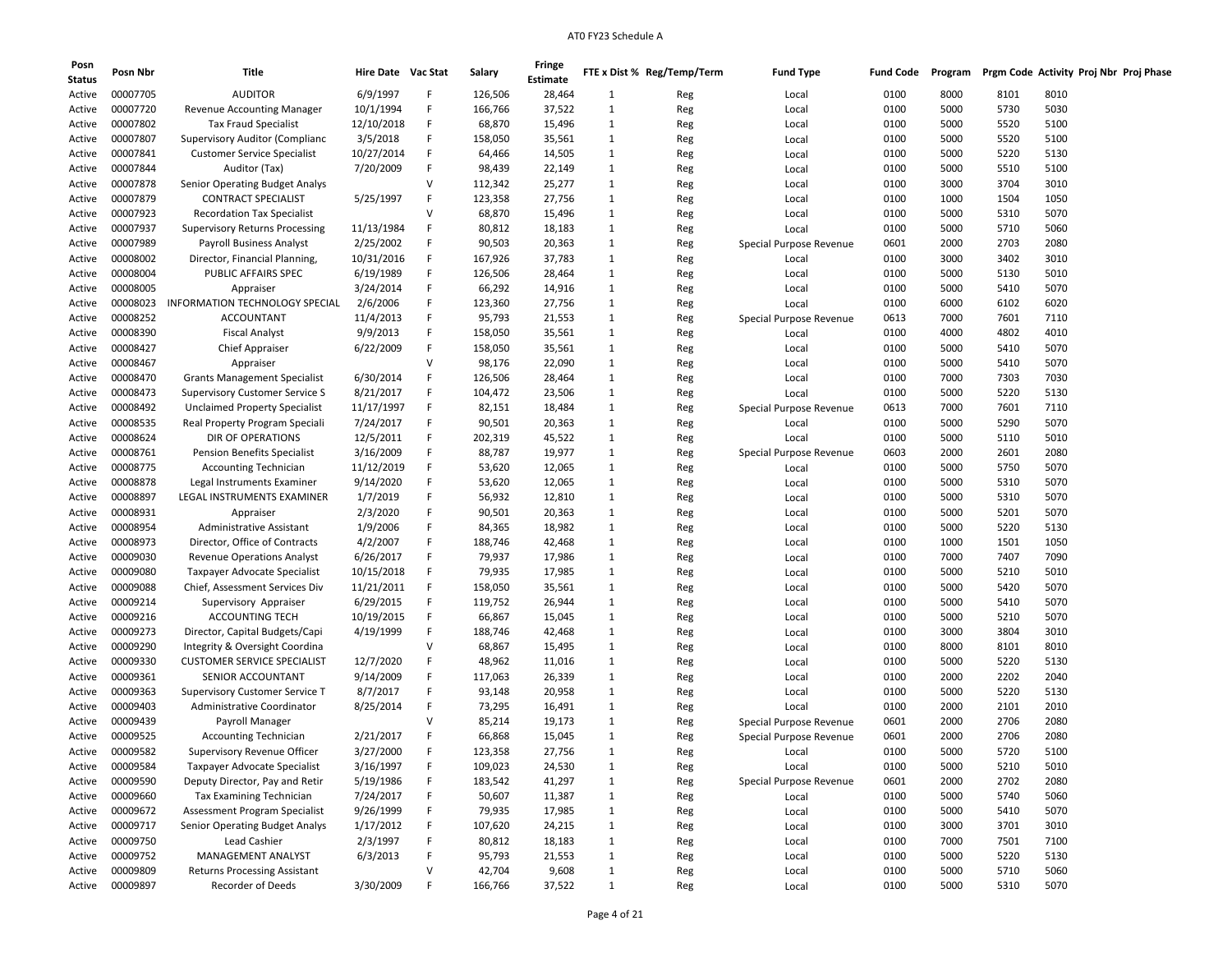| Posn<br><b>Status</b> | Posn Nbr | Title                                 | Hire Date Vac Stat |        | Salary  | Fringe<br>Estimate |              | FTE x Dist % Reg/Temp/Term | <b>Fund Type</b>        | <b>Fund Code</b> | Program |      |      | Prgm Code Activity Proj Nbr Proj Phase |  |
|-----------------------|----------|---------------------------------------|--------------------|--------|---------|--------------------|--------------|----------------------------|-------------------------|------------------|---------|------|------|----------------------------------------|--|
| Active                | 00007705 | <b>AUDITOR</b>                        | 6/9/1997           | F      | 126,506 | 28,464             | 1            | Reg                        | Local                   | 0100             | 8000    | 8101 | 8010 |                                        |  |
| Active                | 00007720 | <b>Revenue Accounting Manager</b>     | 10/1/1994          | F      | 166,766 | 37,522             | 1            | Reg                        | Local                   | 0100             | 5000    | 5730 | 5030 |                                        |  |
| Active                | 00007802 | <b>Tax Fraud Specialist</b>           | 12/10/2018         | F      | 68,870  | 15,496             | 1            | Reg                        | Local                   | 0100             | 5000    | 5520 | 5100 |                                        |  |
| Active                | 00007807 | Supervisory Auditor (Complianc        | 3/5/2018           | F      | 158,050 | 35,561             | 1            | Reg                        | Local                   | 0100             | 5000    | 5520 | 5100 |                                        |  |
| Active                | 00007841 | <b>Customer Service Specialist</b>    | 10/27/2014         | F      | 64,466  | 14,505             | 1            | Reg                        | Local                   | 0100             | 5000    | 5220 | 5130 |                                        |  |
| Active                | 00007844 | Auditor (Tax)                         | 7/20/2009          | F      | 98,439  | 22,149             | 1            | Reg                        | Local                   | 0100             | 5000    | 5510 | 5100 |                                        |  |
| Active                | 00007878 | Senior Operating Budget Analys        |                    | V      | 112,342 | 25,277             | 1            | Reg                        | Local                   | 0100             | 3000    | 3704 | 3010 |                                        |  |
| Active                | 00007879 | <b>CONTRACT SPECIALIST</b>            | 5/25/1997          | F      | 123,358 | 27,756             | 1            | Reg                        | Local                   | 0100             | 1000    | 1504 | 1050 |                                        |  |
| Active                | 00007923 | <b>Recordation Tax Specialist</b>     |                    | $\vee$ | 68,870  | 15,496             | 1            | Reg                        | Local                   | 0100             | 5000    | 5310 | 5070 |                                        |  |
| Active                | 00007937 | <b>Supervisory Returns Processing</b> | 11/13/1984         | F      | 80,812  | 18,183             | 1            | Reg                        | Local                   | 0100             | 5000    | 5710 | 5060 |                                        |  |
| Active                | 00007989 | <b>Payroll Business Analyst</b>       | 2/25/2002          | F      | 90,503  | 20,363             | 1            | Reg                        | Special Purpose Revenue | 0601             | 2000    | 2703 | 2080 |                                        |  |
| Active                | 00008002 | Director, Financial Planning,         | 10/31/2016         | F      | 167,926 | 37,783             | 1            | Reg                        | Local                   | 0100             | 3000    | 3402 | 3010 |                                        |  |
| Active                | 00008004 | PUBLIC AFFAIRS SPEC                   | 6/19/1989          | F      | 126,506 | 28,464             | 1            | Reg                        | Local                   | 0100             | 5000    | 5130 | 5010 |                                        |  |
| Active                | 00008005 | Appraiser                             | 3/24/2014          | F      | 66,292  | 14,916             | 1            | Reg                        | Local                   | 0100             | 5000    | 5410 | 5070 |                                        |  |
| Active                | 00008023 | INFORMATION TECHNOLOGY SPECIAL        | 2/6/2006           | F      | 123,360 | 27,756             | 1            | Reg                        | Local                   | 0100             | 6000    | 6102 | 6020 |                                        |  |
| Active                | 00008252 | <b>ACCOUNTANT</b>                     | 11/4/2013          | F      | 95,793  | 21,553             | 1            | Reg                        | Special Purpose Revenue | 0613             | 7000    | 7601 | 7110 |                                        |  |
| Active                | 00008390 | <b>Fiscal Analyst</b>                 | 9/9/2013           | F      | 158,050 | 35,561             | 1            | Reg                        | Local                   | 0100             | 4000    | 4802 | 4010 |                                        |  |
| Active                | 00008427 | <b>Chief Appraiser</b>                | 6/22/2009          | F      | 158,050 | 35,561             | 1            | Reg                        | Local                   | 0100             | 5000    | 5410 | 5070 |                                        |  |
| Active                | 00008467 | Appraiser                             |                    | V      | 98,176  | 22,090             | 1            | Reg                        | Local                   | 0100             | 5000    | 5410 | 5070 |                                        |  |
| Active                | 00008470 | <b>Grants Management Specialist</b>   | 6/30/2014          | F      | 126,506 | 28,464             | 1            | Reg                        | Local                   | 0100             | 7000    | 7303 | 7030 |                                        |  |
| Active                | 00008473 | <b>Supervisory Customer Service S</b> | 8/21/2017          | F      | 104,472 | 23,506             | 1            | Reg                        | Local                   | 0100             | 5000    | 5220 | 5130 |                                        |  |
| Active                | 00008492 | <b>Unclaimed Property Specialist</b>  | 11/17/1997         | F      | 82,151  | 18,484             | 1            | Reg                        | Special Purpose Revenue | 0613             | 7000    | 7601 | 7110 |                                        |  |
| Active                | 00008535 | Real Property Program Speciali        | 7/24/2017          | F      | 90,501  | 20,363             | $\mathbf{1}$ | Reg                        | Local                   | 0100             | 5000    | 5290 | 5070 |                                        |  |
| Active                | 00008624 | DIR OF OPERATIONS                     | 12/5/2011          | F      | 202,319 | 45,522             | 1            | Reg                        | Local                   | 0100             | 5000    | 5110 | 5010 |                                        |  |
| Active                | 00008761 | <b>Pension Benefits Specialist</b>    | 3/16/2009          | F      | 88,787  | 19,977             | 1            | Reg                        | Special Purpose Revenue | 0603             | 2000    | 2601 | 2080 |                                        |  |
| Active                | 00008775 | <b>Accounting Technician</b>          | 11/12/2019         | F      | 53,620  | 12,065             | 1            | Reg                        | Local                   | 0100             | 5000    | 5750 | 5070 |                                        |  |
| Active                | 00008878 | Legal Instruments Examiner            | 9/14/2020          | F      | 53,620  | 12,065             | 1            | Reg                        | Local                   | 0100             | 5000    | 5310 | 5070 |                                        |  |
| Active                | 00008897 | LEGAL INSTRUMENTS EXAMINER            | 1/7/2019           | F      | 56,932  | 12,810             | 1            | Reg                        | Local                   | 0100             | 5000    | 5310 | 5070 |                                        |  |
| Active                | 00008931 | Appraiser                             | 2/3/2020           | F      | 90,501  | 20,363             | 1            | Reg                        | Local                   | 0100             | 5000    | 5201 | 5070 |                                        |  |
| Active                | 00008954 | Administrative Assistant              | 1/9/2006           | F      | 84,365  | 18,982             | 1            | Reg                        | Local                   | 0100             | 5000    | 5220 | 5130 |                                        |  |
| Active                | 00008973 | Director, Office of Contracts         | 4/2/2007           | F      | 188,746 | 42,468             | 1            | Reg                        | Local                   | 0100             | 1000    | 1501 | 1050 |                                        |  |
| Active                | 00009030 | <b>Revenue Operations Analyst</b>     | 6/26/2017          | F      | 79,937  | 17,986             | 1            | Reg                        | Local                   | 0100             | 7000    | 7407 | 7090 |                                        |  |
| Active                | 00009080 | Taxpayer Advocate Specialist          | 10/15/2018         | F      | 79,935  | 17,985             | 1            | Reg                        | Local                   | 0100             | 5000    | 5210 | 5010 |                                        |  |
| Active                | 00009088 | Chief, Assessment Services Div        | 11/21/2011         | F      | 158,050 | 35,561             | 1            | Reg                        | Local                   | 0100             | 5000    | 5420 | 5070 |                                        |  |
| Active                | 00009214 | Supervisory Appraiser                 | 6/29/2015          | F      | 119,752 | 26,944             | 1            | Reg                        | Local                   | 0100             | 5000    | 5410 | 5070 |                                        |  |
| Active                | 00009216 | <b>ACCOUNTING TECH</b>                | 10/19/2015         | F      | 66,867  | 15,045             | 1            | Reg                        | Local                   | 0100             | 5000    | 5210 | 5070 |                                        |  |
| Active                | 00009273 | Director, Capital Budgets/Capi        | 4/19/1999          | F      | 188,746 | 42,468             | 1            | Reg                        | Local                   | 0100             | 3000    | 3804 | 3010 |                                        |  |
| Active                | 00009290 | Integrity & Oversight Coordina        |                    | $\vee$ | 68,867  | 15,495             | 1            | Reg                        | Local                   | 0100             | 8000    | 8101 | 8010 |                                        |  |
| Active                | 00009330 | <b>CUSTOMER SERVICE SPECIALIST</b>    | 12/7/2020          | F      | 48,962  | 11,016             | 1            | Reg                        | Local                   | 0100             | 5000    | 5220 | 5130 |                                        |  |
| Active                | 00009361 | SENIOR ACCOUNTANT                     | 9/14/2009          | F      | 117,063 | 26,339             | 1            | Reg                        | Local                   | 0100             | 2000    | 2202 | 2040 |                                        |  |
| Active                | 00009363 | <b>Supervisory Customer Service T</b> | 8/7/2017           | F      | 93,148  | 20,958             | 1            | Reg                        | Local                   | 0100             | 5000    | 5220 | 5130 |                                        |  |
| Active                | 00009403 | Administrative Coordinator            | 8/25/2014          | F      | 73,295  | 16,491             | 1            | Reg                        | Local                   | 0100             | 2000    | 2101 | 2010 |                                        |  |
| Active                | 00009439 | Payroll Manager                       |                    | $\vee$ | 85,214  | 19,173             | 1            | Reg                        | Special Purpose Revenue | 0601             | 2000    | 2706 | 2080 |                                        |  |
| Active                | 00009525 | <b>Accounting Technician</b>          | 2/21/2017          | F      | 66,868  | 15,045             | $\mathbf{1}$ | Reg                        | Special Purpose Revenue | 0601             | 2000    | 2706 | 2080 |                                        |  |
| Active                | 00009582 | Supervisory Revenue Officer           | 3/27/2000          | F      | 123,358 | 27,756             | 1            | Reg                        | Local                   | 0100             | 5000    | 5720 | 5100 |                                        |  |
| Active                | 00009584 | Taxpayer Advocate Specialist          | 3/16/1997          | F      | 109,023 | 24,530             | $\mathbf{1}$ | Reg                        | Local                   | 0100             | 5000    | 5210 | 5010 |                                        |  |
| Active                | 00009590 | Deputy Director, Pay and Retir        | 5/19/1986          | F      | 183,542 | 41,297             | $\mathbf{1}$ | Reg                        | Special Purpose Revenue | 0601             | 2000    | 2702 | 2080 |                                        |  |
| Active                | 00009660 | Tax Examining Technician              | 7/24/2017          | F      | 50,607  | 11,387             | $\mathbf{1}$ | Reg                        | Local                   | 0100             | 5000    | 5740 | 5060 |                                        |  |
| Active                | 00009672 | Assessment Program Specialist         | 9/26/1999          | F      | 79,935  | 17,985             | $\mathbf{1}$ | Reg                        | Local                   | 0100             | 5000    | 5410 | 5070 |                                        |  |
| Active                | 00009717 | Senior Operating Budget Analys        | 1/17/2012          | F      | 107,620 | 24,215             | $\mathbf{1}$ | Reg                        | Local                   | 0100             | 3000    | 3701 | 3010 |                                        |  |
| Active                | 00009750 | Lead Cashier                          | 2/3/1997           | F      | 80,812  | 18,183             | $\mathbf{1}$ | Reg                        | Local                   | 0100             | 7000    | 7501 | 7100 |                                        |  |
| Active                | 00009752 | MANAGEMENT ANALYST                    | 6/3/2013           | F      | 95,793  | 21,553             | 1            | Reg                        | Local                   | 0100             | 5000    | 5220 | 5130 |                                        |  |
| Active                | 00009809 | <b>Returns Processing Assistant</b>   |                    | $\vee$ | 42,704  | 9,608              | $\mathbf{1}$ | Reg                        | Local                   | 0100             | 5000    | 5710 | 5060 |                                        |  |
| Active                | 00009897 | Recorder of Deeds                     | 3/30/2009          | F      | 166,766 | 37,522             | 1            | Reg                        | Local                   | 0100             | 5000    | 5310 | 5070 |                                        |  |
|                       |          |                                       |                    |        |         |                    |              |                            |                         |                  |         |      |      |                                        |  |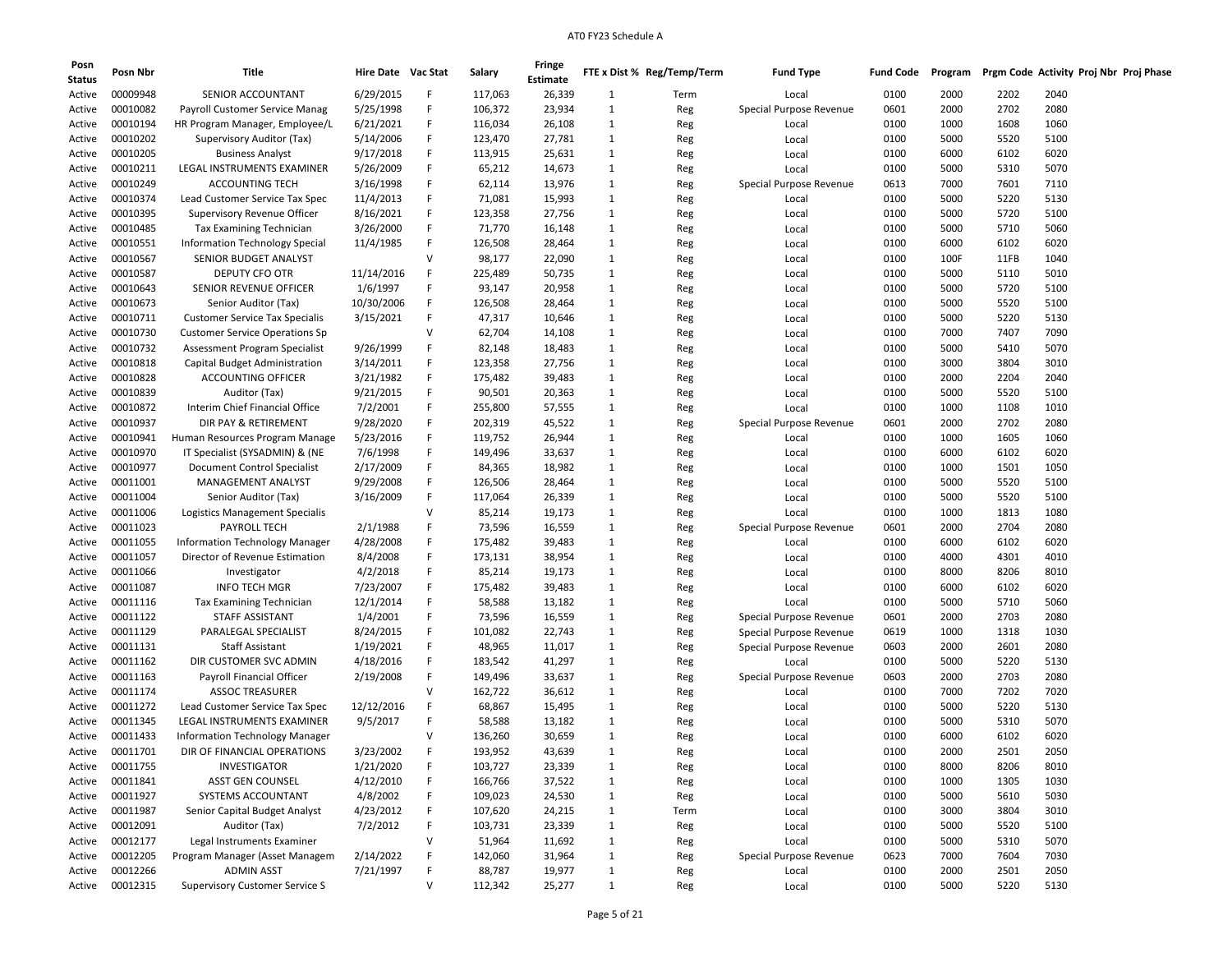| Posn<br><b>Status</b> | Posn Nbr             | Title                                 | Hire Date Vac Stat    |              | Salary             | Fringe<br><b>Estimate</b> |                   | FTE x Dist % Reg/Temp/Term | <b>Fund Type</b>                 | <b>Fund Code</b> | Program      | Prgm Code Activity Proj Nbr Proj Phase |              |  |
|-----------------------|----------------------|---------------------------------------|-----------------------|--------------|--------------------|---------------------------|-------------------|----------------------------|----------------------------------|------------------|--------------|----------------------------------------|--------------|--|
| Active                | 00009948             | SENIOR ACCOUNTANT                     | 6/29/2015             | F            | 117,063            | 26,339                    | $\mathbf{1}$      | Term                       | Local                            | 0100             | 2000         | 2202                                   | 2040         |  |
| Active                | 00010082             | Payroll Customer Service Manag        | 5/25/1998             | F            | 106,372            | 23,934                    | $\mathbf{1}$      | Reg                        | Special Purpose Revenue          | 0601             | 2000         | 2702                                   | 2080         |  |
| Active                | 00010194             | HR Program Manager, Employee/L        | 6/21/2021             | F            | 116,034            | 26,108                    | 1                 | Reg                        | Local                            | 0100             | 1000         | 1608                                   | 1060         |  |
| Active                | 00010202             | Supervisory Auditor (Tax)             | 5/14/2006             | F            | 123,470            | 27,781                    | 1                 | Reg                        | Local                            | 0100             | 5000         | 5520                                   | 5100         |  |
| Active                | 00010205             | <b>Business Analyst</b>               | 9/17/2018             | F            | 113,915            | 25,631                    | $\mathbf{1}$      | Reg                        | Local                            | 0100             | 6000         | 6102                                   | 6020         |  |
| Active                | 00010211             | LEGAL INSTRUMENTS EXAMINER            | 5/26/2009             | F            | 65,212             | 14,673                    | $\mathbf{1}$      | Reg                        | Local                            | 0100             | 5000         | 5310                                   | 5070         |  |
| Active                | 00010249             | <b>ACCOUNTING TECH</b>                | 3/16/1998             |              | 62,114             | 13,976                    | $\mathbf{1}$      | Reg                        | Special Purpose Revenue          | 0613             | 7000         | 7601                                   | 7110         |  |
| Active                | 00010374             | Lead Customer Service Tax Spec        | 11/4/2013             | F            | 71,081             | 15,993                    | $\mathbf{1}$      | Reg                        | Local                            | 0100             | 5000         | 5220                                   | 5130         |  |
| Active                | 00010395             | Supervisory Revenue Officer           | 8/16/2021             |              | 123,358            | 27,756                    | 1                 | Reg                        | Local                            | 0100             | 5000         | 5720                                   | 5100         |  |
| Active                | 00010485             | Tax Examining Technician              | 3/26/2000             | F            | 71,770             | 16,148                    | $\mathbf{1}$      | Reg                        | Local                            | 0100             | 5000         | 5710                                   | 5060         |  |
| Active                | 00010551             | Information Technology Special        | 11/4/1985             | F            | 126,508            | 28,464                    | $\mathbf{1}$      | Reg                        | Local                            | 0100             | 6000         | 6102                                   | 6020         |  |
| Active                | 00010567             | SENIOR BUDGET ANALYST                 |                       | $\vee$       | 98,177             | 22,090                    | $\mathbf{1}$      | Reg                        | Local                            | 0100             | 100F         | 11FB                                   | 1040         |  |
| Active                | 00010587             | DEPUTY CFO OTR                        | 11/14/2016            | F            | 225,489            | 50,735                    | $\mathbf{1}$      | Reg                        | Local                            | 0100             | 5000         | 5110                                   | 5010         |  |
| Active                | 00010643             | SENIOR REVENUE OFFICER                | 1/6/1997              |              | 93,147             | 20,958                    | $\mathbf{1}$      | Reg                        | Local                            | 0100             | 5000         | 5720                                   | 5100         |  |
| Active                | 00010673             | Senior Auditor (Tax)                  | 10/30/2006            | F            | 126,508            | 28,464                    | $\mathbf{1}$      | Reg                        | Local                            | 0100             | 5000         | 5520                                   | 5100         |  |
| Active                | 00010711             | <b>Customer Service Tax Specialis</b> | 3/15/2021             | F            | 47,317             | 10,646                    | $\mathbf{1}$      | Reg                        | Local                            | 0100             | 5000         | 5220                                   | 5130         |  |
| Active                | 00010730             | <b>Customer Service Operations Sp</b> |                       | v            | 62,704             | 14,108                    | $\mathbf{1}$      | Reg                        | Local                            | 0100             | 7000         | 7407                                   | 7090         |  |
| Active                | 00010732             | Assessment Program Specialist         | 9/26/1999             | F            | 82,148             | 18,483                    | $\mathbf{1}$      | Reg                        | Local                            | 0100             | 5000         | 5410                                   | 5070         |  |
| Active                | 00010818             | Capital Budget Administration         | 3/14/2011             |              | 123,358            | 27,756                    | 1                 | Reg                        | Local                            | 0100             | 3000         | 3804                                   | 3010         |  |
| Active                | 00010828             | <b>ACCOUNTING OFFICER</b>             | 3/21/1982             | F            | 175,482            | 39,483                    | $\mathbf{1}$      | Reg                        | Local                            | 0100             | 2000         | 2204                                   | 2040         |  |
| Active                | 00010839             | Auditor (Tax)                         | 9/21/2015             | F            | 90,501             | 20,363                    | $\mathbf{1}$      | Reg                        | Local                            | 0100             | 5000         | 5520                                   | 5100         |  |
|                       | 00010872             | Interim Chief Financial Office        | 7/2/2001              |              | 255,800            |                           | $\mathbf{1}$      |                            |                                  | 0100             | 1000         | 1108                                   | 1010         |  |
| Active                |                      |                                       | 9/28/2020             | F            |                    | 57,555                    |                   | Reg                        | Local<br>Special Purpose Revenue |                  |              |                                        |              |  |
| Active                | 00010937<br>00010941 | DIR PAY & RETIREMENT                  |                       |              | 202,319<br>119,752 | 45,522                    | $\mathbf{1}$<br>1 | Reg                        |                                  | 0601<br>0100     | 2000<br>1000 | 2702<br>1605                           | 2080<br>1060 |  |
| Active                |                      | Human Resources Program Manage        | 5/23/2016<br>7/6/1998 | F            |                    | 26,944                    |                   | Reg                        | Local                            |                  |              |                                        |              |  |
| Active                | 00010970             | IT Specialist (SYSADMIN) & (NE        |                       |              | 149,496            | 33,637                    | $\mathbf{1}$      | Reg                        | Local                            | 0100             | 6000         | 6102                                   | 6020         |  |
| Active                | 00010977             | <b>Document Control Specialist</b>    | 2/17/2009             | F            | 84,365             | 18,982                    | $\mathbf{1}$      | Reg                        | Local                            | 0100             | 1000         | 1501                                   | 1050         |  |
| Active                | 00011001             | MANAGEMENT ANALYST                    | 9/29/2008             |              | 126,506            | 28,464                    | $\mathbf{1}$      | Reg                        | Local                            | 0100             | 5000         | 5520                                   | 5100         |  |
| Active                | 00011004             | Senior Auditor (Tax)                  | 3/16/2009             | F            | 117,064            | 26,339                    | $\mathbf{1}$      | Reg                        | Local                            | 0100             | 5000         | 5520                                   | 5100         |  |
| Active                | 00011006             | Logistics Management Specialis        |                       | N            | 85,214             | 19,173                    | $\mathbf{1}$      | Reg                        | Local                            | 0100             | 1000         | 1813                                   | 1080         |  |
| Active                | 00011023             | PAYROLL TECH                          | 2/1/1988              | F            | 73,596             | 16,559                    | $\mathbf{1}$      | Reg                        | Special Purpose Revenue          | 0601             | 2000         | 2704                                   | 2080         |  |
| Active                | 00011055             | <b>Information Technology Manager</b> | 4/28/2008             | F            | 175,482            | 39,483                    | $\mathbf{1}$      | Reg                        | Local                            | 0100             | 6000         | 6102                                   | 6020         |  |
| Active                | 00011057             | Director of Revenue Estimation        | 8/4/2008              | F            | 173,131            | 38,954                    | $\mathbf{1}$      | Reg                        | Local                            | 0100             | 4000         | 4301                                   | 4010         |  |
| Active                | 00011066             | Investigator                          | 4/2/2018              | F            | 85,214             | 19,173                    | $\mathbf{1}$      | Reg                        | Local                            | 0100             | 8000         | 8206                                   | 8010         |  |
| Active                | 00011087             | <b>INFO TECH MGR</b>                  | 7/23/2007             |              | 175,482            | 39,483                    | 1                 | Reg                        | Local                            | 0100             | 6000         | 6102                                   | 6020         |  |
| Active                | 00011116             | Tax Examining Technician              | 12/1/2014             | F            | 58,588             | 13,182                    | $\mathbf{1}$      | Reg                        | Local                            | 0100             | 5000         | 5710                                   | 5060         |  |
| Active                | 00011122             | STAFF ASSISTANT                       | 1/4/2001              | F            | 73,596             | 16,559                    | $\mathbf{1}$      | Reg                        | Special Purpose Revenue          | 0601             | 2000         | 2703                                   | 2080         |  |
| Active                | 00011129             | PARALEGAL SPECIALIST                  | 8/24/2015             |              | 101,082            | 22,743                    | $\mathbf{1}$      | Reg                        | Special Purpose Revenue          | 0619             | 1000         | 1318                                   | 1030         |  |
| Active                | 00011131             | Staff Assistant                       | 1/19/2021             | F            | 48,965             | 11,017                    | $\mathbf{1}$      | Reg                        | Special Purpose Revenue          | 0603             | 2000         | 2601                                   | 2080         |  |
| Active                | 00011162             | DIR CUSTOMER SVC ADMIN                | 4/18/2016             |              | 183,542            | 41,297                    | 1                 | Reg                        | Local                            | 0100             | 5000         | 5220                                   | 5130         |  |
| Active                | 00011163             | Payroll Financial Officer             | 2/19/2008             | F            | 149,496            | 33,637                    | $\mathbf{1}$      | Reg                        | Special Purpose Revenue          | 0603             | 2000         | 2703                                   | 2080         |  |
| Active                | 00011174             | <b>ASSOC TREASURER</b>                |                       | v            | 162,722            | 36,612                    | $\mathbf{1}$      | Reg                        | Local                            | 0100             | 7000         | 7202                                   | 7020         |  |
| Active                | 00011272             | Lead Customer Service Tax Spec        | 12/12/2016            | F            | 68,867             | 15,495                    | $\mathbf{1}$      | Reg                        | Local                            | 0100             | 5000         | 5220                                   | 5130         |  |
| Active                | 00011345             | LEGAL INSTRUMENTS EXAMINER            | 9/5/2017              | F            | 58,588             | 13,182                    | $\mathbf{1}$      | Reg                        | Local                            | 0100             | 5000         | 5310                                   | 5070         |  |
| Active                | 00011433             | Information Technology Manager        |                       | v            | 136,260            | 30,659                    | $\mathbf{1}$      | Reg                        | Local                            | 0100             | 6000         | 6102                                   | 6020         |  |
| Active                | 00011701             | DIR OF FINANCIAL OPERATIONS           | 3/23/2002             | F            | 193,952            | 43,639                    | $\mathbf{1}$      | Reg                        | Local                            | 0100             | 2000         | 2501                                   | 2050         |  |
| Active                | 00011755             | INVESTIGATOR                          | 1/21/2020             | F.           | 103,727            | 23,339                    | $\mathbf{1}$      | Reg                        | Local                            | 0100             | 8000         | 8206                                   | 8010         |  |
| Active                | 00011841             | ASST GEN COUNSEL                      | 4/12/2010             | F            | 166,766            | 37,522                    | $\mathbf{1}$      | Reg                        | Local                            | 0100             | 1000         | 1305                                   | 1030         |  |
| Active                | 00011927             | SYSTEMS ACCOUNTANT                    | 4/8/2002              | F            | 109,023            | 24,530                    | $\mathbf{1}$      | Reg                        | Local                            | 0100             | 5000         | 5610                                   | 5030         |  |
| Active                | 00011987             | Senior Capital Budget Analyst         | 4/23/2012             | F            | 107,620            | 24,215                    | $\mathbf{1}$      | Term                       | Local                            | 0100             | 3000         | 3804                                   | 3010         |  |
| Active                | 00012091             | Auditor (Tax)                         | 7/2/2012              | F            | 103,731            | 23,339                    | $\mathbf{1}$      | Reg                        | Local                            | 0100             | 5000         | 5520                                   | 5100         |  |
| Active                | 00012177             | Legal Instruments Examiner            |                       | V            | 51,964             | 11,692                    | $\mathbf{1}$      | Reg                        | Local                            | 0100             | 5000         | 5310                                   | 5070         |  |
| Active                | 00012205             | Program Manager (Asset Managem        | 2/14/2022             | F            | 142,060            | 31,964                    | $\mathbf{1}$      | Reg                        | Special Purpose Revenue          | 0623             | 7000         | 7604                                   | 7030         |  |
| Active                | 00012266             | <b>ADMIN ASST</b>                     | 7/21/1997             | F.           | 88,787             | 19,977                    | $\mathbf{1}$      | Reg                        | Local                            | 0100             | 2000         | 2501                                   | 2050         |  |
| Active                | 00012315             | <b>Supervisory Customer Service S</b> |                       | $\mathsf{V}$ | 112,342            | 25,277                    | $\mathbf{1}$      | Reg                        | Local                            | 0100             | 5000         | 5220                                   | 5130         |  |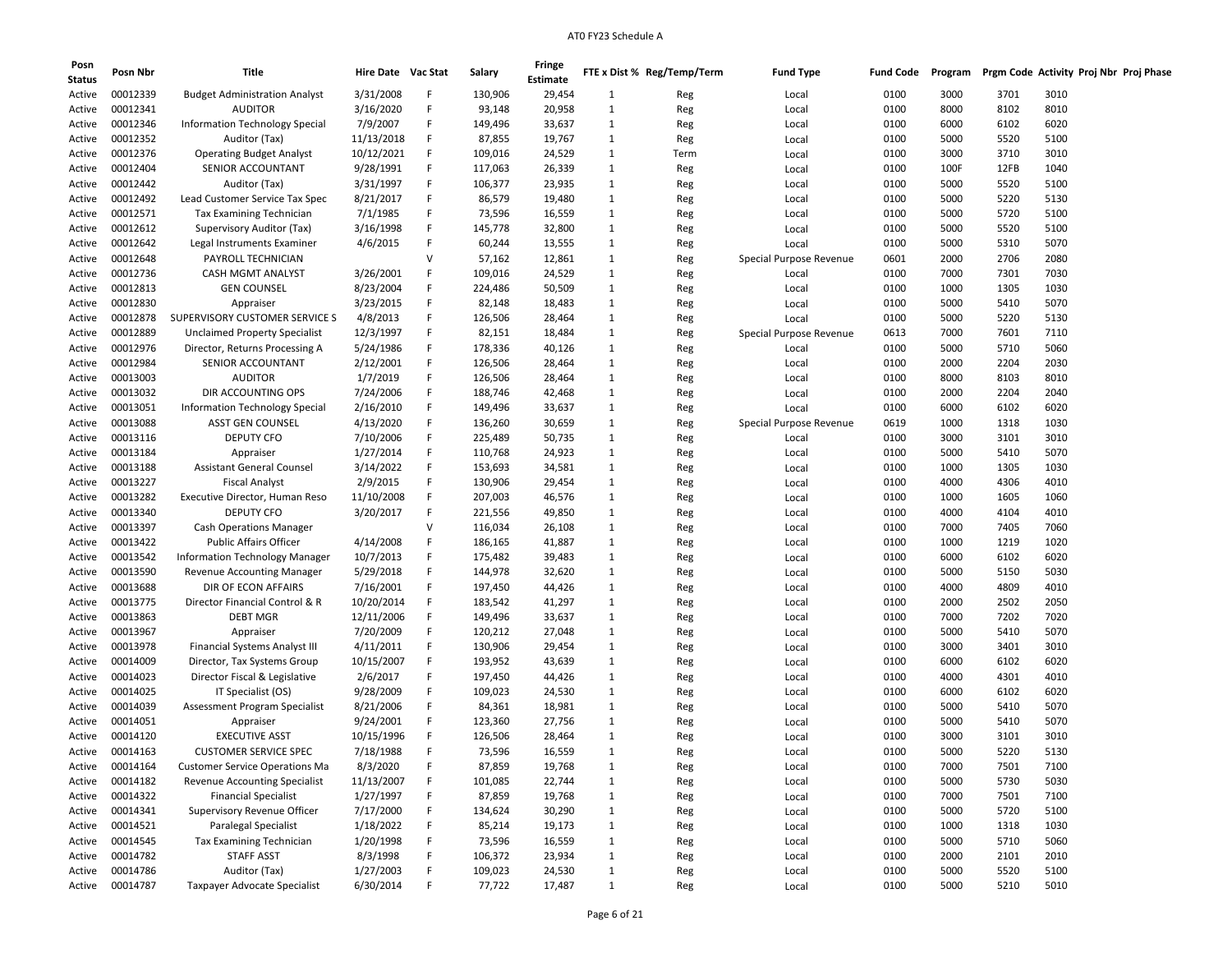| Posn<br><b>Status</b> | Posn Nbr | Title                                 | Hire Date Vac Stat |   | Salary  | Fringe<br><b>Estimate</b> |              | FTE x Dist % Reg/Temp/Term | <b>Fund Type</b>        | <b>Fund Code</b> | Program |      | Prgm Code Activity Proj Nbr Proj Phase |  |
|-----------------------|----------|---------------------------------------|--------------------|---|---------|---------------------------|--------------|----------------------------|-------------------------|------------------|---------|------|----------------------------------------|--|
| Active                | 00012339 | <b>Budget Administration Analyst</b>  | 3/31/2008          | F | 130,906 | 29,454                    | 1            | Reg                        | Local                   | 0100             | 3000    | 3701 | 3010                                   |  |
| Active                | 00012341 | <b>AUDITOR</b>                        | 3/16/2020          | F | 93,148  | 20,958                    | $\mathbf{1}$ | Reg                        | Local                   | 0100             | 8000    | 8102 | 8010                                   |  |
| Active                | 00012346 | Information Technology Special        | 7/9/2007           | F | 149,496 | 33,637                    | 1            | Reg                        | Local                   | 0100             | 6000    | 6102 | 6020                                   |  |
| Active                | 00012352 | Auditor (Tax)                         | 11/13/2018         | F | 87,855  | 19,767                    | 1            | Reg                        | Local                   | 0100             | 5000    | 5520 | 5100                                   |  |
| Active                | 00012376 | <b>Operating Budget Analyst</b>       | 10/12/2021         | F | 109,016 | 24,529                    | 1            | Term                       | Local                   | 0100             | 3000    | 3710 | 3010                                   |  |
| Active                | 00012404 | SENIOR ACCOUNTANT                     | 9/28/1991          | F | 117,063 | 26,339                    | 1            | Reg                        | Local                   | 0100             | 100F    | 12FB | 1040                                   |  |
| Active                | 00012442 | Auditor (Tax)                         | 3/31/1997          | F | 106,377 | 23,935                    | 1            | Reg                        | Local                   | 0100             | 5000    | 5520 | 5100                                   |  |
| Active                | 00012492 | Lead Customer Service Tax Spec        | 8/21/2017          | F | 86,579  | 19,480                    | 1            | Reg                        | Local                   | 0100             | 5000    | 5220 | 5130                                   |  |
| Active                | 00012571 | Tax Examining Technician              | 7/1/1985           | F | 73,596  | 16,559                    | 1            | Reg                        | Local                   | 0100             | 5000    | 5720 | 5100                                   |  |
| Active                | 00012612 | Supervisory Auditor (Tax)             | 3/16/1998          | F | 145,778 | 32,800                    | 1            | Reg                        | Local                   | 0100             | 5000    | 5520 | 5100                                   |  |
| Active                | 00012642 | Legal Instruments Examiner            | 4/6/2015           | F | 60,244  | 13,555                    | $\mathbf{1}$ |                            | Local                   | 0100             | 5000    | 5310 | 5070                                   |  |
|                       | 00012648 | PAYROLL TECHNICIAN                    |                    | v | 57,162  | 12,861                    | 1            | Reg                        |                         | 0601             | 2000    | 2706 | 2080                                   |  |
| Active                | 00012736 | <b>CASH MGMT ANALYST</b>              | 3/26/2001          | F |         |                           | 1            | Reg                        | Special Purpose Revenue | 0100             | 7000    |      | 7030                                   |  |
| Active                | 00012813 |                                       |                    | F | 109,016 | 24,529                    |              | Reg                        | Local                   |                  |         | 7301 |                                        |  |
| Active                |          | GEN COUNSEL                           | 8/23/2004          | F | 224,486 | 50,509                    | 1            | Reg                        | Local                   | 0100             | 1000    | 1305 | 1030                                   |  |
| Active                | 00012830 | Appraiser                             | 3/23/2015          |   | 82,148  | 18,483                    | 1            | Reg                        | Local                   | 0100             | 5000    | 5410 | 5070                                   |  |
| Active                | 00012878 | SUPERVISORY CUSTOMER SERVICE S        | 4/8/2013           | F | 126,506 | 28,464                    | 1            | Reg                        | Local                   | 0100             | 5000    | 5220 | 5130                                   |  |
| Active                | 00012889 | <b>Unclaimed Property Specialist</b>  | 12/3/1997          | F | 82,151  | 18,484                    | 1            | Reg                        | Special Purpose Revenue | 0613             | 7000    | 7601 | 7110                                   |  |
| Active                | 00012976 | Director, Returns Processing A        | 5/24/1986          | F | 178,336 | 40,126                    | 1            | Reg                        | Local                   | 0100             | 5000    | 5710 | 5060                                   |  |
| Active                | 00012984 | SENIOR ACCOUNTANT                     | 2/12/2001          | F | 126,506 | 28,464                    | 1            | Reg                        | Local                   | 0100             | 2000    | 2204 | 2030                                   |  |
| Active                | 00013003 | <b>AUDITOR</b>                        | 1/7/2019           | F | 126,506 | 28,464                    | 1            | Reg                        | Local                   | 0100             | 8000    | 8103 | 8010                                   |  |
| Active                | 00013032 | DIR ACCOUNTING OPS                    | 7/24/2006          | F | 188,746 | 42,468                    | 1            | Reg                        | Local                   | 0100             | 2000    | 2204 | 2040                                   |  |
| Active                | 00013051 | Information Technology Special        | 2/16/2010          | F | 149,496 | 33,637                    | 1            | Reg                        | Local                   | 0100             | 6000    | 6102 | 6020                                   |  |
| Active                | 00013088 | ASST GEN COUNSEL                      | 4/13/2020          | F | 136,260 | 30,659                    | 1            | Reg                        | Special Purpose Revenue | 0619             | 1000    | 1318 | 1030                                   |  |
| Active                | 00013116 | <b>DEPUTY CFO</b>                     | 7/10/2006          | F | 225,489 | 50,735                    | 1            | Reg                        | Local                   | 0100             | 3000    | 3101 | 3010                                   |  |
| Active                | 00013184 | Appraiser                             | 1/27/2014          | F | 110,768 | 24,923                    | 1            | Reg                        | Local                   | 0100             | 5000    | 5410 | 5070                                   |  |
| Active                | 00013188 | <b>Assistant General Counsel</b>      | 3/14/2022          | F | 153,693 | 34,581                    | $\mathbf{1}$ | Reg                        | Local                   | 0100             | 1000    | 1305 | 1030                                   |  |
| Active                | 00013227 | <b>Fiscal Analyst</b>                 | 2/9/2015           | F | 130,906 | 29,454                    | 1            | Reg                        | Local                   | 0100             | 4000    | 4306 | 4010                                   |  |
| Active                | 00013282 | Executive Director, Human Reso        | 11/10/2008         | F | 207,003 | 46,576                    | 1            | Reg                        | Local                   | 0100             | 1000    | 1605 | 1060                                   |  |
| Active                | 00013340 | <b>DEPUTY CFO</b>                     | 3/20/2017          | F | 221,556 | 49,850                    | 1            | Reg                        | Local                   | 0100             | 4000    | 4104 | 4010                                   |  |
| Active                | 00013397 | <b>Cash Operations Manager</b>        |                    | v | 116,034 | 26,108                    | 1            | Reg                        | Local                   | 0100             | 7000    | 7405 | 7060                                   |  |
| Active                | 00013422 | <b>Public Affairs Officer</b>         | 4/14/2008          | F | 186,165 | 41,887                    | 1            | Reg                        | Local                   | 0100             | 1000    | 1219 | 1020                                   |  |
| Active                | 00013542 | <b>Information Technology Manager</b> | 10/7/2013          | F | 175,482 | 39,483                    | 1            | Reg                        | Local                   | 0100             | 6000    | 6102 | 6020                                   |  |
| Active                | 00013590 | <b>Revenue Accounting Manager</b>     | 5/29/2018          | F | 144,978 | 32,620                    | 1            | Reg                        | Local                   | 0100             | 5000    | 5150 | 5030                                   |  |
| Active                | 00013688 | DIR OF ECON AFFAIRS                   | 7/16/2001          | F | 197,450 | 44,426                    | 1            | Reg                        | Local                   | 0100             | 4000    | 4809 | 4010                                   |  |
| Active                | 00013775 | Director Financial Control & R        | 10/20/2014         | F | 183,542 | 41,297                    | 1            | Reg                        | Local                   | 0100             | 2000    | 2502 | 2050                                   |  |
| Active                | 00013863 | <b>DEBT MGR</b>                       | 12/11/2006         | F | 149,496 | 33,637                    | 1            | Reg                        | Local                   | 0100             | 7000    | 7202 | 7020                                   |  |
| Active                | 00013967 | Appraiser                             | 7/20/2009          | F | 120,212 | 27,048                    | 1            | Reg                        | Local                   | 0100             | 5000    | 5410 | 5070                                   |  |
| Active                | 00013978 | Financial Systems Analyst III         | 4/11/2011          | F | 130,906 | 29,454                    | 1            | Reg                        | Local                   | 0100             | 3000    | 3401 | 3010                                   |  |
| Active                | 00014009 | Director, Tax Systems Group           | 10/15/2007         | F | 193,952 | 43,639                    | 1            | Reg                        | Local                   | 0100             | 6000    | 6102 | 6020                                   |  |
| Active                | 00014023 | Director Fiscal & Legislative         | 2/6/2017           | F | 197,450 | 44,426                    | 1            | Reg                        | Local                   | 0100             | 4000    | 4301 | 4010                                   |  |
| Active                | 00014025 | IT Specialist (OS)                    | 9/28/2009          | F | 109,023 | 24,530                    | 1            | Reg                        | Local                   | 0100             | 6000    | 6102 | 6020                                   |  |
| Active                | 00014039 | Assessment Program Specialist         | 8/21/2006          | F | 84,361  | 18,981                    | 1            | Reg                        | Local                   | 0100             | 5000    | 5410 | 5070                                   |  |
| Active                | 00014051 | Appraiser                             | 9/24/2001          | F | 123,360 | 27,756                    | 1            | Reg                        | Local                   | 0100             | 5000    | 5410 | 5070                                   |  |
| Active                | 00014120 | <b>EXECUTIVE ASST</b>                 | 10/15/1996         | F | 126,506 | 28,464                    | 1            | Reg                        | Local                   | 0100             | 3000    | 3101 | 3010                                   |  |
| Active                | 00014163 | <b>CUSTOMER SERVICE SPEC</b>          | 7/18/1988          | F | 73,596  | 16,559                    | 1            | Reg                        | Local                   | 0100             | 5000    | 5220 | 5130                                   |  |
| Active                | 00014164 | <b>Customer Service Operations Ma</b> | 8/3/2020           | F | 87,859  | 19,768                    | $\mathbf{1}$ | Reg                        | Local                   | 0100             | 7000    | 7501 | 7100                                   |  |
| Active                | 00014182 | <b>Revenue Accounting Specialist</b>  | 11/13/2007         | F | 101,085 | 22,744                    | $\mathbf{1}$ | Reg                        | Local                   | 0100             | 5000    | 5730 | 5030                                   |  |
| Active                | 00014322 | <b>Financial Specialist</b>           | 1/27/1997          | F | 87,859  | 19,768                    | $\mathbf{1}$ | Reg                        | Local                   | 0100             | 7000    | 7501 | 7100                                   |  |
| Active                | 00014341 | Supervisory Revenue Officer           | 7/17/2000          | F | 134,624 | 30,290                    | $\mathbf{1}$ | Reg                        | Local                   | 0100             | 5000    | 5720 | 5100                                   |  |
| Active                | 00014521 | <b>Paralegal Specialist</b>           | 1/18/2022          | F | 85,214  | 19,173                    | $\mathbf{1}$ | Reg                        | Local                   | 0100             | 1000    | 1318 | 1030                                   |  |
| Active                | 00014545 | <b>Tax Examining Technician</b>       | 1/20/1998          | F | 73,596  | 16,559                    | $\mathbf{1}$ | Reg                        | Local                   | 0100             | 5000    | 5710 | 5060                                   |  |
| Active                | 00014782 | <b>STAFF ASST</b>                     | 8/3/1998           | F | 106,372 | 23,934                    | $\mathbf{1}$ | Reg                        | Local                   | 0100             | 2000    | 2101 | 2010                                   |  |
| Active                | 00014786 | Auditor (Tax)                         | 1/27/2003          | F | 109,023 | 24,530                    | $\mathbf{1}$ | Reg                        | Local                   | 0100             | 5000    | 5520 | 5100                                   |  |
| Active                | 00014787 | Taxpayer Advocate Specialist          | 6/30/2014          | F | 77,722  | 17,487                    | $\mathbf{1}$ | Reg                        | Local                   | 0100             | 5000    | 5210 | 5010                                   |  |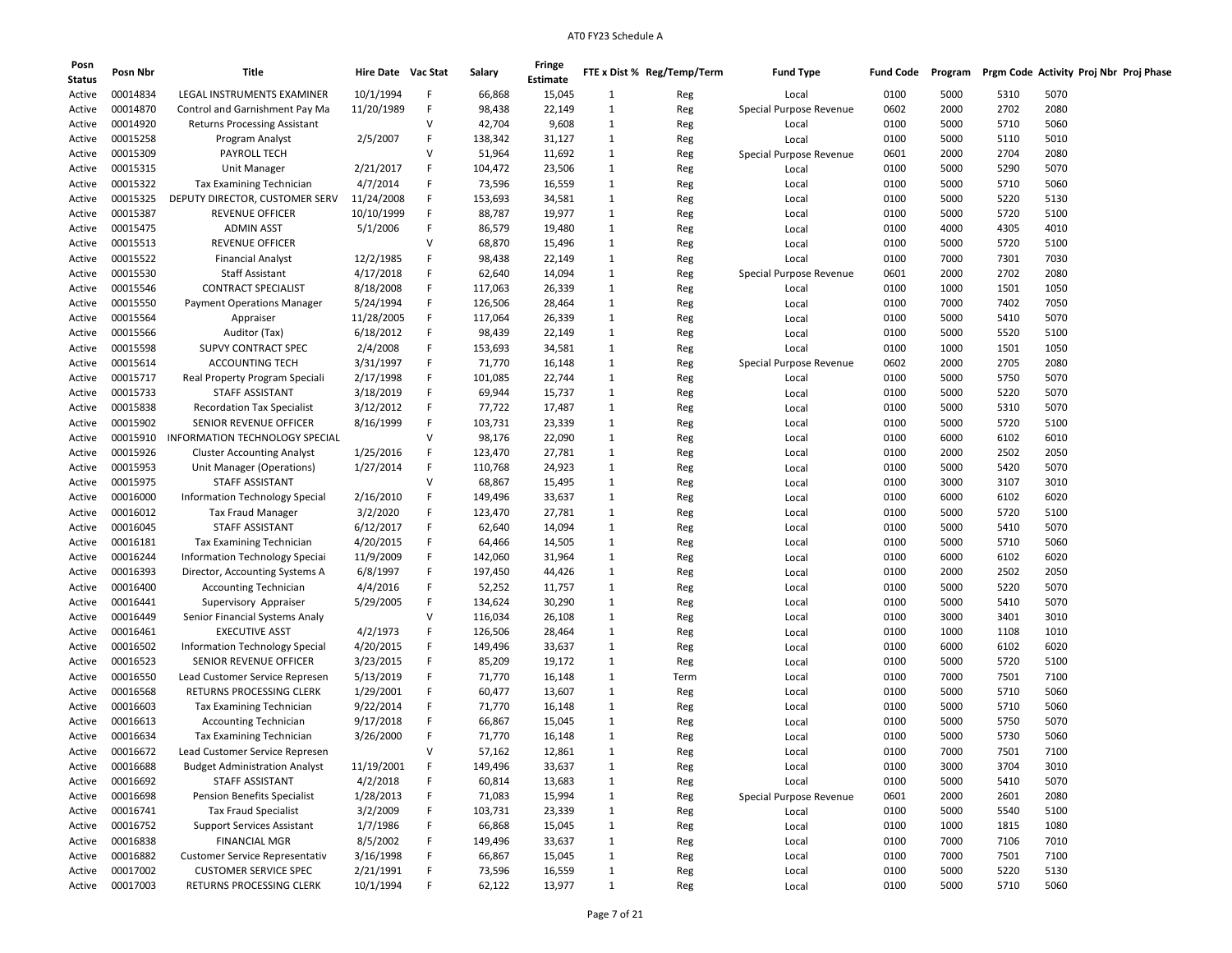| Posn<br><b>Status</b> | Posn Nbr        | Title                                         | Hire Date Vac Stat |        | Salary  | Fringe<br>Estimate |              | FTE x Dist % Reg/Temp/Term | <b>Fund Type</b>        | <b>Fund Code</b> | Program | Prgm Code Activity Proj Nbr Proj Phase |      |  |
|-----------------------|-----------------|-----------------------------------------------|--------------------|--------|---------|--------------------|--------------|----------------------------|-------------------------|------------------|---------|----------------------------------------|------|--|
| Active                | 00014834        | LEGAL INSTRUMENTS EXAMINER                    | 10/1/1994          | F      | 66,868  | 15,045             | 1            | Reg                        | Local                   | 0100             | 5000    | 5310                                   | 5070 |  |
| Active                | 00014870        | Control and Garnishment Pay Ma                | 11/20/1989         | F      | 98,438  | 22,149             | 1            | Reg                        | Special Purpose Revenue | 0602             | 2000    | 2702                                   | 2080 |  |
| Active                | 00014920        | <b>Returns Processing Assistant</b>           |                    | V      | 42,704  | 9,608              | 1            | Reg                        | Local                   | 0100             | 5000    | 5710                                   | 5060 |  |
| Active                | 00015258        | Program Analyst                               | 2/5/2007           | F      | 138,342 | 31,127             | 1            | Reg                        | Local                   | 0100             | 5000    | 5110                                   | 5010 |  |
| Active                | 00015309        | PAYROLL TECH                                  |                    | $\vee$ | 51,964  | 11,692             | 1            | Reg                        | Special Purpose Revenue | 0601             | 2000    | 2704                                   | 2080 |  |
| Active                | 00015315        | Unit Manager                                  | 2/21/2017          | F      | 104,472 | 23,506             | 1            | Reg                        | Local                   | 0100             | 5000    | 5290                                   | 5070 |  |
| Active                | 00015322        | Tax Examining Technician                      | 4/7/2014           | F      | 73,596  | 16,559             | 1            | Reg                        | Local                   | 0100             | 5000    | 5710                                   | 5060 |  |
| Active                | 00015325        | DEPUTY DIRECTOR, CUSTOMER SERV                | 11/24/2008         | F      | 153,693 | 34,581             | 1            | Reg                        | Local                   | 0100             | 5000    | 5220                                   | 5130 |  |
| Active                | 00015387        | REVENUE OFFICER                               | 10/10/1999         | F      | 88,787  | 19,977             | 1            | Reg                        | Local                   | 0100             | 5000    | 5720                                   | 5100 |  |
| Active                | 00015475        | <b>ADMIN ASST</b>                             | 5/1/2006           | F      | 86,579  | 19,480             | 1            | Reg                        | Local                   | 0100             | 4000    | 4305                                   | 4010 |  |
| Active                | 00015513        | <b>REVENUE OFFICER</b>                        |                    | v      | 68,870  | 15,496             | 1            | Reg                        | Local                   | 0100             | 5000    | 5720                                   | 5100 |  |
| Active                | 00015522        | <b>Financial Analyst</b>                      | 12/2/1985          | F      | 98,438  | 22,149             | 1            | Reg                        | Local                   | 0100             | 7000    | 7301                                   | 7030 |  |
| Active                | 00015530        | <b>Staff Assistant</b>                        | 4/17/2018          | F      | 62,640  | 14,094             | 1            | Reg                        | Special Purpose Revenue | 0601             | 2000    | 2702                                   | 2080 |  |
| Active                | 00015546        | <b>CONTRACT SPECIALIST</b>                    | 8/18/2008          | F      | 117,063 | 26,339             | 1            | Reg                        | Local                   | 0100             | 1000    | 1501                                   | 1050 |  |
| Active                | 00015550        | <b>Payment Operations Manager</b>             | 5/24/1994          | F      | 126,506 | 28,464             | 1            | Reg                        | Local                   | 0100             | 7000    | 7402                                   | 7050 |  |
|                       | 00015564        |                                               | 11/28/2005         | F      | 117,064 | 26,339             |              |                            |                         | 0100             | 5000    | 5410                                   | 5070 |  |
| Active                | 00015566        | Appraiser                                     |                    | F      | 98,439  |                    | 1<br>1       | Reg                        | Local                   | 0100             | 5000    | 5520                                   | 5100 |  |
| Active                |                 | Auditor (Tax)                                 | 6/18/2012          | F      |         | 22,149             |              | Reg                        | Local                   |                  |         |                                        |      |  |
| Active                | 00015598        | SUPVY CONTRACT SPEC<br><b>ACCOUNTING TECH</b> | 2/4/2008           | F      | 153,693 | 34,581             | 1            | Reg                        | Local                   | 0100             | 1000    | 1501                                   | 1050 |  |
| Active                | 00015614        |                                               | 3/31/1997          |        | 71,770  | 16,148             | 1            | Reg                        | Special Purpose Revenue | 0602             | 2000    | 2705                                   | 2080 |  |
| Active                | 00015717        | Real Property Program Speciali                | 2/17/1998          | F      | 101,085 | 22,744             | 1            | Reg                        | Local                   | 0100             | 5000    | 5750                                   | 5070 |  |
| Active                | 00015733        | STAFF ASSISTANT                               | 3/18/2019          | F      | 69,944  | 15,737             | 1            | Reg                        | Local                   | 0100             | 5000    | 5220                                   | 5070 |  |
| Active                | 00015838        | <b>Recordation Tax Specialist</b>             | 3/12/2012          | F      | 77,722  | 17,487             | 1            | Reg                        | Local                   | 0100             | 5000    | 5310                                   | 5070 |  |
| Active                | 00015902        | SENIOR REVENUE OFFICER                        | 8/16/1999          | F      | 103,731 | 23,339             | 1            | Reg                        | Local                   | 0100             | 5000    | 5720                                   | 5100 |  |
| Active                | 00015910        | <b>INFORMATION TECHNOLOGY SPECIAL</b>         |                    | V      | 98,176  | 22,090             | 1            | Reg                        | Local                   | 0100             | 6000    | 6102                                   | 6010 |  |
| Active                | 00015926        | <b>Cluster Accounting Analyst</b>             | 1/25/2016          | F      | 123,470 | 27,781             | 1            | Reg                        | Local                   | 0100             | 2000    | 2502                                   | 2050 |  |
| Active                | 00015953        | Unit Manager (Operations)                     | 1/27/2014          | F      | 110,768 | 24,923             | 1            | Reg                        | Local                   | 0100             | 5000    | 5420                                   | 5070 |  |
| Active                | 00015975        | STAFF ASSISTANT                               |                    | $\vee$ | 68,867  | 15,495             | 1            | Reg                        | Local                   | 0100             | 3000    | 3107                                   | 3010 |  |
| Active                | 00016000        | Information Technology Special                | 2/16/2010          | F      | 149,496 | 33,637             | 1            | Reg                        | Local                   | 0100             | 6000    | 6102                                   | 6020 |  |
| Active                | 00016012        | <b>Tax Fraud Manager</b>                      | 3/2/2020           | F      | 123,470 | 27,781             | 1            | Reg                        | Local                   | 0100             | 5000    | 5720                                   | 5100 |  |
| Active                | 00016045        | STAFF ASSISTANT                               | 6/12/2017          | F      | 62,640  | 14,094             | 1            | Reg                        | Local                   | 0100             | 5000    | 5410                                   | 5070 |  |
| Active                | 00016181        | Tax Examining Technician                      | 4/20/2015          | F      | 64,466  | 14,505             | 1            | Reg                        | Local                   | 0100             | 5000    | 5710                                   | 5060 |  |
| Active                | 00016244        | <b>Information Technology Special</b>         | 11/9/2009          | F      | 142,060 | 31,964             | $\mathbf{1}$ | Reg                        | Local                   | 0100             | 6000    | 6102                                   | 6020 |  |
| Active                | 00016393        | Director, Accounting Systems A                | 6/8/1997           | F      | 197,450 | 44,426             | $\mathbf{1}$ | Reg                        | Local                   | 0100             | 2000    | 2502                                   | 2050 |  |
| Active                | 00016400        | <b>Accounting Technician</b>                  | 4/4/2016           | F      | 52,252  | 11,757             | 1            | Reg                        | Local                   | 0100             | 5000    | 5220                                   | 5070 |  |
| Active                | 00016441        | Supervisory Appraiser                         | 5/29/2005          | F      | 134,624 | 30,290             | 1            | Reg                        | Local                   | 0100             | 5000    | 5410                                   | 5070 |  |
| Active                | 00016449        | Senior Financial Systems Analy                |                    | V      | 116,034 | 26,108             | 1            | Reg                        | Local                   | 0100             | 3000    | 3401                                   | 3010 |  |
| Active                | 00016461        | <b>EXECUTIVE ASST</b>                         | 4/2/1973           | F      | 126,506 | 28,464             | $\mathbf{1}$ | Reg                        | Local                   | 0100             | 1000    | 1108                                   | 1010 |  |
| Active                | 00016502        | Information Technology Special                | 4/20/2015          | F      | 149,496 | 33,637             | 1            | Reg                        | Local                   | 0100             | 6000    | 6102                                   | 6020 |  |
| Active                | 00016523        | SENIOR REVENUE OFFICER                        | 3/23/2015          | F      | 85,209  | 19,172             | 1            | Reg                        | Local                   | 0100             | 5000    | 5720                                   | 5100 |  |
| Active                | 00016550        | Lead Customer Service Represen                | 5/13/2019          | F      | 71,770  | 16,148             | 1            | Term                       | Local                   | 0100             | 7000    | 7501                                   | 7100 |  |
| Active                | 00016568        | RETURNS PROCESSING CLERK                      | 1/29/2001          | F      | 60,477  | 13,607             | 1            | Reg                        | Local                   | 0100             | 5000    | 5710                                   | 5060 |  |
| Active                | 00016603        | Tax Examining Technician                      | 9/22/2014          | F      | 71,770  | 16,148             | $\mathbf{1}$ | Reg                        | Local                   | 0100             | 5000    | 5710                                   | 5060 |  |
| Active                | 00016613        | <b>Accounting Technician</b>                  | 9/17/2018          | F      | 66,867  | 15,045             | 1            | Reg                        | Local                   | 0100             | 5000    | 5750                                   | 5070 |  |
| Active                | 00016634        | <b>Tax Examining Technician</b>               | 3/26/2000          | F      | 71,770  | 16,148             | 1            | Reg                        | Local                   | 0100             | 5000    | 5730                                   | 5060 |  |
| Active                | 00016672        | Lead Customer Service Represen                |                    | $\vee$ | 57,162  | 12,861             | 1            | Reg                        | Local                   | 0100             | 7000    | 7501                                   | 7100 |  |
| Active                | 00016688        | <b>Budget Administration Analyst</b>          | 11/19/2001         | F      | 149,496 | 33,637             | $\mathbf{1}$ | Reg                        | Local                   | 0100             | 3000    | 3704                                   | 3010 |  |
| Active                | 00016692        | STAFF ASSISTANT                               | 4/2/2018           | F      | 60,814  | 13,683             | $\mathbf{1}$ | Reg                        | Local                   | 0100             | 5000    | 5410                                   | 5070 |  |
| Active                | 00016698        | <b>Pension Benefits Specialist</b>            | 1/28/2013          | F      | 71,083  | 15,994             | $\mathbf{1}$ | Reg                        | Special Purpose Revenue | 0601             | 2000    | 2601                                   | 2080 |  |
| Active                | 00016741        | <b>Tax Fraud Specialist</b>                   | 3/2/2009           | F      | 103,731 | 23,339             | 1            | Reg                        | Local                   | 0100             | 5000    | 5540                                   | 5100 |  |
| Active                | 00016752        | <b>Support Services Assistant</b>             | 1/7/1986           | F      | 66,868  | 15,045             | $\mathbf{1}$ | Reg                        | Local                   | 0100             | 1000    | 1815                                   | 1080 |  |
| Active                | 00016838        | <b>FINANCIAL MGR</b>                          | 8/5/2002           | F      | 149,496 | 33,637             | $\mathbf{1}$ | Reg                        | Local                   | 0100             | 7000    | 7106                                   | 7010 |  |
| Active                | 00016882        | Customer Service Representativ                | 3/16/1998          | F      | 66,867  | 15,045             | $\mathbf{1}$ | Reg                        | Local                   | 0100             | 7000    | 7501                                   | 7100 |  |
| Active                | 00017002        | <b>CUSTOMER SERVICE SPEC</b>                  | 2/21/1991          | F      | 73,596  | 16,559             | $\mathbf{1}$ | Reg                        | Local                   | 0100             | 5000    | 5220                                   | 5130 |  |
|                       | Active 00017003 | RETURNS PROCESSING CLERK                      | 10/1/1994          | F      | 62,122  | 13,977             | $\mathbf{1}$ | Reg                        | Local                   | 0100             | 5000    | 5710                                   | 5060 |  |
|                       |                 |                                               |                    |        |         |                    |              |                            |                         |                  |         |                                        |      |  |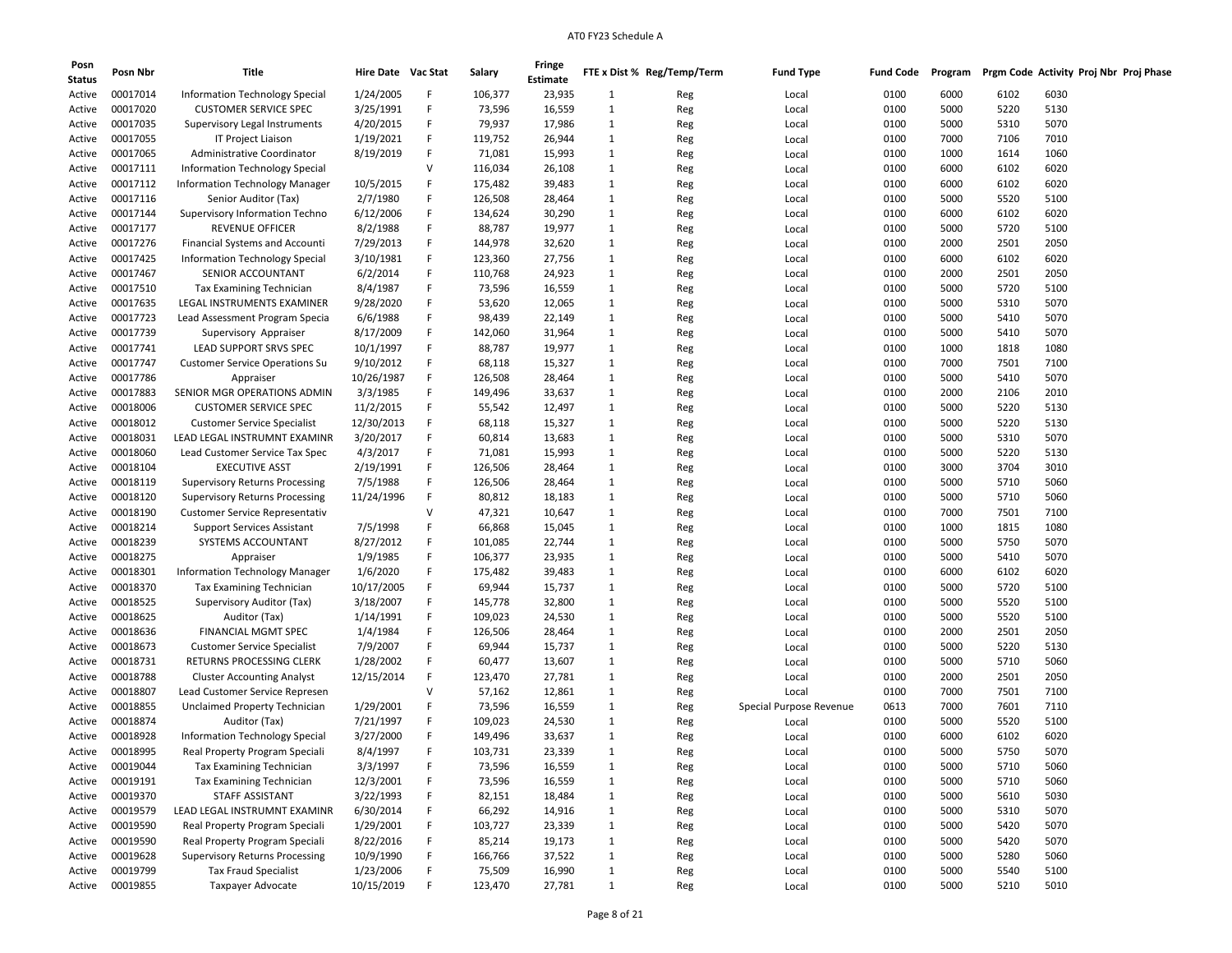| Posn          | Posn Nbr             | Title                                 | Hire Date Vac Stat |   | Salary  | Fringe          |              | FTE x Dist % Reg/Temp/Term | <b>Fund Type</b>        | Fund Code | Program |              | Prgm Code Activity Proj Nbr Proj Phase |
|---------------|----------------------|---------------------------------------|--------------------|---|---------|-----------------|--------------|----------------------------|-------------------------|-----------|---------|--------------|----------------------------------------|
| <b>Status</b> |                      |                                       |                    |   |         | <b>Estimate</b> |              |                            |                         |           |         |              |                                        |
| Active        | 00017014             | <b>Information Technology Special</b> | 1/24/2005          | F | 106,377 | 23,935          | 1            | Reg                        | Local                   | 0100      | 6000    | 6102         | 6030                                   |
| Active        | 00017020             | <b>CUSTOMER SERVICE SPEC</b>          | 3/25/1991          | F | 73,596  | 16,559          | 1            | Reg                        | Local                   | 0100      | 5000    | 5220         | 5130                                   |
| Active        | 00017035             | Supervisory Legal Instruments         | 4/20/2015          | F | 79,937  | 17,986          | 1            | Reg                        | Local                   | 0100      | 5000    | 5310         | 5070                                   |
| Active        | 00017055             | IT Project Liaison                    | 1/19/2021          | F | 119,752 | 26,944          | 1            | Reg                        | Local                   | 0100      | 7000    | 7106         | 7010                                   |
| Active        | 00017065             | Administrative Coordinator            | 8/19/2019          | F | 71,081  | 15,993          | 1            | Reg                        | Local                   | 0100      | 1000    | 1614         | 1060                                   |
| Active        | 00017111             | <b>Information Technology Special</b> |                    | v | 116,034 | 26,108          | 1            | Reg                        | Local                   | 0100      | 6000    | 6102         | 6020                                   |
| Active        | 00017112             | <b>Information Technology Manager</b> | 10/5/2015          | F | 175,482 | 39,483          | $\mathbf{1}$ | Reg                        | Local                   | 0100      | 6000    | 6102         | 6020                                   |
| Active        | 00017116             | Senior Auditor (Tax)                  | 2/7/1980           | F | 126,508 | 28,464          | 1            | Reg                        | Local                   | 0100      | 5000    | 5520         | 5100                                   |
| Active        | 00017144             | Supervisory Information Techno        | 6/12/2006          | F | 134,624 | 30,290          | 1            | Reg                        | Local                   | 0100      | 6000    | 6102         | 6020                                   |
| Active        | 00017177             | <b>REVENUE OFFICER</b>                | 8/2/1988           | F | 88,787  | 19,977          | 1            | Reg                        | Local                   | 0100      | 5000    | 5720         | 5100                                   |
| Active        | 00017276             | <b>Financial Systems and Accounti</b> | 7/29/2013          | F | 144,978 | 32,620          | 1            | Reg                        | Local                   | 0100      | 2000    | 2501         | 2050                                   |
| Active        | 00017425             | Information Technology Special        | 3/10/1981          | F | 123,360 | 27,756          | 1            | Reg                        | Local                   | 0100      | 6000    | 6102         | 6020                                   |
| Active        | 00017467             | SENIOR ACCOUNTANT                     | 6/2/2014           | F | 110,768 | 24,923          | 1            | Reg                        | Local                   | 0100      | 2000    | 2501         | 2050                                   |
| Active        | 00017510             | <b>Tax Examining Technician</b>       | 8/4/1987           | F | 73,596  | 16,559          | 1            | Reg                        | Local                   | 0100      | 5000    | 5720         | 5100                                   |
| Active        | 00017635             | LEGAL INSTRUMENTS EXAMINER            | 9/28/2020          | F | 53,620  | 12,065          | 1            | Reg                        | Local                   | 0100      | 5000    | 5310         | 5070                                   |
| Active        | 00017723             | Lead Assessment Program Specia        | 6/6/1988           | F | 98,439  | 22,149          | 1            | Reg                        | Local                   | 0100      | 5000    | 5410         | 5070                                   |
| Active        | 00017739             | Supervisory Appraiser                 | 8/17/2009          | F | 142,060 | 31,964          | $\mathbf{1}$ | Reg                        | Local                   | 0100      | 5000    | 5410         | 5070                                   |
|               |                      |                                       | 10/1/1997          | F |         |                 | 1            |                            |                         |           |         |              | 1080                                   |
| Active        | 00017741<br>00017747 | LEAD SUPPORT SRVS SPEC                | 9/10/2012          | F | 88,787  | 19,977          |              | Reg                        | Local                   | 0100      | 1000    | 1818<br>7501 |                                        |
| Active        |                      | <b>Customer Service Operations Su</b> |                    |   | 68,118  | 15,327          | 1            | Reg                        | Local                   | 0100      | 7000    |              | 7100                                   |
| Active        | 00017786             | Appraiser                             | 10/26/1987         | F | 126,508 | 28,464          | 1            | Reg                        | Local                   | 0100      | 5000    | 5410         | 5070                                   |
| Active        | 00017883             | SENIOR MGR OPERATIONS ADMIN           | 3/3/1985           | F | 149,496 | 33,637          | 1            | Reg                        | Local                   | 0100      | 2000    | 2106         | 2010                                   |
| Active        | 00018006             | <b>CUSTOMER SERVICE SPEC</b>          | 11/2/2015          | F | 55,542  | 12,497          | 1            | Reg                        | Local                   | 0100      | 5000    | 5220         | 5130                                   |
| Active        | 00018012             | <b>Customer Service Specialist</b>    | 12/30/2013         | F | 68,118  | 15,327          | 1            | Reg                        | Local                   | 0100      | 5000    | 5220         | 5130                                   |
| Active        | 00018031             | LEAD LEGAL INSTRUMNT EXAMINR          | 3/20/2017          | F | 60,814  | 13,683          | 1            | Reg                        | Local                   | 0100      | 5000    | 5310         | 5070                                   |
| Active        | 00018060             | Lead Customer Service Tax Spec        | 4/3/2017           | F | 71,081  | 15,993          | 1            | Reg                        | Local                   | 0100      | 5000    | 5220         | 5130                                   |
| Active        | 00018104             | <b>EXECUTIVE ASST</b>                 | 2/19/1991          | F | 126,506 | 28,464          | 1            | Reg                        | Local                   | 0100      | 3000    | 3704         | 3010                                   |
| Active        | 00018119             | <b>Supervisory Returns Processing</b> | 7/5/1988           | F | 126,506 | 28,464          | 1            | Reg                        | Local                   | 0100      | 5000    | 5710         | 5060                                   |
| Active        | 00018120             | <b>Supervisory Returns Processing</b> | 11/24/1996         | F | 80,812  | 18,183          | 1            | Reg                        | Local                   | 0100      | 5000    | 5710         | 5060                                   |
| Active        | 00018190             | <b>Customer Service Representativ</b> |                    | v | 47,321  | 10,647          | 1            | Reg                        | Local                   | 0100      | 7000    | 7501         | 7100                                   |
| Active        | 00018214             | <b>Support Services Assistant</b>     | 7/5/1998           | F | 66,868  | 15,045          | 1            | Reg                        | Local                   | 0100      | 1000    | 1815         | 1080                                   |
| Active        | 00018239             | SYSTEMS ACCOUNTANT                    | 8/27/2012          | F | 101,085 | 22,744          | 1            | Reg                        | Local                   | 0100      | 5000    | 5750         | 5070                                   |
| Active        | 00018275             | Appraiser                             | 1/9/1985           | F | 106,377 | 23,935          | 1            | Reg                        | Local                   | 0100      | 5000    | 5410         | 5070                                   |
| Active        | 00018301             | <b>Information Technology Manager</b> | 1/6/2020           | F | 175,482 | 39,483          | $\mathbf{1}$ | Reg                        | Local                   | 0100      | 6000    | 6102         | 6020                                   |
| Active        | 00018370             | <b>Tax Examining Technician</b>       | 10/17/2005         | F | 69,944  | 15,737          | 1            | Reg                        | Local                   | 0100      | 5000    | 5720         | 5100                                   |
| Active        | 00018525             | Supervisory Auditor (Tax)             | 3/18/2007          | F | 145,778 | 32,800          | 1            | Reg                        | Local                   | 0100      | 5000    | 5520         | 5100                                   |
| Active        | 00018625             | Auditor (Tax)                         | 1/14/1991          | F | 109,023 | 24,530          | 1            | Reg                        | Local                   | 0100      | 5000    | 5520         | 5100                                   |
| Active        | 00018636             | FINANCIAL MGMT SPEC                   | 1/4/1984           | F | 126,506 | 28,464          | 1            | Reg                        | Local                   | 0100      | 2000    | 2501         | 2050                                   |
| Active        | 00018673             | <b>Customer Service Specialist</b>    | 7/9/2007           | F | 69,944  | 15,737          | 1            | Reg                        | Local                   | 0100      | 5000    | 5220         | 5130                                   |
| Active        | 00018731             | RETURNS PROCESSING CLERK              | 1/28/2002          | F | 60,477  | 13,607          | 1            | Reg                        | Local                   | 0100      | 5000    | 5710         | 5060                                   |
| Active        | 00018788             | <b>Cluster Accounting Analyst</b>     | 12/15/2014         | F | 123,470 | 27,781          | 1            | Reg                        | Local                   | 0100      | 2000    | 2501         | 2050                                   |
| Active        | 00018807             | Lead Customer Service Represen        |                    | v | 57,162  | 12,861          | 1            | Reg                        | Local                   | 0100      | 7000    | 7501         | 7100                                   |
| Active        | 00018855             | Unclaimed Property Technician         | 1/29/2001          | F | 73,596  | 16,559          | 1            | Reg                        | Special Purpose Revenue | 0613      | 7000    | 7601         | 7110                                   |
| Active        | 00018874             | Auditor (Tax)                         | 7/21/1997          | F | 109,023 | 24,530          | 1            | Reg                        | Local                   | 0100      | 5000    | 5520         | 5100                                   |
| Active        | 00018928             | <b>Information Technology Special</b> | 3/27/2000          | F | 149,496 | 33,637          | 1            | Reg                        | Local                   | 0100      | 6000    | 6102         | 6020                                   |
| Active        | 00018995             | Real Property Program Speciali        | 8/4/1997           | F | 103,731 | 23,339          | 1            | Reg                        | Local                   | 0100      | 5000    | 5750         | 5070                                   |
| Active        | 00019044             | <b>Tax Examining Technician</b>       | 3/3/1997           | F | 73,596  | 16,559          | 1            | Reg                        | Local                   | 0100      | 5000    | 5710         | 5060                                   |
| Active        | 00019191             | Tax Examining Technician              | 12/3/2001          | F | 73,596  | 16,559          | $\mathbf{1}$ | Reg                        | Local                   | 0100      | 5000    | 5710         | 5060                                   |
| Active        | 00019370             | STAFF ASSISTANT                       | 3/22/1993          | F | 82,151  | 18,484          | $\mathbf{1}$ | Reg                        | Local                   | 0100      | 5000    | 5610         | 5030                                   |
| Active        | 00019579             | LEAD LEGAL INSTRUMNT EXAMINR          | 6/30/2014          | F | 66,292  | 14,916          | 1            | Reg                        | Local                   | 0100      | 5000    | 5310         | 5070                                   |
| Active        | 00019590             | Real Property Program Speciali        | 1/29/2001          | F | 103,727 | 23,339          | 1            | Reg                        | Local                   | 0100      | 5000    | 5420         | 5070                                   |
| Active        | 00019590             | Real Property Program Speciali        | 8/22/2016          | F | 85,214  | 19,173          | 1            | Reg                        | Local                   | 0100      | 5000    | 5420         | 5070                                   |
| Active        | 00019628             | <b>Supervisory Returns Processing</b> | 10/9/1990          | F | 166,766 | 37,522          | $\mathbf{1}$ | Reg                        | Local                   | 0100      | 5000    | 5280         | 5060                                   |
| Active        | 00019799             | <b>Tax Fraud Specialist</b>           | 1/23/2006          | F | 75,509  | 16,990          | $\mathbf{1}$ | Reg                        | Local                   | 0100      | 5000    | 5540         | 5100                                   |
| Active        | 00019855             | Taxpayer Advocate                     | 10/15/2019         | F | 123,470 | 27,781          | $\mathbf{1}$ | Reg                        | Local                   | 0100      | 5000    | 5210         | 5010                                   |
|               |                      |                                       |                    |   |         |                 |              |                            |                         |           |         |              |                                        |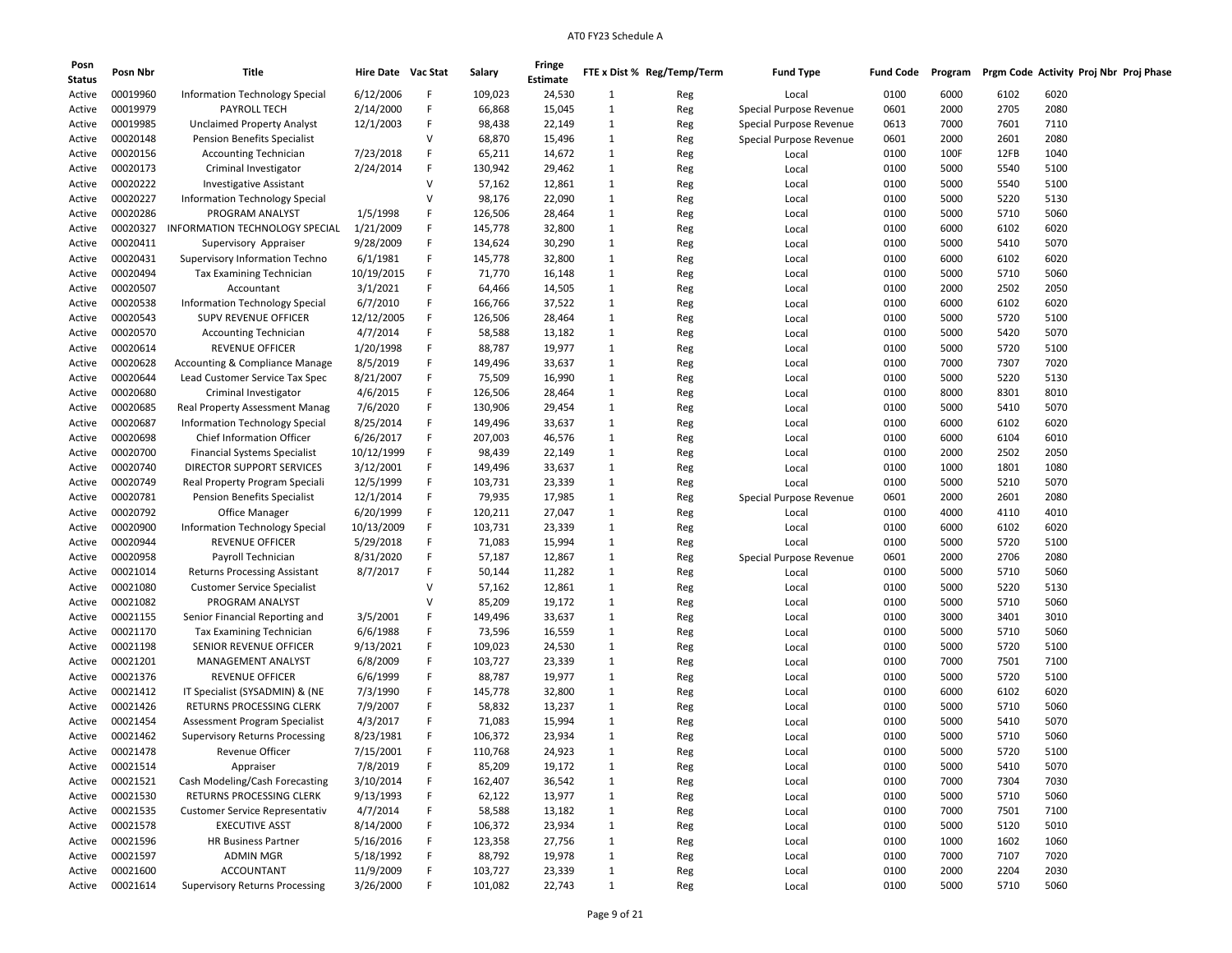| Posn<br><b>Status</b> | Posn Nbr | Title                                     | Hire Date Vac Stat    |   | Salary  | Fringe<br><b>Estimate</b> |              | FTE x Dist % Reg/Temp/Term | <b>Fund Type</b>        | <b>Fund Code</b> | Program |              | Prgm Code Activity Proj Nbr Proj Phase |  |
|-----------------------|----------|-------------------------------------------|-----------------------|---|---------|---------------------------|--------------|----------------------------|-------------------------|------------------|---------|--------------|----------------------------------------|--|
| Active                | 00019960 | Information Technology Special            | 6/12/2006             | F | 109,023 | 24,530                    | $\mathbf{1}$ | Reg                        | Local                   | 0100             | 6000    | 6102         | 6020                                   |  |
| Active                | 00019979 | PAYROLL TECH                              | 2/14/2000             | F | 66,868  | 15,045                    | 1            | Reg                        | Special Purpose Revenue | 0601             | 2000    | 2705         | 2080                                   |  |
| Active                | 00019985 | <b>Unclaimed Property Analyst</b>         | 12/1/2003             | F | 98,438  | 22,149                    | $\mathbf{1}$ | Reg                        | Special Purpose Revenue | 0613             | 7000    | 7601         | 7110                                   |  |
| Active                | 00020148 | <b>Pension Benefits Specialist</b>        |                       | v | 68,870  | 15,496                    | 1            | Reg                        | Special Purpose Revenue | 0601             | 2000    | 2601         | 2080                                   |  |
| Active                | 00020156 | <b>Accounting Technician</b>              | 7/23/2018             | F | 65,211  | 14,672                    | $\mathbf{1}$ | Reg                        | Local                   | 0100             | 100F    | 12FB         | 1040                                   |  |
| Active                | 00020173 | Criminal Investigator                     | 2/24/2014             | F | 130,942 | 29,462                    | $\mathbf{1}$ | Reg                        | Local                   | 0100             | 5000    | 5540         | 5100                                   |  |
| Active                | 00020222 | <b>Investigative Assistant</b>            |                       | v | 57,162  | 12,861                    | $\mathbf{1}$ | Reg                        | Local                   | 0100             | 5000    | 5540         | 5100                                   |  |
| Active                | 00020227 | <b>Information Technology Special</b>     |                       | v | 98,176  | 22,090                    | $\mathbf{1}$ | Reg                        | Local                   | 0100             | 5000    | 5220         | 5130                                   |  |
| Active                | 00020286 | PROGRAM ANALYST                           | 1/5/1998              | F | 126,506 | 28,464                    | 1            | Reg                        | Local                   | 0100             | 5000    | 5710         | 5060                                   |  |
| Active                | 00020327 | INFORMATION TECHNOLOGY SPECIAL            | 1/21/2009             | F | 145,778 | 32,800                    | $\mathbf{1}$ | Reg                        | Local                   | 0100             | 6000    | 6102         | 6020                                   |  |
| Active                | 00020411 | Supervisory Appraiser                     | 9/28/2009             | F | 134,624 | 30,290                    | $\mathbf{1}$ | Reg                        | Local                   | 0100             | 5000    | 5410         | 5070                                   |  |
| Active                | 00020431 | Supervisory Information Techno            | 6/1/1981              | F | 145,778 | 32,800                    | $\mathbf{1}$ | Reg                        | Local                   | 0100             | 6000    | 6102         | 6020                                   |  |
| Active                | 00020494 | Tax Examining Technician                  | 10/19/2015            | F | 71,770  | 16,148                    | $\mathbf{1}$ | Reg                        | Local                   | 0100             | 5000    | 5710         | 5060                                   |  |
| Active                | 00020507 | Accountant                                | 3/1/2021              | F | 64,466  | 14,505                    | 1            | Reg                        | Local                   | 0100             | 2000    | 2502         | 2050                                   |  |
| Active                | 00020538 | Information Technology Special            | 6/7/2010              | F | 166,766 | 37,522                    | 1            | Reg                        | Local                   | 0100             | 6000    | 6102         | 6020                                   |  |
| Active                | 00020543 | <b>SUPV REVENUE OFFICER</b>               | 12/12/2005            | F | 126,506 | 28,464                    | $\mathbf{1}$ |                            | Local                   | 0100             | 5000    | 5720         | 5100                                   |  |
|                       | 00020570 | <b>Accounting Technician</b>              | 4/7/2014              | F | 58,588  |                           | $\mathbf{1}$ | Reg                        |                         | 0100             | 5000    | 5420         | 5070                                   |  |
| Active                | 00020614 |                                           |                       | F |         | 13,182                    | 1            | Reg                        | Local                   |                  |         |              |                                        |  |
| Active                | 00020628 | <b>REVENUE OFFICER</b>                    | 1/20/1998             | F | 88,787  | 19,977                    |              | Reg                        | Local                   | 0100<br>0100     | 5000    | 5720<br>7307 | 5100<br>7020                           |  |
| Active                |          | <b>Accounting &amp; Compliance Manage</b> | 8/5/2019<br>8/21/2007 | F | 149,496 | 33,637                    | 1            | Reg                        | Local                   |                  | 7000    |              |                                        |  |
| Active                | 00020644 | Lead Customer Service Tax Spec            |                       |   | 75,509  | 16,990                    | 1            | Reg                        | Local                   | 0100             | 5000    | 5220         | 5130                                   |  |
| Active                | 00020680 | Criminal Investigator                     | 4/6/2015              | F | 126,506 | 28,464                    | $\mathbf{1}$ | Reg                        | Local                   | 0100             | 8000    | 8301         | 8010                                   |  |
| Active                | 00020685 | <b>Real Property Assessment Manag</b>     | 7/6/2020              | F | 130,906 | 29,454                    | $\mathbf{1}$ | Reg                        | Local                   | 0100             | 5000    | 5410         | 5070                                   |  |
| Active                | 00020687 | <b>Information Technology Special</b>     | 8/25/2014             | F | 149,496 | 33,637                    | $\mathbf{1}$ | Reg                        | Local                   | 0100             | 6000    | 6102         | 6020                                   |  |
| Active                | 00020698 | Chief Information Officer                 | 6/26/2017             | F | 207,003 | 46,576                    | 1            | Reg                        | Local                   | 0100             | 6000    | 6104         | 6010                                   |  |
| Active                | 00020700 | <b>Financial Systems Specialist</b>       | 10/12/1999            | F | 98,439  | 22,149                    | $\mathbf{1}$ | Reg                        | Local                   | 0100             | 2000    | 2502         | 2050                                   |  |
| Active                | 00020740 | DIRECTOR SUPPORT SERVICES                 | 3/12/2001             | F | 149,496 | 33,637                    | $\mathbf{1}$ | Reg                        | Local                   | 0100             | 1000    | 1801         | 1080                                   |  |
| Active                | 00020749 | Real Property Program Speciali            | 12/5/1999             | F | 103,731 | 23,339                    | $\mathbf{1}$ | Reg                        | Local                   | 0100             | 5000    | 5210         | 5070                                   |  |
| Active                | 00020781 | <b>Pension Benefits Specialist</b>        | 12/1/2014             | F | 79,935  | 17,985                    | 1            | Reg                        | Special Purpose Revenue | 0601             | 2000    | 2601         | 2080                                   |  |
| Active                | 00020792 | Office Manager                            | 6/20/1999             | F | 120,211 | 27,047                    | 1            | Reg                        | Local                   | 0100             | 4000    | 4110         | 4010                                   |  |
| Active                | 00020900 | Information Technology Special            | 10/13/2009            | F | 103,731 | 23,339                    | 1            | Reg                        | Local                   | 0100             | 6000    | 6102         | 6020                                   |  |
| Active                | 00020944 | <b>REVENUE OFFICER</b>                    | 5/29/2018             | F | 71,083  | 15,994                    | $\mathbf{1}$ | Reg                        | Local                   | 0100             | 5000    | 5720         | 5100                                   |  |
| Active                | 00020958 | Payroll Technician                        | 8/31/2020             | F | 57,187  | 12,867                    | 1            | Reg                        | Special Purpose Revenue | 0601             | 2000    | 2706         | 2080                                   |  |
| Active                | 00021014 | <b>Returns Processing Assistant</b>       | 8/7/2017              | F | 50,144  | 11,282                    | $\mathbf{1}$ | Reg                        | Local                   | 0100             | 5000    | 5710         | 5060                                   |  |
| Active                | 00021080 | <b>Customer Service Specialist</b>        |                       | v | 57,162  | 12,861                    | 1            | Reg                        | Local                   | 0100             | 5000    | 5220         | 5130                                   |  |
| Active                | 00021082 | PROGRAM ANALYST                           |                       | v | 85,209  | 19,172                    | 1            | Reg                        | Local                   | 0100             | 5000    | 5710         | 5060                                   |  |
| Active                | 00021155 | Senior Financial Reporting and            | 3/5/2001              | F | 149,496 | 33,637                    | 1            | Reg                        | Local                   | 0100             | 3000    | 3401         | 3010                                   |  |
| Active                | 00021170 | Tax Examining Technician                  | 6/6/1988              | F | 73,596  | 16,559                    | $\mathbf{1}$ | Reg                        | Local                   | 0100             | 5000    | 5710         | 5060                                   |  |
| Active                | 00021198 | SENIOR REVENUE OFFICER                    | 9/13/2021             | F | 109,023 | 24,530                    | $\mathbf{1}$ | Reg                        | Local                   | 0100             | 5000    | 5720         | 5100                                   |  |
| Active                | 00021201 | MANAGEMENT ANALYST                        | 6/8/2009              | F | 103,727 | 23,339                    | 1            | Reg                        | Local                   | 0100             | 7000    | 7501         | 7100                                   |  |
| Active                | 00021376 | <b>REVENUE OFFICER</b>                    | 6/6/1999              | F | 88,787  | 19,977                    | 1            | Reg                        | Local                   | 0100             | 5000    | 5720         | 5100                                   |  |
| Active                | 00021412 | IT Specialist (SYSADMIN) & (NE            | 7/3/1990              | F | 145,778 | 32,800                    | $\mathbf{1}$ | Reg                        | Local                   | 0100             | 6000    | 6102         | 6020                                   |  |
| Active                | 00021426 | RETURNS PROCESSING CLERK                  | 7/9/2007              | F | 58,832  | 13,237                    | 1            | Reg                        | Local                   | 0100             | 5000    | 5710         | 5060                                   |  |
| Active                | 00021454 | Assessment Program Specialist             | 4/3/2017              | F | 71,083  | 15,994                    | $\mathbf{1}$ | Reg                        | Local                   | 0100             | 5000    | 5410         | 5070                                   |  |
| Active                | 00021462 | <b>Supervisory Returns Processing</b>     | 8/23/1981             | F | 106,372 | 23,934                    | 1            | Reg                        | Local                   | 0100             | 5000    | 5710         | 5060                                   |  |
| Active                | 00021478 | Revenue Officer                           | 7/15/2001             | F | 110,768 | 24,923                    | 1            | Reg                        | Local                   | 0100             | 5000    | 5720         | 5100                                   |  |
| Active                | 00021514 | Appraiser                                 | 7/8/2019              | F | 85,209  | 19,172                    | $\mathbf{1}$ | Reg                        | Local                   | 0100             | 5000    | 5410         | 5070                                   |  |
| Active                | 00021521 | Cash Modeling/Cash Forecasting            | 3/10/2014             | F | 162,407 | 36,542                    | $\mathbf{1}$ | Reg                        | Local                   | 0100             | 7000    | 7304         | 7030                                   |  |
| Active                | 00021530 | RETURNS PROCESSING CLERK                  | 9/13/1993             | F | 62,122  | 13,977                    | $\mathbf{1}$ | Reg                        | Local                   | 0100             | 5000    | 5710         | 5060                                   |  |
| Active                | 00021535 | <b>Customer Service Representativ</b>     | 4/7/2014              | F | 58,588  | 13,182                    | $\mathbf{1}$ | Reg                        | Local                   | 0100             | 7000    | 7501         | 7100                                   |  |
| Active                | 00021578 | <b>EXECUTIVE ASST</b>                     | 8/14/2000             | F | 106,372 | 23,934                    | $\mathbf{1}$ | Reg                        | Local                   | 0100             | 5000    | 5120         | 5010                                   |  |
| Active                | 00021596 | <b>HR Business Partner</b>                | 5/16/2016             | F | 123,358 | 27,756                    | $\mathbf{1}$ | Reg                        | Local                   | 0100             | 1000    | 1602         | 1060                                   |  |
| Active                | 00021597 | ADMIN MGR                                 | 5/18/1992             | F | 88,792  | 19,978                    | $\mathbf{1}$ | Reg                        | Local                   | 0100             | 7000    | 7107         | 7020                                   |  |
| Active                | 00021600 | <b>ACCOUNTANT</b>                         | 11/9/2009             | F | 103,727 | 23,339                    | $\mathbf{1}$ | Reg                        | Local                   | 0100             | 2000    | 2204         | 2030                                   |  |
| Active                | 00021614 | <b>Supervisory Returns Processing</b>     | 3/26/2000             | F | 101,082 | 22,743                    | $\mathbf{1}$ | Reg                        | Local                   | 0100             | 5000    | 5710         | 5060                                   |  |
|                       |          |                                           |                       |   |         |                           |              |                            |                         |                  |         |              |                                        |  |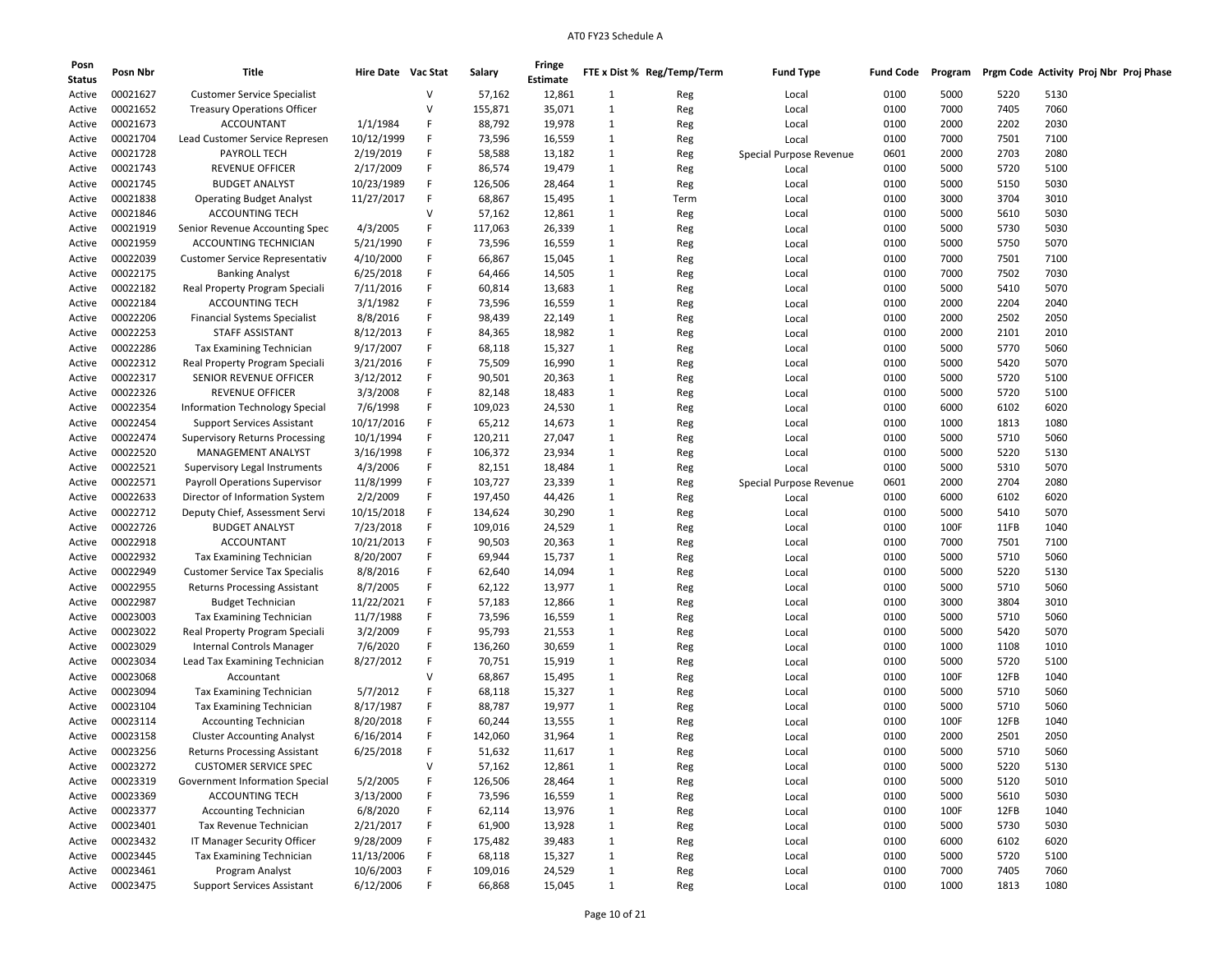| Posn<br><b>Status</b> | Posn Nbr | Title                                 | Hire Date Vac Stat |              | Salary  | Fringe<br><b>Estimate</b> |              | FTE x Dist % Reg/Temp/Term | <b>Fund Type</b>        | <b>Fund Code</b> | Program |      | Prgm Code Activity Proj Nbr Proj Phase |
|-----------------------|----------|---------------------------------------|--------------------|--------------|---------|---------------------------|--------------|----------------------------|-------------------------|------------------|---------|------|----------------------------------------|
| Active                | 00021627 | <b>Customer Service Specialist</b>    |                    | V            | 57,162  | 12,861                    | 1            | Reg                        | Local                   | 0100             | 5000    | 5220 | 5130                                   |
| Active                | 00021652 | <b>Treasury Operations Officer</b>    |                    | V            | 155,871 | 35,071                    | 1            | Reg                        | Local                   | 0100             | 7000    | 7405 | 7060                                   |
| Active                | 00021673 | <b>ACCOUNTANT</b>                     | 1/1/1984           | F            | 88,792  | 19,978                    | 1            | Reg                        | Local                   | 0100             | 2000    | 2202 | 2030                                   |
| Active                | 00021704 | Lead Customer Service Represen        | 10/12/1999         | F            | 73,596  | 16,559                    | 1            | Reg                        | Local                   | 0100             | 7000    | 7501 | 7100                                   |
| Active                | 00021728 | PAYROLL TECH                          | 2/19/2019          | F            | 58,588  | 13,182                    | 1            | Reg                        | Special Purpose Revenue | 0601             | 2000    | 2703 | 2080                                   |
| Active                | 00021743 | <b>REVENUE OFFICER</b>                | 2/17/2009          | F            | 86,574  | 19,479                    | $\mathbf{1}$ | Reg                        | Local                   | 0100             | 5000    | 5720 | 5100                                   |
| Active                | 00021745 | <b>BUDGET ANALYST</b>                 | 10/23/1989         | F            | 126,506 | 28,464                    | $\mathbf{1}$ | Reg                        | Local                   | 0100             | 5000    | 5150 | 5030                                   |
| Active                | 00021838 | <b>Operating Budget Analyst</b>       | 11/27/2017         | F            | 68,867  | 15,495                    | 1            | Term                       | Local                   | 0100             | 3000    | 3704 | 3010                                   |
| Active                | 00021846 | <b>ACCOUNTING TECH</b>                |                    | v            | 57,162  | 12,861                    | 1            | Reg                        | Local                   | 0100             | 5000    | 5610 | 5030                                   |
| Active                | 00021919 | Senior Revenue Accounting Spec        | 4/3/2005           | F            | 117,063 | 26,339                    | 1            | Reg                        | Local                   | 0100             | 5000    | 5730 | 5030                                   |
| Active                | 00021959 | ACCOUNTING TECHNICIAN                 | 5/21/1990          | F            | 73,596  | 16,559                    | $\mathbf{1}$ | Reg                        | Local                   | 0100             | 5000    | 5750 | 5070                                   |
| Active                | 00022039 | Customer Service Representativ        | 4/10/2000          | F            | 66,867  | 15,045                    | $\mathbf{1}$ | Reg                        | Local                   | 0100             | 7000    | 7501 | 7100                                   |
| Active                | 00022175 | <b>Banking Analyst</b>                | 6/25/2018          | F            | 64,466  | 14,505                    | 1            | Reg                        | Local                   | 0100             | 7000    | 7502 | 7030                                   |
| Active                | 00022182 | Real Property Program Speciali        | 7/11/2016          | F            | 60,814  | 13,683                    | 1            | Reg                        | Local                   | 0100             | 5000    | 5410 | 5070                                   |
| Active                | 00022184 | <b>ACCOUNTING TECH</b>                | 3/1/1982           | F            | 73,596  | 16,559                    | 1            | Reg                        | Local                   | 0100             | 2000    | 2204 | 2040                                   |
| Active                | 00022206 | <b>Financial Systems Specialist</b>   | 8/8/2016           | F            | 98,439  | 22,149                    | $\mathbf{1}$ | Reg                        | Local                   | 0100             | 2000    | 2502 | 2050                                   |
| Active                | 00022253 | STAFF ASSISTANT                       | 8/12/2013          | F            | 84,365  | 18,982                    | $\mathbf{1}$ | Reg                        | Local                   | 0100             | 2000    | 2101 | 2010                                   |
|                       | 00022286 | <b>Tax Examining Technician</b>       | 9/17/2007          | F            | 68,118  | 15,327                    | 1            |                            | Local                   | 0100             | 5000    | 5770 | 5060                                   |
| Active                | 00022312 | Real Property Program Speciali        | 3/21/2016          | F            | 75,509  | 16,990                    | 1            | Reg                        |                         | 0100             | 5000    | 5420 | 5070                                   |
| Active                | 00022317 | SENIOR REVENUE OFFICER                |                    | F            | 90,501  |                           |              | Reg                        | Local                   |                  |         |      | 5100                                   |
| Active                | 00022326 | REVENUE OFFICER                       | 3/12/2012          |              |         | 20,363                    | 1            | Reg                        | Local                   | 0100             | 5000    | 5720 |                                        |
| Active                |          |                                       | 3/3/2008           | F            | 82,148  | 18,483                    | $\mathbf{1}$ | Reg                        | Local                   | 0100             | 5000    | 5720 | 5100                                   |
| Active                | 00022354 | <b>Information Technology Special</b> | 7/6/1998           | F            | 109,023 | 24,530                    | $\mathbf{1}$ | Reg                        | Local                   | 0100             | 6000    | 6102 | 6020                                   |
| Active                | 00022454 | <b>Support Services Assistant</b>     | 10/17/2016         | F            | 65,212  | 14,673                    | 1            | Reg                        | Local                   | 0100             | 1000    | 1813 | 1080                                   |
| Active                | 00022474 | <b>Supervisory Returns Processing</b> | 10/1/1994          | F            | 120,211 | 27,047                    | 1            | Reg                        | Local                   | 0100             | 5000    | 5710 | 5060                                   |
| Active                | 00022520 | MANAGEMENT ANALYST                    | 3/16/1998          | F            | 106,372 | 23,934                    | 1            | Reg                        | Local                   | 0100             | 5000    | 5220 | 5130                                   |
| Active                | 00022521 | Supervisory Legal Instruments         | 4/3/2006           | F            | 82,151  | 18,484                    | $\mathbf{1}$ | Reg                        | Local                   | 0100             | 5000    | 5310 | 5070                                   |
| Active                | 00022571 | <b>Payroll Operations Supervisor</b>  | 11/8/1999          | F            | 103,727 | 23,339                    | $\mathbf{1}$ | Reg                        | Special Purpose Revenue | 0601             | 2000    | 2704 | 2080                                   |
| Active                | 00022633 | Director of Information System        | 2/2/2009           | F            | 197,450 | 44,426                    | 1            | Reg                        | Local                   | 0100             | 6000    | 6102 | 6020                                   |
| Active                | 00022712 | Deputy Chief, Assessment Servi        | 10/15/2018         | F            | 134,624 | 30,290                    | 1            | Reg                        | Local                   | 0100             | 5000    | 5410 | 5070                                   |
| Active                | 00022726 | <b>BUDGET ANALYST</b>                 | 7/23/2018          | F            | 109,016 | 24,529                    | 1            | Reg                        | Local                   | 0100             | 100F    | 11FB | 1040                                   |
| Active                | 00022918 | <b>ACCOUNTANT</b>                     | 10/21/2013         | F            | 90,503  | 20,363                    | 1            | Reg                        | Local                   | 0100             | 7000    | 7501 | 7100                                   |
| Active                | 00022932 | <b>Tax Examining Technician</b>       | 8/20/2007          | F            | 69,944  | 15,737                    | 1            | Reg                        | Local                   | 0100             | 5000    | 5710 | 5060                                   |
| Active                | 00022949 | <b>Customer Service Tax Specialis</b> | 8/8/2016           | F            | 62,640  | 14,094                    | 1            | Reg                        | Local                   | 0100             | 5000    | 5220 | 5130                                   |
| Active                | 00022955 | <b>Returns Processing Assistant</b>   | 8/7/2005           | F            | 62,122  | 13,977                    | 1            | Reg                        | Local                   | 0100             | 5000    | 5710 | 5060                                   |
| Active                | 00022987 | <b>Budget Technician</b>              | 11/22/2021         | F            | 57,183  | 12,866                    | 1            | Reg                        | Local                   | 0100             | 3000    | 3804 | 3010                                   |
| Active                | 00023003 | Tax Examining Technician              | 11/7/1988          | F            | 73,596  | 16,559                    | $\mathbf{1}$ | Reg                        | Local                   | 0100             | 5000    | 5710 | 5060                                   |
| Active                | 00023022 | Real Property Program Speciali        | 3/2/2009           | F            | 95,793  | 21,553                    | $\mathbf{1}$ | Reg                        | Local                   | 0100             | 5000    | 5420 | 5070                                   |
| Active                | 00023029 | Internal Controls Manager             | 7/6/2020           | F            | 136,260 | 30,659                    | 1            | Reg                        | Local                   | 0100             | 1000    | 1108 | 1010                                   |
| Active                | 00023034 | Lead Tax Examining Technician         | 8/27/2012          | F            | 70,751  | 15,919                    | 1            | Reg                        | Local                   | 0100             | 5000    | 5720 | 5100                                   |
| Active                | 00023068 | Accountant                            |                    | v            | 68,867  | 15,495                    | 1            | Reg                        | Local                   | 0100             | 100F    | 12FB | 1040                                   |
| Active                | 00023094 | <b>Tax Examining Technician</b>       | 5/7/2012           | F            | 68,118  | 15,327                    | $\mathbf{1}$ | Reg                        | Local                   | 0100             | 5000    | 5710 | 5060                                   |
| Active                | 00023104 | <b>Tax Examining Technician</b>       | 8/17/1987          | F            | 88,787  | 19,977                    | 1            | Reg                        | Local                   | 0100             | 5000    | 5710 | 5060                                   |
| Active                | 00023114 | <b>Accounting Technician</b>          | 8/20/2018          | F            | 60,244  | 13,555                    | 1            | Reg                        | Local                   | 0100             | 100F    | 12FB | 1040                                   |
| Active                | 00023158 | <b>Cluster Accounting Analyst</b>     | 6/16/2014          | F            | 142,060 | 31,964                    | 1            | Reg                        | Local                   | 0100             | 2000    | 2501 | 2050                                   |
| Active                | 00023256 | <b>Returns Processing Assistant</b>   | 6/25/2018          | F            | 51,632  | 11,617                    | 1            | Reg                        | Local                   | 0100             | 5000    | 5710 | 5060                                   |
| Active                | 00023272 | <b>CUSTOMER SERVICE SPEC</b>          |                    | $\mathsf{V}$ | 57,162  | 12,861                    | 1            | Reg                        | Local                   | 0100             | 5000    | 5220 | 5130                                   |
| Active                | 00023319 | Government Information Special        | 5/2/2005           | F            | 126,506 | 28,464                    | 1            | Reg                        | Local                   | 0100             | 5000    | 5120 | 5010                                   |
| Active                | 00023369 | <b>ACCOUNTING TECH</b>                | 3/13/2000          | F            | 73,596  | 16,559                    | $\mathbf{1}$ | Reg                        | Local                   | 0100             | 5000    | 5610 | 5030                                   |
| Active                | 00023377 | <b>Accounting Technician</b>          | 6/8/2020           | F            | 62,114  | 13,976                    | $\mathbf{1}$ | Reg                        | Local                   | 0100             | 100F    | 12FB | 1040                                   |
| Active                | 00023401 | Tax Revenue Technician                | 2/21/2017          | F            | 61,900  | 13,928                    | 1            | Reg                        | Local                   | 0100             | 5000    | 5730 | 5030                                   |
| Active                | 00023432 | IT Manager Security Officer           | 9/28/2009          | F            | 175,482 | 39,483                    | 1            | Reg                        | Local                   | 0100             | 6000    | 6102 | 6020                                   |
| Active                | 00023445 | Tax Examining Technician              | 11/13/2006         | F            | 68,118  | 15,327                    | 1            | Reg                        | Local                   | 0100             | 5000    | 5720 | 5100                                   |
| Active                | 00023461 | Program Analyst                       | 10/6/2003          | F            | 109,016 | 24,529                    | $\mathbf{1}$ | Reg                        | Local                   | 0100             | 7000    | 7405 | 7060                                   |
| Active                | 00023475 | <b>Support Services Assistant</b>     | 6/12/2006          | F            | 66,868  | 15,045                    | $\mathbf{1}$ | Reg                        | Local                   | 0100             | 1000    | 1813 | 1080                                   |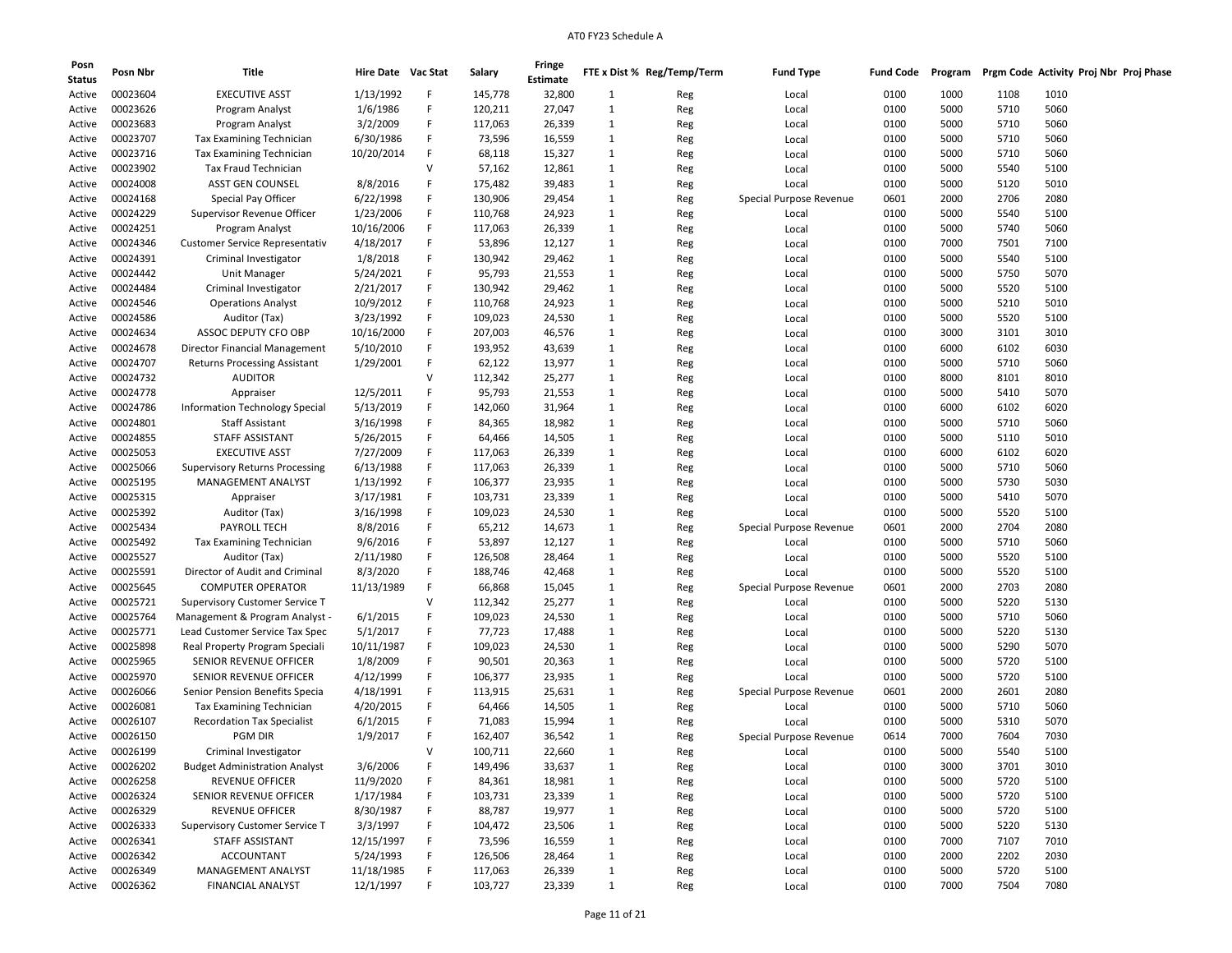| Posn<br><b>Status</b> | Posn Nbr        | Title                                             | Hire Date Vac Stat |        | Salary  | Fringe<br><b>Estimate</b> |              | FTE x Dist % Reg/Temp/Term | <b>Fund Type</b>        | <b>Fund Code</b> | Program |      | Prgm Code Activity Proj Nbr Proj Phase |  |
|-----------------------|-----------------|---------------------------------------------------|--------------------|--------|---------|---------------------------|--------------|----------------------------|-------------------------|------------------|---------|------|----------------------------------------|--|
| Active                | 00023604        | <b>EXECUTIVE ASST</b>                             | 1/13/1992          | F      | 145,778 | 32,800                    | 1            | Reg                        | Local                   | 0100             | 1000    | 1108 | 1010                                   |  |
| Active                | 00023626        | Program Analyst                                   | 1/6/1986           | F      | 120,211 | 27,047                    | $\mathbf{1}$ | Reg                        | Local                   | 0100             | 5000    | 5710 | 5060                                   |  |
| Active                | 00023683        | Program Analyst                                   | 3/2/2009           | F      | 117,063 | 26,339                    | 1            | Reg                        | Local                   | 0100             | 5000    | 5710 | 5060                                   |  |
| Active                | 00023707        | <b>Tax Examining Technician</b>                   | 6/30/1986          | F      | 73,596  | 16,559                    | 1            | Reg                        | Local                   | 0100             | 5000    | 5710 | 5060                                   |  |
| Active                | 00023716        | Tax Examining Technician                          | 10/20/2014         | F      | 68,118  | 15,327                    | 1            | Reg                        | Local                   | 0100             | 5000    | 5710 | 5060                                   |  |
| Active                | 00023902        | <b>Tax Fraud Technician</b>                       |                    | v      | 57,162  | 12,861                    | $\mathbf{1}$ | Reg                        | Local                   | 0100             | 5000    | 5540 | 5100                                   |  |
| Active                | 00024008        | ASST GEN COUNSEL                                  | 8/8/2016           | F      | 175,482 | 39,483                    | 1            | Reg                        | Local                   | 0100             | 5000    | 5120 | 5010                                   |  |
| Active                | 00024168        | Special Pay Officer                               | 6/22/1998          | F      | 130,906 | 29,454                    | $\mathbf{1}$ |                            | Special Purpose Revenue | 0601             | 2000    | 2706 | 2080                                   |  |
| Active                | 00024229        | Supervisor Revenue Officer                        | 1/23/2006          | F      | 110,768 | 24,923                    | 1            | Reg                        | Local                   | 0100             | 5000    | 5540 | 5100                                   |  |
|                       | 00024251        |                                                   | 10/16/2006         | F      | 117,063 | 26,339                    | 1            | Reg                        |                         | 0100             | 5000    | 5740 | 5060                                   |  |
| Active                | 00024346        | Program Analyst<br>Customer Service Representativ | 4/18/2017          | F      |         |                           |              | Reg                        | Local                   |                  |         |      |                                        |  |
| Active                |                 |                                                   |                    | F      | 53,896  | 12,127                    | $\mathbf{1}$ | Reg                        | Local                   | 0100             | 7000    | 7501 | 7100                                   |  |
| Active                | 00024391        | Criminal Investigator                             | 1/8/2018           | F      | 130,942 | 29,462                    | 1            | Reg                        | Local                   | 0100             | 5000    | 5540 | 5100                                   |  |
| Active                | 00024442        | Unit Manager                                      | 5/24/2021          |        | 95,793  | 21,553                    | 1            | Reg                        | Local                   | 0100             | 5000    | 5750 | 5070                                   |  |
| Active                | 00024484        | Criminal Investigator                             | 2/21/2017          | F      | 130,942 | 29,462                    | 1            | Reg                        | Local                   | 0100             | 5000    | 5520 | 5100                                   |  |
| Active                | 00024546        | <b>Operations Analyst</b>                         | 10/9/2012          | F      | 110,768 | 24,923                    | 1            | Reg                        | Local                   | 0100             | 5000    | 5210 | 5010                                   |  |
| Active                | 00024586        | Auditor (Tax)                                     | 3/23/1992          | F      | 109,023 | 24,530                    | $\mathbf{1}$ | Reg                        | Local                   | 0100             | 5000    | 5520 | 5100                                   |  |
| Active                | 00024634        | ASSOC DEPUTY CFO OBP                              | 10/16/2000         | F      | 207,003 | 46,576                    | 1            | Reg                        | Local                   | 0100             | 3000    | 3101 | 3010                                   |  |
| Active                | 00024678        | Director Financial Management                     | 5/10/2010          | F      | 193,952 | 43,639                    | 1            | Reg                        | Local                   | 0100             | 6000    | 6102 | 6030                                   |  |
| Active                | 00024707        | <b>Returns Processing Assistant</b>               | 1/29/2001          | F      | 62,122  | 13,977                    | 1            | Reg                        | Local                   | 0100             | 5000    | 5710 | 5060                                   |  |
| Active                | 00024732        | <b>AUDITOR</b>                                    |                    | v      | 112,342 | 25,277                    | 1            | Reg                        | Local                   | 0100             | 8000    | 8101 | 8010                                   |  |
| Active                | 00024778        | Appraiser                                         | 12/5/2011          | F      | 95,793  | 21,553                    | $\mathbf{1}$ | Reg                        | Local                   | 0100             | 5000    | 5410 | 5070                                   |  |
| Active                | 00024786        | Information Technology Special                    | 5/13/2019          | F      | 142,060 | 31,964                    | 1            | Reg                        | Local                   | 0100             | 6000    | 6102 | 6020                                   |  |
| Active                | 00024801        | <b>Staff Assistant</b>                            | 3/16/1998          | F      | 84,365  | 18,982                    | 1            | Reg                        | Local                   | 0100             | 5000    | 5710 | 5060                                   |  |
| Active                | 00024855        | STAFF ASSISTANT                                   | 5/26/2015          | F      | 64,466  | 14,505                    | 1            | Reg                        | Local                   | 0100             | 5000    | 5110 | 5010                                   |  |
| Active                | 00025053        | <b>EXECUTIVE ASST</b>                             | 7/27/2009          | F      | 117,063 | 26,339                    | 1            | Reg                        | Local                   | 0100             | 6000    | 6102 | 6020                                   |  |
| Active                | 00025066        | <b>Supervisory Returns Processing</b>             | 6/13/1988          | F      | 117,063 | 26,339                    | $\mathbf{1}$ | Reg                        | Local                   | 0100             | 5000    | 5710 | 5060                                   |  |
| Active                | 00025195        | MANAGEMENT ANALYST                                | 1/13/1992          | F      | 106,377 | 23,935                    | 1            | Reg                        | Local                   | 0100             | 5000    | 5730 | 5030                                   |  |
| Active                | 00025315        | Appraiser                                         | 3/17/1981          | F      | 103,731 | 23,339                    | 1            | Reg                        | Local                   | 0100             | 5000    | 5410 | 5070                                   |  |
| Active                | 00025392        | Auditor (Tax)                                     | 3/16/1998          | F      | 109,023 | 24,530                    | 1            | Reg                        | Local                   | 0100             | 5000    | 5520 | 5100                                   |  |
| Active                | 00025434        | PAYROLL TECH                                      | 8/8/2016           | F      | 65,212  | 14,673                    | 1            | Reg                        | Special Purpose Revenue | 0601             | 2000    | 2704 | 2080                                   |  |
| Active                | 00025492        | Tax Examining Technician                          | 9/6/2016           | F      | 53,897  | 12,127                    | 1            | Reg                        | Local                   | 0100             | 5000    | 5710 | 5060                                   |  |
| Active                | 00025527        | Auditor (Tax)                                     | 2/11/1980          | F      | 126,508 | 28,464                    | 1            | Reg                        | Local                   | 0100             | 5000    | 5520 | 5100                                   |  |
| Active                | 00025591        | Director of Audit and Criminal                    | 8/3/2020           | F      | 188,746 | 42,468                    | 1            | Reg                        | Local                   | 0100             | 5000    | 5520 | 5100                                   |  |
| Active                | 00025645        | <b>COMPUTER OPERATOR</b>                          | 11/13/1989         | F      | 66,868  | 15,045                    | 1            | Reg                        | Special Purpose Revenue | 0601             | 2000    | 2703 | 2080                                   |  |
| Active                | 00025721        | <b>Supervisory Customer Service T</b>             |                    | v      | 112,342 | 25,277                    | 1            | Reg                        | Local                   | 0100             | 5000    | 5220 | 5130                                   |  |
| Active                | 00025764        | Management & Program Analyst -                    | 6/1/2015           | F      | 109,023 | 24,530                    | $\mathbf{1}$ | Reg                        | Local                   | 0100             | 5000    | 5710 | 5060                                   |  |
| Active                | 00025771        | Lead Customer Service Tax Spec                    | 5/1/2017           | F      | 77,723  | 17,488                    | 1            | Reg                        | Local                   | 0100             | 5000    | 5220 | 5130                                   |  |
| Active                | 00025898        | Real Property Program Speciali                    | 10/11/1987         | F      | 109,023 | 24,530                    | 1            | Reg                        | Local                   | 0100             | 5000    | 5290 | 5070                                   |  |
| Active                | 00025965        | SENIOR REVENUE OFFICER                            | 1/8/2009           | F      | 90,501  | 20,363                    | 1            | Reg                        | Local                   | 0100             | 5000    | 5720 | 5100                                   |  |
| Active                | 00025970        | SENIOR REVENUE OFFICER                            | 4/12/1999          | F      | 106,377 | 23,935                    | 1            | Reg                        | Local                   | 0100             | 5000    | 5720 | 5100                                   |  |
| Active                | 00026066        | Senior Pension Benefits Specia                    | 4/18/1991          | F      | 113,915 | 25,631                    | $\mathbf{1}$ | Reg                        | Special Purpose Revenue | 0601             | 2000    | 2601 | 2080                                   |  |
| Active                | 00026081        | Tax Examining Technician                          | 4/20/2015          | F      | 64,466  | 14,505                    | 1            | Reg                        | Local                   | 0100             | 5000    | 5710 | 5060                                   |  |
| Active                | 00026107        | <b>Recordation Tax Specialist</b>                 | 6/1/2015           | F      | 71,083  | 15,994                    | 1            | Reg                        | Local                   | 0100             | 5000    | 5310 | 5070                                   |  |
| Active                | 00026150        | <b>PGM DIR</b>                                    | 1/9/2017           | F      | 162,407 | 36,542                    | 1            | Reg                        | Special Purpose Revenue | 0614             | 7000    | 7604 | 7030                                   |  |
| Active                | 00026199        | Criminal Investigator                             |                    | $\vee$ | 100,711 | 22,660                    | 1            | Reg                        | Local                   | 0100             | 5000    | 5540 | 5100                                   |  |
| Active                | 00026202        | <b>Budget Administration Analyst</b>              | 3/6/2006           | F      | 149,496 | 33,637                    | $\mathbf{1}$ | Reg                        | Local                   | 0100             | 3000    | 3701 | 3010                                   |  |
| Active                | 00026258        | <b>REVENUE OFFICER</b>                            | 11/9/2020          | F      | 84,361  | 18,981                    | 1            | Reg                        | Local                   | 0100             | 5000    | 5720 | 5100                                   |  |
| Active                | 00026324        | SENIOR REVENUE OFFICER                            | 1/17/1984          | F      | 103,731 | 23,339                    | $\mathbf{1}$ | Reg                        | Local                   | 0100             | 5000    | 5720 | 5100                                   |  |
| Active                | 00026329        | <b>REVENUE OFFICER</b>                            | 8/30/1987          | F      | 88,787  | 19,977                    | $\mathbf{1}$ | Reg                        | Local                   | 0100             | 5000    | 5720 | 5100                                   |  |
| Active                | 00026333        | <b>Supervisory Customer Service T</b>             | 3/3/1997           | F      | 104,472 | 23,506                    | $\mathbf{1}$ | Reg                        | Local                   | 0100             | 5000    | 5220 | 5130                                   |  |
| Active                | 00026341        | <b>STAFF ASSISTANT</b>                            | 12/15/1997         | F      | 73,596  | 16,559                    | $\mathbf{1}$ | Reg                        | Local                   | 0100             | 7000    | 7107 | 7010                                   |  |
| Active                | 00026342        | ACCOUNTANT                                        | 5/24/1993          | F      | 126,506 | 28,464                    | $\mathbf{1}$ | Reg                        | Local                   | 0100             | 2000    | 2202 | 2030                                   |  |
| Active                | 00026349        | MANAGEMENT ANALYST                                | 11/18/1985         | F      | 117,063 | 26,339                    | $\mathbf{1}$ | Reg                        | Local                   | 0100             | 5000    | 5720 | 5100                                   |  |
|                       | Active 00026362 | <b>FINANCIAL ANALYST</b>                          | 12/1/1997          | F      | 103,727 | 23,339                    | $\mathbf{1}$ | Reg                        | Local                   | 0100             | 7000    | 7504 | 7080                                   |  |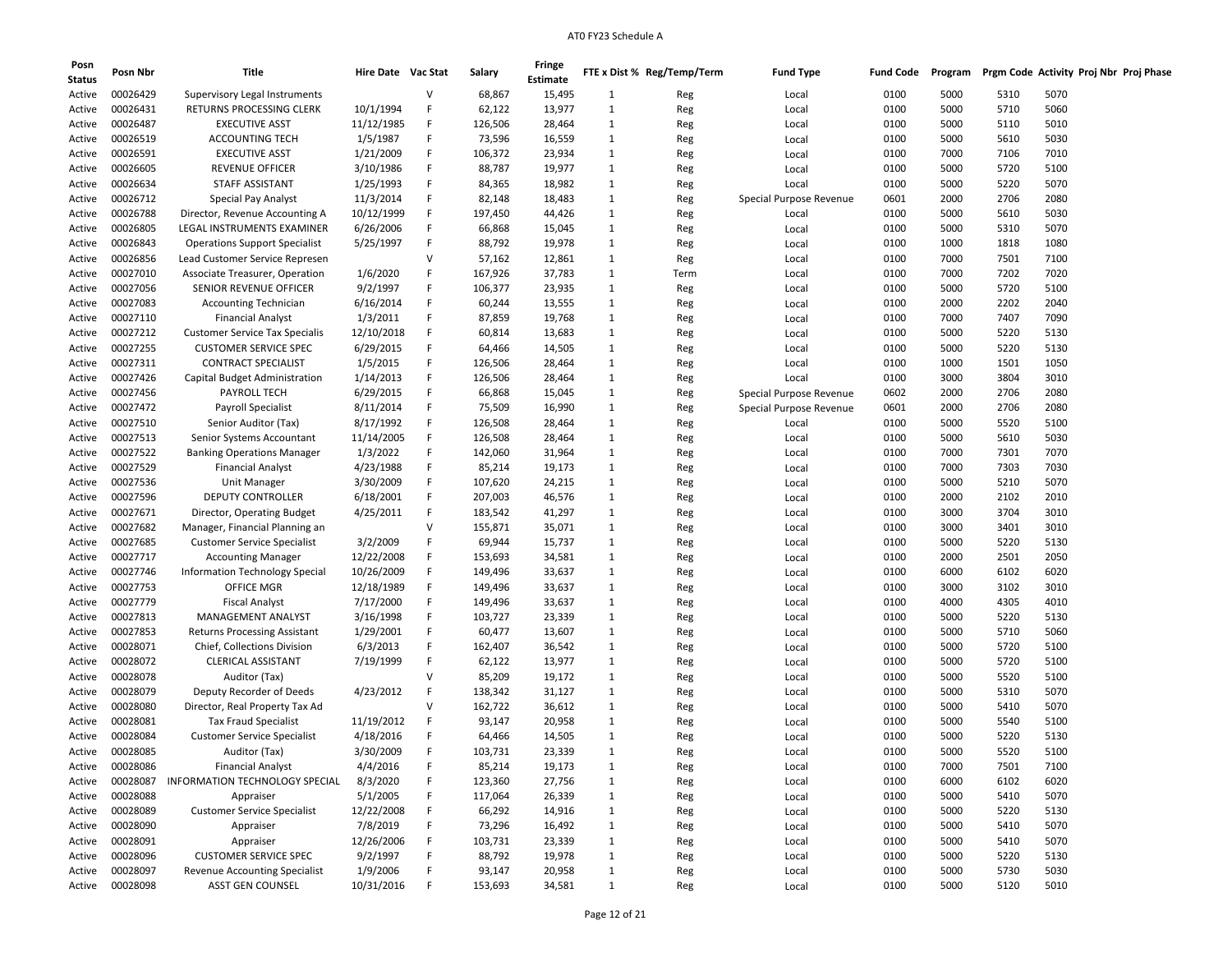| Posn<br><b>Status</b> | Posn Nbr | Title                                 | Hire Date Vac Stat |   | Salary  | Fringe<br>Estimate |                              | FTE x Dist % Reg/Temp/Term | <b>Fund Type</b>        | <b>Fund Code</b> | Program |      | Prgm Code Activity Proj Nbr Proj Phase |  |
|-----------------------|----------|---------------------------------------|--------------------|---|---------|--------------------|------------------------------|----------------------------|-------------------------|------------------|---------|------|----------------------------------------|--|
| Active                | 00026429 | Supervisory Legal Instruments         |                    | v | 68,867  | 15,495             | 1                            | Reg                        | Local                   | 0100             | 5000    | 5310 | 5070                                   |  |
| Active                | 00026431 | RETURNS PROCESSING CLERK              | 10/1/1994          | F | 62,122  | 13,977             | 1                            | Reg                        | Local                   | 0100             | 5000    | 5710 | 5060                                   |  |
| Active                | 00026487 | <b>EXECUTIVE ASST</b>                 | 11/12/1985         | F | 126,506 | 28,464             | 1                            | Reg                        | Local                   | 0100             | 5000    | 5110 | 5010                                   |  |
| Active                | 00026519 | <b>ACCOUNTING TECH</b>                | 1/5/1987           | F | 73,596  | 16,559             | 1                            | Reg                        | Local                   | 0100             | 5000    | 5610 | 5030                                   |  |
| Active                | 00026591 | <b>EXECUTIVE ASST</b>                 | 1/21/2009          | F | 106,372 | 23,934             | $\mathbf{1}$                 | Reg                        | Local                   | 0100             | 7000    | 7106 | 7010                                   |  |
| Active                | 00026605 | <b>REVENUE OFFICER</b>                | 3/10/1986          | F | 88,787  | 19,977             | $\mathbf{1}$                 | Reg                        | Local                   | 0100             | 5000    | 5720 | 5100                                   |  |
| Active                | 00026634 | STAFF ASSISTANT                       | 1/25/1993          | F | 84,365  | 18,982             | $\mathbf{1}$                 | Reg                        | Local                   | 0100             | 5000    | 5220 | 5070                                   |  |
| Active                | 00026712 | Special Pay Analyst                   | 11/3/2014          | F | 82,148  | 18,483             | $\mathbf{1}$                 | Reg                        | Special Purpose Revenue | 0601             | 2000    | 2706 | 2080                                   |  |
| Active                | 00026788 | Director, Revenue Accounting A        | 10/12/1999         | F | 197,450 | 44,426             | $\mathbf{1}$                 | Reg                        | Local                   | 0100             | 5000    | 5610 | 5030                                   |  |
| Active                | 00026805 | LEGAL INSTRUMENTS EXAMINER            | 6/26/2006          | F | 66,868  | 15,045             | 1                            | Reg                        | Local                   | 0100             | 5000    | 5310 | 5070                                   |  |
| Active                | 00026843 | <b>Operations Support Specialist</b>  | 5/25/1997          | F | 88,792  | 19,978             | $\mathbf{1}$                 | Reg                        | Local                   | 0100             | 1000    | 1818 | 1080                                   |  |
| Active                | 00026856 | Lead Customer Service Represen        |                    | v | 57,162  | 12,861             | 1                            | Reg                        | Local                   | 0100             | 7000    | 7501 | 7100                                   |  |
| Active                | 00027010 | Associate Treasurer, Operation        | 1/6/2020           | F | 167,926 | 37,783             | $\mathbf{1}$                 | Term                       | Local                   | 0100             | 7000    | 7202 | 7020                                   |  |
| Active                | 00027056 | SENIOR REVENUE OFFICER                | 9/2/1997           | F | 106,377 | 23,935             | $\mathbf{1}$                 | Reg                        | Local                   | 0100             | 5000    | 5720 | 5100                                   |  |
| Active                | 00027083 | <b>Accounting Technician</b>          | 6/16/2014          | F | 60,244  | 13,555             | 1                            | Reg                        | Local                   | 0100             | 2000    | 2202 | 2040                                   |  |
| Active                | 00027110 | <b>Financial Analyst</b>              | 1/3/2011           | F | 87,859  | 19,768             | $\mathbf{1}$                 | Reg                        | Local                   | 0100             | 7000    | 7407 | 7090                                   |  |
| Active                | 00027212 | <b>Customer Service Tax Specialis</b> | 12/10/2018         | F | 60,814  | 13,683             | $\mathbf{1}$                 | Reg                        | Local                   | 0100             | 5000    | 5220 | 5130                                   |  |
| Active                | 00027255 | <b>CUSTOMER SERVICE SPEC</b>          | 6/29/2015          | F | 64,466  | 14,505             | $\mathbf{1}$                 | Reg                        | Local                   | 0100             | 5000    | 5220 | 5130                                   |  |
| Active                | 00027311 | <b>CONTRACT SPECIALIST</b>            | 1/5/2015           | F | 126,506 | 28,464             | $\mathbf{1}$                 | Reg                        | Local                   | 0100             | 1000    | 1501 | 1050                                   |  |
| Active                | 00027426 | Capital Budget Administration         | 1/14/2013          | F | 126,506 | 28,464             | 1                            | Reg                        | Local                   | 0100             | 3000    | 3804 | 3010                                   |  |
| Active                | 00027456 | <b>PAYROLL TECH</b>                   | 6/29/2015          | F | 66,868  | 15,045             | $\mathbf{1}$                 | Reg                        | Special Purpose Revenue | 0602             | 2000    | 2706 | 2080                                   |  |
| Active                | 00027472 | <b>Payroll Specialist</b>             | 8/11/2014          | F | 75,509  | 16,990             | $\mathbf{1}$                 | Reg                        | Special Purpose Revenue | 0601             | 2000    | 2706 | 2080                                   |  |
| Active                | 00027510 | Senior Auditor (Tax)                  | 8/17/1992          | F | 126,508 | 28,464             | $\mathbf{1}$                 |                            | Local                   | 0100             | 5000    | 5520 | 5100                                   |  |
| Active                | 00027513 | Senior Systems Accountant             | 11/14/2005         | F | 126,508 | 28,464             | $\mathbf{1}$                 | Reg<br>Reg                 | Local                   | 0100             | 5000    | 5610 | 5030                                   |  |
|                       | 00027522 |                                       | 1/3/2022           | F | 142,060 | 31,964             | $\mathbf{1}$                 |                            |                         | 0100             | 7000    | 7301 | 7070                                   |  |
| Active                | 00027529 | <b>Banking Operations Manager</b>     |                    | F |         |                    |                              | Reg                        | Local                   |                  |         |      |                                        |  |
| Active                |          | <b>Financial Analyst</b>              | 4/23/1988          | F | 85,214  | 19,173             | $\mathbf{1}$<br>$\mathbf{1}$ | Reg                        | Local                   | 0100             | 7000    | 7303 | 7030                                   |  |
| Active                | 00027536 | Unit Manager                          | 3/30/2009          |   | 107,620 | 24,215             |                              | Reg                        | Local                   | 0100             | 5000    | 5210 | 5070                                   |  |
| Active                | 00027596 | DEPUTY CONTROLLER                     | 6/18/2001          | F | 207,003 | 46,576             | $\mathbf{1}$                 | Reg                        | Local                   | 0100             | 2000    | 2102 | 2010                                   |  |
| Active                | 00027671 | Director, Operating Budget            | 4/25/2011          | F | 183,542 | 41,297             | $\mathbf{1}$                 | Reg                        | Local                   | 0100             | 3000    | 3704 | 3010                                   |  |
| Active                | 00027682 | Manager, Financial Planning an        |                    | v | 155,871 | 35,071             | 1                            | Reg                        | Local                   | 0100             | 3000    | 3401 | 3010                                   |  |
| Active                | 00027685 | <b>Customer Service Specialist</b>    | 3/2/2009           | F | 69,944  | 15,737             | $\mathbf{1}$                 | Reg                        | Local                   | 0100             | 5000    | 5220 | 5130                                   |  |
| Active                | 00027717 | <b>Accounting Manager</b>             | 12/22/2008         | F | 153,693 | 34,581             | $\mathbf{1}$                 | Reg                        | Local                   | 0100             | 2000    | 2501 | 2050                                   |  |
| Active                | 00027746 | <b>Information Technology Special</b> | 10/26/2009         | F | 149,496 | 33,637             | $\mathbf{1}$                 | Reg                        | Local                   | 0100             | 6000    | 6102 | 6020                                   |  |
| Active                | 00027753 | OFFICE MGR                            | 12/18/1989         | F | 149,496 | 33,637             | $\mathbf{1}$                 | Reg                        | Local                   | 0100             | 3000    | 3102 | 3010                                   |  |
| Active                | 00027779 | <b>Fiscal Analyst</b>                 | 7/17/2000          | F | 149,496 | 33,637             | 1                            | Reg                        | Local                   | 0100             | 4000    | 4305 | 4010                                   |  |
| Active                | 00027813 | MANAGEMENT ANALYST                    | 3/16/1998          | F | 103,727 | 23,339             | $\mathbf{1}$                 | Reg                        | Local                   | 0100             | 5000    | 5220 | 5130                                   |  |
| Active                | 00027853 | <b>Returns Processing Assistant</b>   | 1/29/2001          | F | 60,477  | 13,607             | $\mathbf{1}$                 | Reg                        | Local                   | 0100             | 5000    | 5710 | 5060                                   |  |
| Active                | 00028071 | Chief, Collections Division           | 6/3/2013           | F | 162,407 | 36,542             | $\mathbf{1}$                 | Reg                        | Local                   | 0100             | 5000    | 5720 | 5100                                   |  |
| Active                | 00028072 | CLERICAL ASSISTANT                    | 7/19/1999          | F | 62,122  | 13,977             | $\mathbf{1}$                 | Reg                        | Local                   | 0100             | 5000    | 5720 | 5100                                   |  |
| Active                | 00028078 | Auditor (Tax)                         |                    | v | 85,209  | 19,172             | 1                            | Reg                        | Local                   | 0100             | 5000    | 5520 | 5100                                   |  |
| Active                | 00028079 | Deputy Recorder of Deeds              | 4/23/2012          | F | 138,342 | 31,127             | $\mathbf{1}$                 | Reg                        | Local                   | 0100             | 5000    | 5310 | 5070                                   |  |
| Active                | 00028080 | Director, Real Property Tax Ad        |                    | v | 162,722 | 36,612             | $\mathbf{1}$                 | Reg                        | Local                   | 0100             | 5000    | 5410 | 5070                                   |  |
| Active                | 00028081 | <b>Tax Fraud Specialist</b>           | 11/19/2012         | F | 93,147  | 20,958             | $\mathbf{1}$                 | Reg                        | Local                   | 0100             | 5000    | 5540 | 5100                                   |  |
| Active                | 00028084 | <b>Customer Service Specialist</b>    | 4/18/2016          | F | 64,466  | 14,505             | $\mathbf{1}$                 | Reg                        | Local                   | 0100             | 5000    | 5220 | 5130                                   |  |
| Active                | 00028085 | Auditor (Tax)                         | 3/30/2009          | F | 103,731 | 23,339             | 1                            | Reg                        | Local                   | 0100             | 5000    | 5520 | 5100                                   |  |
| Active                | 00028086 | <b>Financial Analyst</b>              | 4/4/2016           | F | 85,214  | 19,173             | $\mathbf{1}$                 | Reg                        | Local                   | 0100             | 7000    | 7501 | 7100                                   |  |
| Active                | 00028087 | INFORMATION TECHNOLOGY SPECIAL        | 8/3/2020           | F | 123,360 | 27,756             | $\mathbf{1}$                 | Reg                        | Local                   | 0100             | 6000    | 6102 | 6020                                   |  |
| Active                | 00028088 | Appraiser                             | 5/1/2005           | F | 117,064 | 26,339             | $\mathbf{1}$                 | Reg                        | Local                   | 0100             | 5000    | 5410 | 5070                                   |  |
| Active                | 00028089 | <b>Customer Service Specialist</b>    | 12/22/2008         | F | 66,292  | 14,916             | $\mathbf{1}$                 | Reg                        | Local                   | 0100             | 5000    | 5220 | 5130                                   |  |
| Active                | 00028090 | Appraiser                             | 7/8/2019           | F | 73,296  | 16,492             | 1                            | Reg                        | Local                   | 0100             | 5000    | 5410 | 5070                                   |  |
| Active                | 00028091 | Appraiser                             | 12/26/2006         | F | 103,731 | 23,339             | $\mathbf{1}$                 | Reg                        | Local                   | 0100             | 5000    | 5410 | 5070                                   |  |
| Active                | 00028096 | <b>CUSTOMER SERVICE SPEC</b>          | 9/2/1997           | F | 88,792  | 19,978             | $\mathbf{1}$                 | Reg                        | Local                   | 0100             | 5000    | 5220 | 5130                                   |  |
| Active                | 00028097 | Revenue Accounting Specialist         | 1/9/2006           | F | 93,147  | 20,958             | $\mathbf{1}$                 | Reg                        | Local                   | 0100             | 5000    | 5730 | 5030                                   |  |
| Active                | 00028098 | ASST GEN COUNSEL                      | 10/31/2016         | F | 153,693 | 34,581             | $\mathbf{1}$                 | Reg                        | Local                   | 0100             | 5000    | 5120 | 5010                                   |  |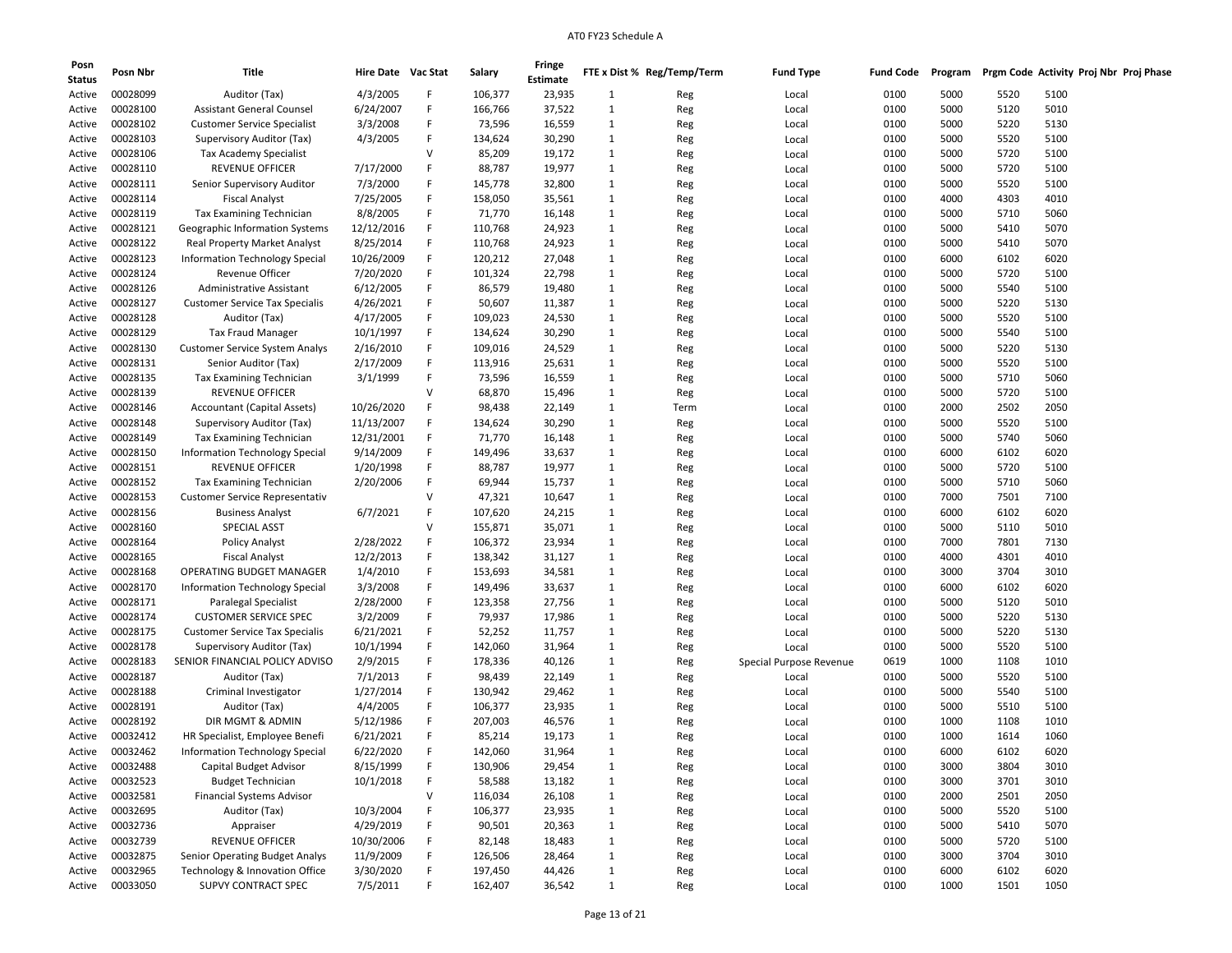| Posn<br><b>Status</b> | Posn Nbr | <b>Title</b>                          | Hire Date Vac Stat |   | Salary  | Fringe<br>Estimate |                   | FTE x Dist % Reg/Temp/Term | <b>Fund Type</b>        | <b>Fund Code</b> | Program |      | Prgm Code Activity Proj Nbr Proj Phase |
|-----------------------|----------|---------------------------------------|--------------------|---|---------|--------------------|-------------------|----------------------------|-------------------------|------------------|---------|------|----------------------------------------|
| Active                | 00028099 | Auditor (Tax)                         | 4/3/2005           | F | 106,377 | 23,935             | 1                 | Reg                        | Local                   | 0100             | 5000    | 5520 | 5100                                   |
| Active                | 00028100 | <b>Assistant General Counsel</b>      | 6/24/2007          | F | 166,766 | 37,522             | 1                 | Reg                        | Local                   | 0100             | 5000    | 5120 | 5010                                   |
| Active                | 00028102 | <b>Customer Service Specialist</b>    | 3/3/2008           | F | 73,596  | 16,559             | 1                 | Reg                        | Local                   | 0100             | 5000    | 5220 | 5130                                   |
| Active                | 00028103 | Supervisory Auditor (Tax)             | 4/3/2005           | F | 134,624 | 30,290             | 1                 | Reg                        | Local                   | 0100             | 5000    | 5520 | 5100                                   |
| Active                | 00028106 | Tax Academy Specialist                |                    | v | 85,209  | 19,172             | 1                 | Reg                        | Local                   | 0100             | 5000    | 5720 | 5100                                   |
| Active                | 00028110 | <b>REVENUE OFFICER</b>                | 7/17/2000          | F | 88,787  | 19,977             | 1                 | Reg                        | Local                   | 0100             | 5000    | 5720 | 5100                                   |
| Active                | 00028111 | Senior Supervisory Auditor            | 7/3/2000           | F | 145,778 | 32,800             | 1                 | Reg                        | Local                   | 0100             | 5000    | 5520 | 5100                                   |
| Active                | 00028114 | <b>Fiscal Analyst</b>                 | 7/25/2005          | F | 158,050 | 35,561             | $\mathbf{1}$      | Reg                        | Local                   | 0100             | 4000    | 4303 | 4010                                   |
| Active                | 00028119 | Tax Examining Technician              | 8/8/2005           | F | 71,770  | 16,148             | 1                 | Reg                        | Local                   | 0100             | 5000    | 5710 | 5060                                   |
| Active                | 00028121 | Geographic Information Systems        | 12/12/2016         | F | 110,768 | 24,923             | $\mathbf{1}$      |                            |                         | 0100             | 5000    | 5410 | 5070                                   |
|                       | 00028122 | <b>Real Property Market Analyst</b>   | 8/25/2014          | F | 110,768 | 24,923             |                   | Reg                        | Local                   | 0100             | 5000    | 5410 | 5070                                   |
| Active                | 00028123 | <b>Information Technology Special</b> |                    | F | 120,212 | 27,048             | 1<br>$\mathbf{1}$ | Reg                        | Local                   | 0100             | 6000    | 6102 | 6020                                   |
| Active                |          |                                       | 10/26/2009         |   |         |                    |                   | Reg                        | Local                   |                  |         |      |                                        |
| Active                | 00028124 | <b>Revenue Officer</b>                | 7/20/2020          | F | 101,324 | 22,798             | $\mathbf{1}$      | Reg                        | Local                   | 0100             | 5000    | 5720 | 5100                                   |
| Active                | 00028126 | Administrative Assistant              | 6/12/2005          | F | 86,579  | 19,480             | 1                 | Reg                        | Local                   | 0100             | 5000    | 5540 | 5100                                   |
| Active                | 00028127 | <b>Customer Service Tax Specialis</b> | 4/26/2021          | F | 50,607  | 11,387             | 1                 | Reg                        | Local                   | 0100             | 5000    | 5220 | 5130                                   |
| Active                | 00028128 | Auditor (Tax)                         | 4/17/2005          | F | 109,023 | 24,530             | 1                 | Reg                        | Local                   | 0100             | 5000    | 5520 | 5100                                   |
| Active                | 00028129 | <b>Tax Fraud Manager</b>              | 10/1/1997          | F | 134,624 | 30,290             | $\mathbf{1}$      | Reg                        | Local                   | 0100             | 5000    | 5540 | 5100                                   |
| Active                | 00028130 | <b>Customer Service System Analys</b> | 2/16/2010          | F | 109,016 | 24,529             | $\mathbf{1}$      | Reg                        | Local                   | 0100             | 5000    | 5220 | 5130                                   |
| Active                | 00028131 | Senior Auditor (Tax)                  | 2/17/2009          | F | 113,916 | 25,631             | 1                 | Reg                        | Local                   | 0100             | 5000    | 5520 | 5100                                   |
| Active                | 00028135 | Tax Examining Technician              | 3/1/1999           | F | 73,596  | 16,559             | $\mathbf{1}$      | Reg                        | Local                   | 0100             | 5000    | 5710 | 5060                                   |
| Active                | 00028139 | <b>REVENUE OFFICER</b>                |                    | v | 68,870  | 15,496             | 1                 | Reg                        | Local                   | 0100             | 5000    | 5720 | 5100                                   |
| Active                | 00028146 | <b>Accountant (Capital Assets)</b>    | 10/26/2020         | F | 98,438  | 22,149             | $\mathbf{1}$      | Term                       | Local                   | 0100             | 2000    | 2502 | 2050                                   |
| Active                | 00028148 | Supervisory Auditor (Tax)             | 11/13/2007         | F | 134,624 | 30,290             | $\mathbf{1}$      | Reg                        | Local                   | 0100             | 5000    | 5520 | 5100                                   |
| Active                | 00028149 | <b>Tax Examining Technician</b>       | 12/31/2001         | F | 71,770  | 16,148             | 1                 | Reg                        | Local                   | 0100             | 5000    | 5740 | 5060                                   |
| Active                | 00028150 | Information Technology Special        | 9/14/2009          | F | 149,496 | 33,637             | 1                 | Reg                        | Local                   | 0100             | 6000    | 6102 | 6020                                   |
| Active                | 00028151 | <b>REVENUE OFFICER</b>                | 1/20/1998          | F | 88,787  | 19,977             | $\mathbf{1}$      | Reg                        | Local                   | 0100             | 5000    | 5720 | 5100                                   |
| Active                | 00028152 | Tax Examining Technician              | 2/20/2006          | F | 69,944  | 15,737             | $\mathbf{1}$      | Reg                        | Local                   | 0100             | 5000    | 5710 | 5060                                   |
| Active                | 00028153 | <b>Customer Service Representativ</b> |                    | v | 47,321  | 10,647             | $\mathbf{1}$      | Reg                        | Local                   | 0100             | 7000    | 7501 | 7100                                   |
| Active                | 00028156 | <b>Business Analyst</b>               | 6/7/2021           | F | 107,620 | 24,215             | 1                 | Reg                        | Local                   | 0100             | 6000    | 6102 | 6020                                   |
| Active                | 00028160 | SPECIAL ASST                          |                    | v | 155,871 | 35,071             | 1                 | Reg                        | Local                   | 0100             | 5000    | 5110 | 5010                                   |
| Active                | 00028164 | <b>Policy Analyst</b>                 | 2/28/2022          | F | 106,372 | 23,934             | $\mathbf{1}$      | Reg                        | Local                   | 0100             | 7000    | 7801 | 7130                                   |
| Active                | 00028165 | <b>Fiscal Analyst</b>                 | 12/2/2013          | F | 138,342 | 31,127             | $\mathbf{1}$      | Reg                        | Local                   | 0100             | 4000    | 4301 | 4010                                   |
| Active                | 00028168 | OPERATING BUDGET MANAGER              | 1/4/2010           | F | 153,693 | 34,581             | 1                 | Reg                        | Local                   | 0100             | 3000    | 3704 | 3010                                   |
| Active                | 00028170 | Information Technology Special        | 3/3/2008           | F | 149,496 | 33,637             | 1                 | Reg                        | Local                   | 0100             | 6000    | 6102 | 6020                                   |
| Active                | 00028171 | Paralegal Specialist                  | 2/28/2000          | F | 123,358 | 27,756             | $\mathbf{1}$      | Reg                        | Local                   | 0100             | 5000    | 5120 | 5010                                   |
| Active                | 00028174 | <b>CUSTOMER SERVICE SPEC</b>          | 3/2/2009           | F | 79,937  | 17,986             | 1                 | Reg                        | Local                   | 0100             | 5000    | 5220 | 5130                                   |
| Active                | 00028175 | <b>Customer Service Tax Specialis</b> | 6/21/2021          | F | 52,252  | 11,757             | $\mathbf{1}$      | Reg                        | Local                   | 0100             | 5000    | 5220 | 5130                                   |
| Active                | 00028178 | Supervisory Auditor (Tax)             | 10/1/1994          | F | 142,060 | 31,964             | $\mathbf{1}$      | Reg                        | Local                   | 0100             | 5000    | 5520 | 5100                                   |
| Active                | 00028183 | SENIOR FINANCIAL POLICY ADVISO        | 2/9/2015           | F | 178,336 | 40,126             | 1                 | Reg                        | Special Purpose Revenue | 0619             | 1000    | 1108 | 1010                                   |
| Active                | 00028187 | Auditor (Tax)                         | 7/1/2013           | F | 98,439  | 22,149             | 1                 | Reg                        | Local                   | 0100             | 5000    | 5520 | 5100                                   |
| Active                | 00028188 | Criminal Investigator                 | 1/27/2014          | F | 130,942 | 29,462             | 1                 | Reg                        | Local                   | 0100             | 5000    | 5540 | 5100                                   |
| Active                | 00028191 | Auditor (Tax)                         | 4/4/2005           | F | 106,377 | 23,935             | $\mathbf{1}$      | Reg                        | Local                   | 0100             | 5000    | 5510 | 5100                                   |
| Active                | 00028192 | DIR MGMT & ADMIN                      | 5/12/1986          |   | 207,003 | 46,576             | $\mathbf{1}$      | Reg                        | Local                   | 0100             | 1000    | 1108 | 1010                                   |
| Active                | 00032412 | HR Specialist, Employee Benefi        | 6/21/2021          | F | 85,214  | 19,173             | $\mathbf{1}$      | Reg                        | Local                   | 0100             | 1000    | 1614 | 1060                                   |
| Active                | 00032462 | <b>Information Technology Special</b> | 6/22/2020          |   | 142,060 | 31,964             | 1                 | Reg                        | Local                   | 0100             | 6000    | 6102 | 6020                                   |
| Active                | 00032488 | Capital Budget Advisor                | 8/15/1999          | F | 130,906 | 29,454             | $\mathbf{1}$      | Reg                        | Local                   | 0100             | 3000    | 3804 | 3010                                   |
| Active                | 00032523 | <b>Budget Technician</b>              | 10/1/2018          | F | 58,588  | 13,182             | $\mathbf{1}$      | Reg                        | Local                   | 0100             | 3000    | 3701 | 3010                                   |
| Active                | 00032581 | <b>Financial Systems Advisor</b>      |                    | V | 116,034 | 26,108             | $\mathbf 1$       | Reg                        | Local                   | 0100             | 2000    | 2501 | 2050                                   |
| Active                | 00032695 | Auditor (Tax)                         | 10/3/2004          | F | 106,377 | 23,935             | $\mathbf{1}$      | Reg                        | Local                   | 0100             | 5000    | 5520 | 5100                                   |
| Active                | 00032736 | Appraiser                             | 4/29/2019          | F | 90,501  | 20,363             | $\mathbf{1}$      | Reg                        | Local                   | 0100             | 5000    | 5410 | 5070                                   |
| Active                | 00032739 | REVENUE OFFICER                       | 10/30/2006         | F | 82,148  | 18,483             | $\mathbf{1}$      | Reg                        | Local                   | 0100             | 5000    | 5720 | 5100                                   |
| Active                | 00032875 | Senior Operating Budget Analys        | 11/9/2009          | F | 126,506 | 28,464             | $\mathbf{1}$      | Reg                        | Local                   | 0100             | 3000    | 3704 | 3010                                   |
| Active                | 00032965 | Technology & Innovation Office        | 3/30/2020          | F | 197,450 | 44,426             | $\mathbf 1$       | Reg                        | Local                   | 0100             | 6000    | 6102 | 6020                                   |
| Active                | 00033050 | SUPVY CONTRACT SPEC                   | 7/5/2011           | F | 162,407 | 36,542             | $\mathbf{1}$      | Reg                        | Local                   | 0100             | 1000    | 1501 | 1050                                   |
|                       |          |                                       |                    |   |         |                    |                   |                            |                         |                  |         |      |                                        |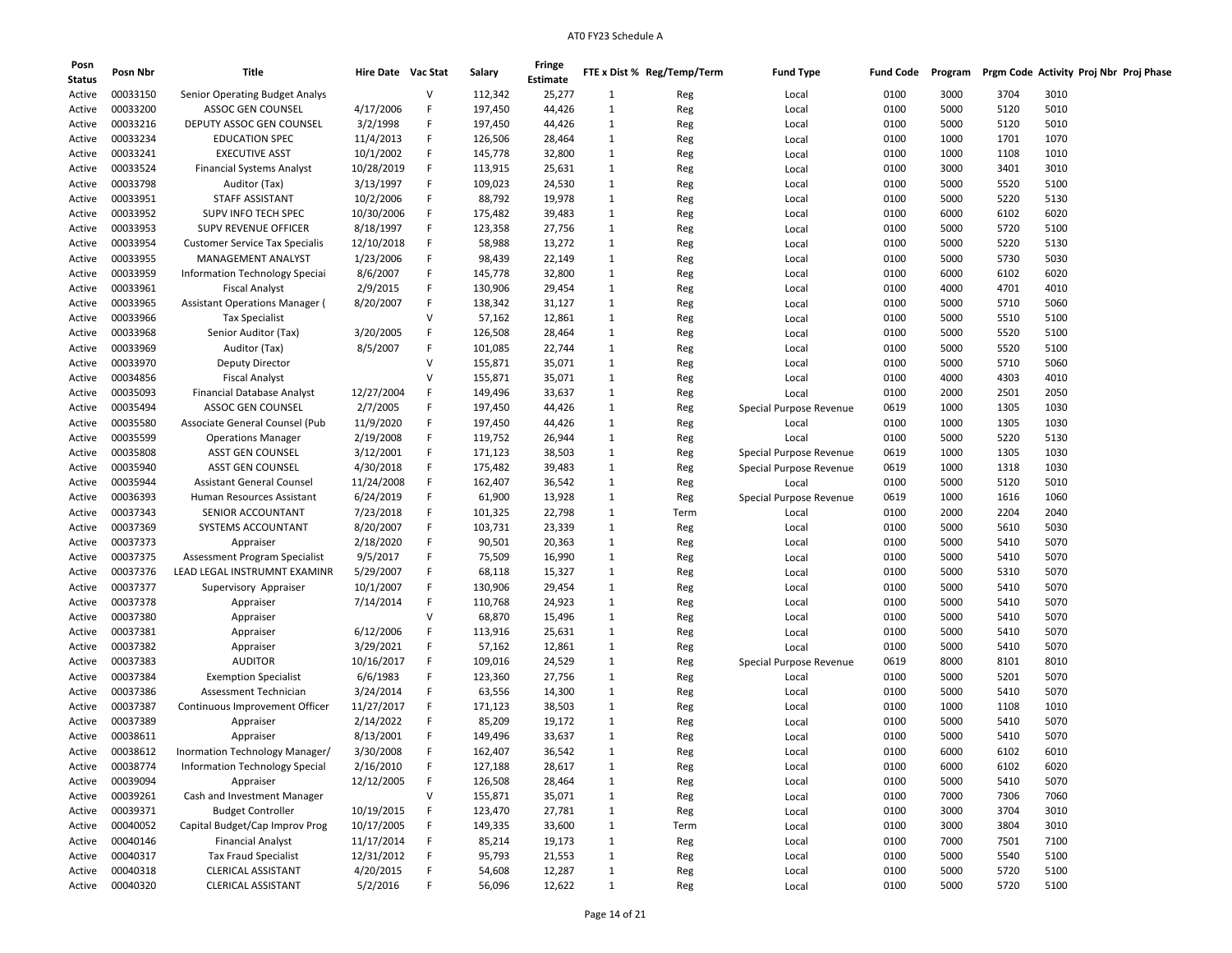| Posn<br><b>Status</b> | Posn Nbr | Title                                                      | Hire Date Vac Stat |   | Salary  | Fringe<br>Estimate |              | FTE x Dist % Reg/Temp/Term | <b>Fund Type</b>        | <b>Fund Code</b> | Program |      | Prgm Code Activity Proj Nbr Proj Phase |
|-----------------------|----------|------------------------------------------------------------|--------------------|---|---------|--------------------|--------------|----------------------------|-------------------------|------------------|---------|------|----------------------------------------|
|                       |          |                                                            |                    |   |         |                    |              |                            |                         |                  |         |      |                                        |
| Active                | 00033150 | Senior Operating Budget Analys<br><b>ASSOC GEN COUNSEL</b> |                    | V | 112,342 | 25,277             | 1            | Reg                        | Local                   | 0100             | 3000    | 3704 | 3010                                   |
| Active                | 00033200 |                                                            | 4/17/2006          | F | 197,450 | 44,426             | 1            | Reg                        | Local                   | 0100             | 5000    | 5120 | 5010                                   |
| Active                | 00033216 | DEPUTY ASSOC GEN COUNSEL                                   | 3/2/1998           | F | 197,450 | 44,426             | 1            | Reg                        | Local                   | 0100             | 5000    | 5120 | 5010                                   |
| Active                | 00033234 | <b>EDUCATION SPEC</b>                                      | 11/4/2013          | F | 126,506 | 28,464             | 1            | Reg                        | Local                   | 0100             | 1000    | 1701 | 1070                                   |
| Active                | 00033241 | <b>EXECUTIVE ASST</b>                                      | 10/1/2002          | F | 145,778 | 32,800             | 1            | Reg                        | Local                   | 0100             | 1000    | 1108 | 1010                                   |
| Active                | 00033524 | <b>Financial Systems Analyst</b>                           | 10/28/2019         | F | 113,915 | 25,631             | 1            | Reg                        | Local                   | 0100             | 3000    | 3401 | 3010                                   |
| Active                | 00033798 | Auditor (Tax)                                              | 3/13/1997          | F | 109,023 | 24,530             | 1            | Reg                        | Local                   | 0100             | 5000    | 5520 | 5100                                   |
| Active                | 00033951 | STAFF ASSISTANT                                            | 10/2/2006          | F | 88,792  | 19,978             | 1            | Reg                        | Local                   | 0100             | 5000    | 5220 | 5130                                   |
| Active                | 00033952 | SUPV INFO TECH SPEC                                        | 10/30/2006         | F | 175,482 | 39,483             | 1            | Reg                        | Local                   | 0100             | 6000    | 6102 | 6020                                   |
| Active                | 00033953 | SUPV REVENUE OFFICER                                       | 8/18/1997          | F | 123,358 | 27,756             | 1            | Reg                        | Local                   | 0100             | 5000    | 5720 | 5100                                   |
| Active                | 00033954 | <b>Customer Service Tax Specialis</b>                      | 12/10/2018         | F | 58,988  | 13,272             | 1            | Reg                        | Local                   | 0100             | 5000    | 5220 | 5130                                   |
| Active                | 00033955 | MANAGEMENT ANALYST                                         | 1/23/2006          | F | 98,439  | 22,149             | 1            | Reg                        | Local                   | 0100             | 5000    | 5730 | 5030                                   |
| Active                | 00033959 | Information Technology Speciai                             | 8/6/2007           | F | 145,778 | 32,800             | 1            | Reg                        | Local                   | 0100             | 6000    | 6102 | 6020                                   |
| Active                | 00033961 | <b>Fiscal Analyst</b>                                      | 2/9/2015           | F | 130,906 | 29,454             | 1            | Reg                        | Local                   | 0100             | 4000    | 4701 | 4010                                   |
| Active                | 00033965 | <b>Assistant Operations Manager (</b>                      | 8/20/2007          | F | 138,342 | 31,127             | 1            | Reg                        | Local                   | 0100             | 5000    | 5710 | 5060                                   |
| Active                | 00033966 | <b>Tax Specialist</b>                                      |                    | V | 57,162  | 12,861             | 1            | Reg                        | Local                   | 0100             | 5000    | 5510 | 5100                                   |
| Active                | 00033968 | Senior Auditor (Tax)                                       | 3/20/2005          | F | 126,508 | 28,464             | 1            | Reg                        | Local                   | 0100             | 5000    | 5520 | 5100                                   |
| Active                | 00033969 | Auditor (Tax)                                              | 8/5/2007           | F | 101,085 | 22,744             | 1            | Reg                        | Local                   | 0100             | 5000    | 5520 | 5100                                   |
| Active                | 00033970 | <b>Deputy Director</b>                                     |                    | V | 155,871 | 35,071             | 1            | Reg                        | Local                   | 0100             | 5000    | 5710 | 5060                                   |
| Active                | 00034856 | <b>Fiscal Analyst</b>                                      |                    | V | 155,871 | 35,071             | 1            | Reg                        | Local                   | 0100             | 4000    | 4303 | 4010                                   |
| Active                | 00035093 | <b>Financial Database Analyst</b>                          | 12/27/2004         | F | 149,496 | 33,637             | 1            | Reg                        | Local                   | 0100             | 2000    | 2501 | 2050                                   |
| Active                | 00035494 | <b>ASSOC GEN COUNSEL</b>                                   | 2/7/2005           | F | 197,450 | 44,426             | 1            | Reg                        | Special Purpose Revenue | 0619             | 1000    | 1305 | 1030                                   |
| Active                | 00035580 | Associate General Counsel (Pub                             | 11/9/2020          | F | 197,450 | 44,426             | 1            | Reg                        | Local                   | 0100             | 1000    | 1305 | 1030                                   |
| Active                | 00035599 | <b>Operations Manager</b>                                  | 2/19/2008          | F | 119,752 | 26,944             | 1            | Reg                        | Local                   | 0100             | 5000    | 5220 | 5130                                   |
| Active                | 00035808 | ASST GEN COUNSEL                                           | 3/12/2001          | F | 171,123 | 38,503             | 1            | Reg                        | Special Purpose Revenue | 0619             | 1000    | 1305 | 1030                                   |
| Active                | 00035940 | <b>ASST GEN COUNSEL</b>                                    | 4/30/2018          | F | 175,482 | 39,483             | 1            | Reg                        | Special Purpose Revenue | 0619             | 1000    | 1318 | 1030                                   |
| Active                | 00035944 | <b>Assistant General Counsel</b>                           | 11/24/2008         | F | 162,407 | 36,542             | 1            | Reg                        | Local                   | 0100             | 5000    | 5120 | 5010                                   |
| Active                | 00036393 | Human Resources Assistant                                  | 6/24/2019          | F | 61,900  | 13,928             | 1            | Reg                        | Special Purpose Revenue | 0619             | 1000    | 1616 | 1060                                   |
| Active                | 00037343 | SENIOR ACCOUNTANT                                          | 7/23/2018          | F | 101,325 | 22,798             | 1            | Term                       | Local                   | 0100             | 2000    | 2204 | 2040                                   |
|                       | 00037369 | SYSTEMS ACCOUNTANT                                         | 8/20/2007          | F | 103,731 | 23,339             | 1            |                            |                         | 0100             | 5000    | 5610 | 5030                                   |
| Active                | 00037373 |                                                            | 2/18/2020          |   |         |                    |              | Reg                        | Local                   |                  | 5000    |      |                                        |
| Active                |          | Appraiser                                                  |                    | F | 90,501  | 20,363             | 1            | Reg                        | Local                   | 0100             |         | 5410 | 5070                                   |
| Active                | 00037375 | Assessment Program Specialist                              | 9/5/2017           | F | 75,509  | 16,990             | 1            | Reg                        | Local                   | 0100             | 5000    | 5410 | 5070                                   |
| Active                | 00037376 | LEAD LEGAL INSTRUMNT EXAMINR                               | 5/29/2007          | F | 68,118  | 15,327             | 1            | Reg                        | Local                   | 0100             | 5000    | 5310 | 5070                                   |
| Active                | 00037377 | Supervisory Appraiser                                      | 10/1/2007          | F | 130,906 | 29,454             | 1            | Reg                        | Local                   | 0100             | 5000    | 5410 | 5070                                   |
| Active                | 00037378 | Appraiser                                                  | 7/14/2014          | F | 110,768 | 24,923             | 1            | Reg                        | Local                   | 0100             | 5000    | 5410 | 5070                                   |
| Active                | 00037380 | Appraiser                                                  |                    | V | 68,870  | 15,496             | 1            | Reg                        | Local                   | 0100             | 5000    | 5410 | 5070                                   |
| Active                | 00037381 | Appraiser                                                  | 6/12/2006          | F | 113,916 | 25,631             | 1            | Reg                        | Local                   | 0100             | 5000    | 5410 | 5070                                   |
| Active                | 00037382 | Appraiser                                                  | 3/29/2021          | F | 57,162  | 12,861             | 1            | Reg                        | Local                   | 0100             | 5000    | 5410 | 5070                                   |
| Active                | 00037383 | <b>AUDITOR</b>                                             | 10/16/2017         | F | 109,016 | 24,529             | 1            | Reg                        | Special Purpose Revenue | 0619             | 8000    | 8101 | 8010                                   |
| Active                | 00037384 | <b>Exemption Specialist</b>                                | 6/6/1983           | F | 123,360 | 27,756             | 1            | Reg                        | Local                   | 0100             | 5000    | 5201 | 5070                                   |
| Active                | 00037386 | Assessment Technician                                      | 3/24/2014          | F | 63,556  | 14,300             | 1            | Reg                        | Local                   | 0100             | 5000    | 5410 | 5070                                   |
| Active                | 00037387 | Continuous Improvement Officer                             | 11/27/2017         | F | 171,123 | 38,503             | 1            | Reg                        | Local                   | 0100             | 1000    | 1108 | 1010                                   |
| Active                | 00037389 | Appraiser                                                  | 2/14/2022          | F | 85,209  | 19,172             | 1            | Reg                        | Local                   | 0100             | 5000    | 5410 | 5070                                   |
| Active                | 00038611 | Appraiser                                                  | 8/13/2001          | F | 149,496 | 33,637             | 1            | Reg                        | Local                   | 0100             | 5000    | 5410 | 5070                                   |
| Active                | 00038612 | Inormation Technology Manager/                             | 3/30/2008          | F | 162,407 | 36,542             | 1            | Reg                        | Local                   | 0100             | 6000    | 6102 | 6010                                   |
| Active                | 00038774 | Information Technology Special                             | 2/16/2010          | F | 127,188 | 28,617             | 1            | Reg                        | Local                   | 0100             | 6000    | 6102 | 6020                                   |
| Active                | 00039094 | Appraiser                                                  | 12/12/2005         | F | 126,508 | 28,464             | 1            | Reg                        | Local                   | 0100             | 5000    | 5410 | 5070                                   |
| Active                | 00039261 | Cash and Investment Manager                                |                    | V | 155,871 | 35,071             | 1            | Reg                        | Local                   | 0100             | 7000    | 7306 | 7060                                   |
| Active                | 00039371 | <b>Budget Controller</b>                                   | 10/19/2015         | F | 123,470 | 27,781             | $\mathbf{1}$ | Reg                        | Local                   | 0100             | 3000    | 3704 | 3010                                   |
| Active                | 00040052 | Capital Budget/Cap Improv Prog                             | 10/17/2005         | F | 149,335 | 33,600             | 1            | Term                       | Local                   | 0100             | 3000    | 3804 | 3010                                   |
| Active                | 00040146 | <b>Financial Analyst</b>                                   | 11/17/2014         | F | 85,214  | 19,173             | 1            | Reg                        | Local                   | 0100             | 7000    | 7501 | 7100                                   |
| Active                | 00040317 | <b>Tax Fraud Specialist</b>                                | 12/31/2012         | F | 95,793  | 21,553             | 1            | Reg                        | Local                   | 0100             | 5000    | 5540 | 5100                                   |
| Active                | 00040318 | <b>CLERICAL ASSISTANT</b>                                  | 4/20/2015          | F | 54,608  | 12,287             | $\mathbf{1}$ | Reg                        | Local                   | 0100             | 5000    | 5720 | 5100                                   |
| Active                | 00040320 | <b>CLERICAL ASSISTANT</b>                                  | 5/2/2016           | F | 56,096  | 12,622             | $\mathbf{1}$ | Reg                        | Local                   | 0100             | 5000    | 5720 | 5100                                   |
|                       |          |                                                            |                    |   |         |                    |              |                            |                         |                  |         |      |                                        |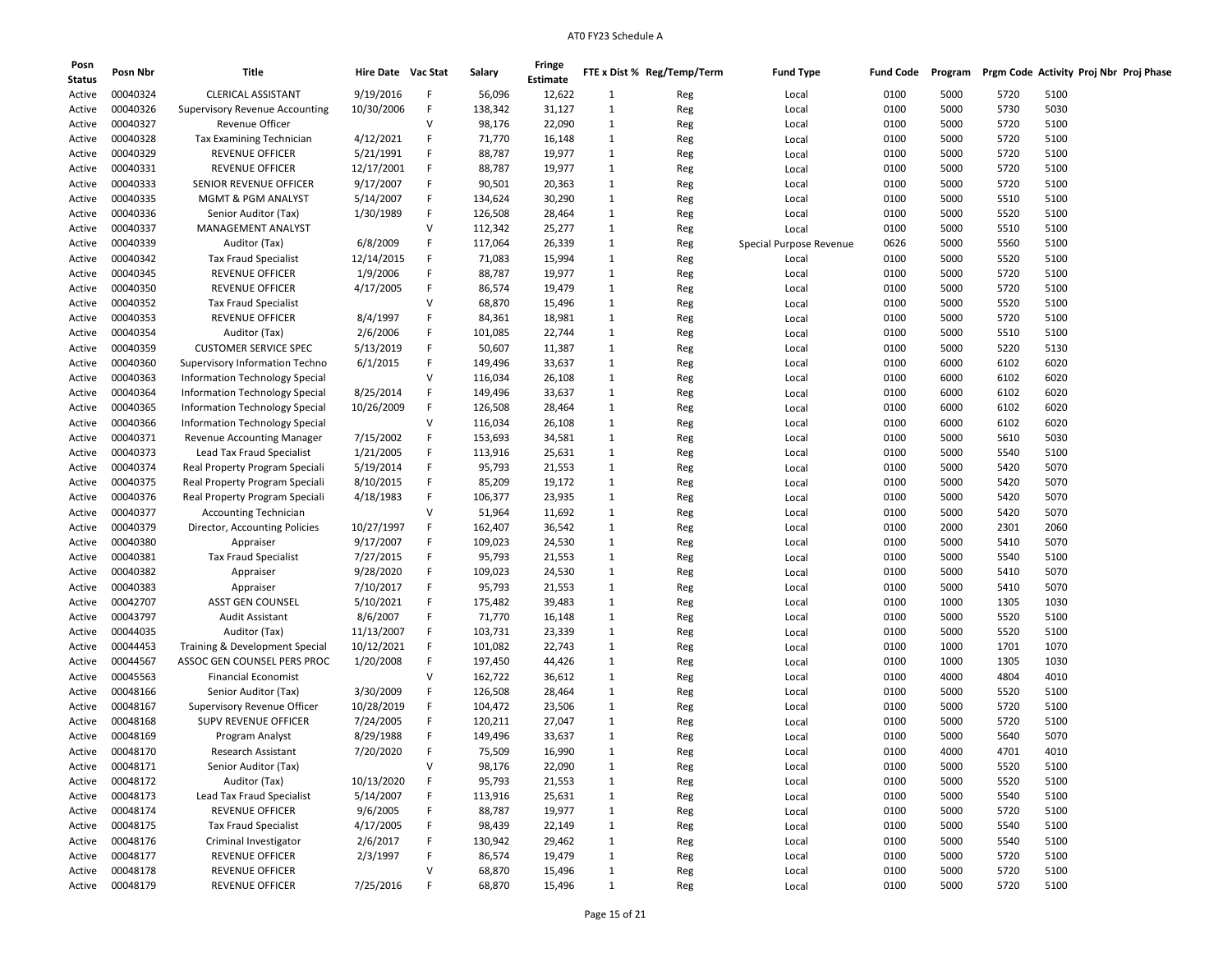| Posn<br><b>Status</b> | Posn Nbr | Title                                 | Hire Date Vac Stat |              | Salary  | Fringe<br><b>Estimate</b> |              | FTE x Dist % Reg/Temp/Term | <b>Fund Type</b>        | <b>Fund Code</b> | Program |      | Prgm Code Activity Proj Nbr Proj Phase |  |
|-----------------------|----------|---------------------------------------|--------------------|--------------|---------|---------------------------|--------------|----------------------------|-------------------------|------------------|---------|------|----------------------------------------|--|
| Active                | 00040324 | <b>CLERICAL ASSISTANT</b>             | 9/19/2016          | F            | 56,096  | 12,622                    | 1            | Reg                        | Local                   | 0100             | 5000    | 5720 | 5100                                   |  |
| Active                | 00040326 | <b>Supervisory Revenue Accounting</b> | 10/30/2006         | F            | 138,342 | 31,127                    | 1            | Reg                        | Local                   | 0100             | 5000    | 5730 | 5030                                   |  |
| Active                | 00040327 | Revenue Officer                       |                    | $\vee$       | 98,176  | 22,090                    | 1            | Reg                        | Local                   | 0100             | 5000    | 5720 | 5100                                   |  |
| Active                | 00040328 | Tax Examining Technician              | 4/12/2021          | F            | 71,770  | 16,148                    | 1            | Reg                        | Local                   | 0100             | 5000    | 5720 | 5100                                   |  |
| Active                | 00040329 | <b>REVENUE OFFICER</b>                | 5/21/1991          | F            | 88,787  | 19,977                    | 1            | Reg                        | Local                   | 0100             | 5000    | 5720 | 5100                                   |  |
| Active                | 00040331 | <b>REVENUE OFFICER</b>                | 12/17/2001         | F            | 88,787  | 19,977                    | $\mathbf{1}$ | Reg                        | Local                   | 0100             | 5000    | 5720 | 5100                                   |  |
| Active                | 00040333 | SENIOR REVENUE OFFICER                | 9/17/2007          | F            | 90,501  | 20,363                    | 1            | Reg                        | Local                   | 0100             | 5000    | 5720 | 5100                                   |  |
| Active                | 00040335 | <b>MGMT &amp; PGM ANALYST</b>         | 5/14/2007          | F            | 134,624 | 30,290                    | 1            |                            | Local                   | 0100             | 5000    | 5510 | 5100                                   |  |
|                       | 00040336 |                                       | 1/30/1989          | F            |         |                           | 1            | Reg                        |                         | 0100             | 5000    | 5520 | 5100                                   |  |
| Active                |          | Senior Auditor (Tax)                  |                    |              | 126,508 | 28,464                    |              | Reg                        | Local                   |                  |         |      |                                        |  |
| Active                | 00040337 | MANAGEMENT ANALYST                    |                    | V            | 112,342 | 25,277                    | 1            | Reg                        | Local                   | 0100             | 5000    | 5510 | 5100                                   |  |
| Active                | 00040339 | Auditor (Tax)                         | 6/8/2009           | F            | 117,064 | 26,339                    | $\mathbf{1}$ | Reg                        | Special Purpose Revenue | 0626             | 5000    | 5560 | 5100                                   |  |
| Active                | 00040342 | <b>Tax Fraud Specialist</b>           | 12/14/2015         | F            | 71,083  | 15,994                    | 1            | Reg                        | Local                   | 0100             | 5000    | 5520 | 5100                                   |  |
| Active                | 00040345 | <b>REVENUE OFFICER</b>                | 1/9/2006           | F            | 88,787  | 19,977                    | 1            | Reg                        | Local                   | 0100             | 5000    | 5720 | 5100                                   |  |
| Active                | 00040350 | <b>REVENUE OFFICER</b>                | 4/17/2005          | F            | 86,574  | 19,479                    | 1            | Reg                        | Local                   | 0100             | 5000    | 5720 | 5100                                   |  |
| Active                | 00040352 | <b>Tax Fraud Specialist</b>           |                    | v            | 68,870  | 15,496                    | 1            | Reg                        | Local                   | 0100             | 5000    | 5520 | 5100                                   |  |
| Active                | 00040353 | <b>REVENUE OFFICER</b>                | 8/4/1997           | F            | 84,361  | 18,981                    | $\mathbf{1}$ | Reg                        | Local                   | 0100             | 5000    | 5720 | 5100                                   |  |
| Active                | 00040354 | Auditor (Tax)                         | 2/6/2006           | F            | 101,085 | 22,744                    | 1            | Reg                        | Local                   | 0100             | 5000    | 5510 | 5100                                   |  |
| Active                | 00040359 | <b>CUSTOMER SERVICE SPEC</b>          | 5/13/2019          | F            | 50,607  | 11,387                    | 1            | Reg                        | Local                   | 0100             | 5000    | 5220 | 5130                                   |  |
| Active                | 00040360 | Supervisory Information Techno        | 6/1/2015           | F            | 149,496 | 33,637                    | 1            | Reg                        | Local                   | 0100             | 6000    | 6102 | 6020                                   |  |
| Active                | 00040363 | <b>Information Technology Special</b> |                    | v            | 116,034 | 26,108                    | 1            | Reg                        | Local                   | 0100             | 6000    | 6102 | 6020                                   |  |
| Active                | 00040364 | Information Technology Special        | 8/25/2014          | F            | 149,496 | 33,637                    | $\mathbf{1}$ | Reg                        | Local                   | 0100             | 6000    | 6102 | 6020                                   |  |
| Active                | 00040365 | Information Technology Special        | 10/26/2009         | F            | 126,508 | 28,464                    | 1            | Reg                        | Local                   | 0100             | 6000    | 6102 | 6020                                   |  |
| Active                | 00040366 | Information Technology Special        |                    | $\vee$       | 116,034 | 26,108                    | 1            | Reg                        | Local                   | 0100             | 6000    | 6102 | 6020                                   |  |
| Active                | 00040371 | Revenue Accounting Manager            | 7/15/2002          | F            | 153,693 | 34,581                    | 1            | Reg                        | Local                   | 0100             | 5000    | 5610 | 5030                                   |  |
| Active                | 00040373 | Lead Tax Fraud Specialist             | 1/21/2005          | F            | 113,916 | 25,631                    | 1            | Reg                        | Local                   | 0100             | 5000    | 5540 | 5100                                   |  |
| Active                | 00040374 | Real Property Program Speciali        | 5/19/2014          | F            | 95,793  | 21,553                    | $\mathbf{1}$ | Reg                        | Local                   | 0100             | 5000    | 5420 | 5070                                   |  |
| Active                | 00040375 | Real Property Program Speciali        | 8/10/2015          | F            | 85,209  | 19,172                    | 1            | Reg                        | Local                   | 0100             | 5000    | 5420 | 5070                                   |  |
| Active                | 00040376 | Real Property Program Speciali        | 4/18/1983          | F            | 106,377 | 23,935                    | 1            | Reg                        | Local                   | 0100             | 5000    | 5420 | 5070                                   |  |
| Active                | 00040377 | <b>Accounting Technician</b>          |                    | v            | 51,964  | 11,692                    | 1            | Reg                        | Local                   | 0100             | 5000    | 5420 | 5070                                   |  |
| Active                | 00040379 | Director, Accounting Policies         | 10/27/1997         | F            | 162,407 | 36,542                    | 1            | Reg                        | Local                   | 0100             | 2000    | 2301 | 2060                                   |  |
| Active                | 00040380 | Appraiser                             | 9/17/2007          | F            | 109,023 | 24,530                    | $\mathbf{1}$ | Reg                        | Local                   | 0100             | 5000    | 5410 | 5070                                   |  |
| Active                | 00040381 | <b>Tax Fraud Specialist</b>           | 7/27/2015          | F            | 95,793  | 21,553                    | 1            | Reg                        | Local                   | 0100             | 5000    | 5540 | 5100                                   |  |
| Active                | 00040382 | Appraiser                             | 9/28/2020          | F            | 109,023 | 24,530                    | 1            | Reg                        | Local                   | 0100             | 5000    | 5410 | 5070                                   |  |
| Active                | 00040383 | Appraiser                             | 7/10/2017          | F            | 95,793  | 21,553                    | 1            | Reg                        | Local                   | 0100             | 5000    | 5410 | 5070                                   |  |
| Active                | 00042707 | ASST GEN COUNSEL                      | 5/10/2021          | F            | 175,482 | 39,483                    | 1            | Reg                        | Local                   | 0100             | 1000    | 1305 | 1030                                   |  |
| Active                | 00043797 | <b>Audit Assistant</b>                | 8/6/2007           | F            | 71,770  | 16,148                    | $\mathbf{1}$ | Reg                        | Local                   | 0100             | 5000    | 5520 | 5100                                   |  |
| Active                | 00044035 | Auditor (Tax)                         | 11/13/2007         | F            | 103,731 | 23,339                    | 1            |                            |                         | 0100             | 5000    | 5520 | 5100                                   |  |
| Active                | 00044453 | Training & Development Special        | 10/12/2021         | F            | 101,082 | 22,743                    | 1            | Reg                        | Local<br>Local          | 0100             | 1000    | 1701 | 1070                                   |  |
| Active                | 00044567 | ASSOC GEN COUNSEL PERS PROC           | 1/20/2008          | F            | 197,450 | 44,426                    | 1            | Reg                        |                         | 0100             | 1000    | 1305 | 1030                                   |  |
|                       | 00045563 |                                       |                    | v            |         |                           |              | Reg                        | Local                   |                  |         |      | 4010                                   |  |
| Active                |          | <b>Financial Economist</b>            |                    |              | 162,722 | 36,612                    | 1            | Reg                        | Local                   | 0100             | 4000    | 4804 |                                        |  |
| Active                | 00048166 | Senior Auditor (Tax)                  | 3/30/2009          | F            | 126,508 | 28,464                    | $\mathbf{1}$ | Reg                        | Local                   | 0100             | 5000    | 5520 | 5100                                   |  |
| Active                | 00048167 | Supervisory Revenue Officer           | 10/28/2019         | F            | 104,472 | 23,506                    | 1            | Reg                        | Local                   | 0100             | 5000    | 5720 | 5100                                   |  |
| Active                | 00048168 | SUPV REVENUE OFFICER                  | 7/24/2005          | F            | 120,211 | 27,047                    | 1            | Reg                        | Local                   | 0100             | 5000    | 5720 | 5100                                   |  |
| Active                | 00048169 | Program Analyst                       | 8/29/1988          | F            | 149,496 | 33,637                    | $\mathbf{1}$ | Reg                        | Local                   | 0100             | 5000    | 5640 | 5070                                   |  |
| Active                | 00048170 | Research Assistant                    | 7/20/2020          | F            | 75,509  | 16,990                    | 1            | Reg                        | Local                   | 0100             | 4000    | 4701 | 4010                                   |  |
| Active                | 00048171 | Senior Auditor (Tax)                  |                    | $\mathsf{V}$ | 98,176  | 22,090                    | $\mathbf{1}$ | Reg                        | Local                   | 0100             | 5000    | 5520 | 5100                                   |  |
| Active                | 00048172 | Auditor (Tax)                         | 10/13/2020         | F            | 95,793  | 21,553                    | $\mathbf{1}$ | Reg                        | Local                   | 0100             | 5000    | 5520 | 5100                                   |  |
| Active                | 00048173 | Lead Tax Fraud Specialist             | 5/14/2007          | F            | 113,916 | 25,631                    | $\mathbf{1}$ | Reg                        | Local                   | 0100             | 5000    | 5540 | 5100                                   |  |
| Active                | 00048174 | REVENUE OFFICER                       | 9/6/2005           | F            | 88,787  | 19,977                    | $\mathbf{1}$ | Reg                        | Local                   | 0100             | 5000    | 5720 | 5100                                   |  |
| Active                | 00048175 | <b>Tax Fraud Specialist</b>           | 4/17/2005          | F            | 98,439  | 22,149                    | $\mathbf{1}$ | Reg                        | Local                   | 0100             | 5000    | 5540 | 5100                                   |  |
| Active                | 00048176 | Criminal Investigator                 | 2/6/2017           | F            | 130,942 | 29,462                    | $\mathbf{1}$ | Reg                        | Local                   | 0100             | 5000    | 5540 | 5100                                   |  |
| Active                | 00048177 | REVENUE OFFICER                       | 2/3/1997           | F            | 86,574  | 19,479                    | $\mathbf{1}$ | Reg                        | Local                   | 0100             | 5000    | 5720 | 5100                                   |  |
| Active                | 00048178 | REVENUE OFFICER                       |                    | V            | 68,870  | 15,496                    | $\mathbf{1}$ | Reg                        | Local                   | 0100             | 5000    | 5720 | 5100                                   |  |
| Active                | 00048179 | REVENUE OFFICER                       | 7/25/2016          | F            | 68,870  | 15,496                    | $\mathbf{1}$ | Reg                        | Local                   | 0100             | 5000    | 5720 | 5100                                   |  |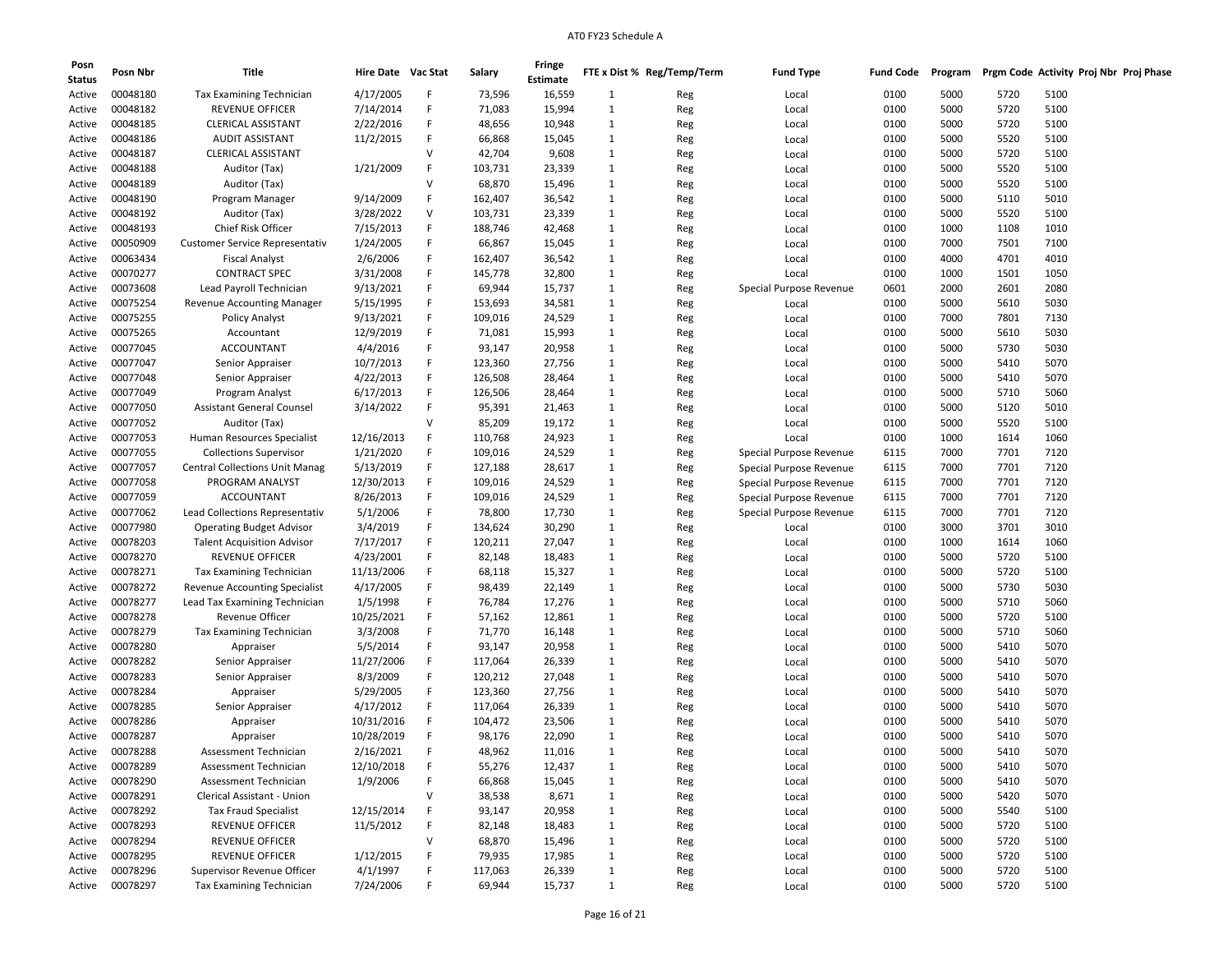| Posn<br><b>Status</b> | Posn Nbr | Title                                 | Hire Date Vac Stat |        | Salary  | Fringe<br><b>Estimate</b> |              | FTE x Dist % Reg/Temp/Term | <b>Fund Type</b>        | <b>Fund Code</b> | Program |      | Prgm Code Activity Proj Nbr Proj Phase |  |
|-----------------------|----------|---------------------------------------|--------------------|--------|---------|---------------------------|--------------|----------------------------|-------------------------|------------------|---------|------|----------------------------------------|--|
| Active                | 00048180 | Tax Examining Technician              | 4/17/2005          | F      | 73,596  | 16,559                    | 1            | Reg                        | Local                   | 0100             | 5000    | 5720 | 5100                                   |  |
| Active                | 00048182 | <b>REVENUE OFFICER</b>                | 7/14/2014          | F      | 71,083  | 15,994                    | $\mathbf{1}$ | Reg                        | Local                   | 0100             | 5000    | 5720 | 5100                                   |  |
| Active                | 00048185 | <b>CLERICAL ASSISTANT</b>             | 2/22/2016          | F      | 48,656  | 10,948                    | $\mathbf{1}$ | Reg                        | Local                   | 0100             | 5000    | 5720 | 5100                                   |  |
| Active                | 00048186 | AUDIT ASSISTANT                       | 11/2/2015          | F      | 66,868  | 15,045                    | 1            | Reg                        | Local                   | 0100             | 5000    | 5520 | 5100                                   |  |
| Active                | 00048187 | <b>CLERICAL ASSISTANT</b>             |                    | v      | 42,704  | 9,608                     | 1            | Reg                        | Local                   | 0100             | 5000    | 5720 | 5100                                   |  |
| Active                | 00048188 | Auditor (Tax)                         | 1/21/2009          | F      | 103,731 | 23,339                    | $\mathbf{1}$ | Reg                        | Local                   | 0100             | 5000    | 5520 | 5100                                   |  |
| Active                | 00048189 | Auditor (Tax)                         |                    | v      | 68,870  | 15,496                    | 1            | Reg                        | Local                   | 0100             | 5000    | 5520 | 5100                                   |  |
| Active                | 00048190 | Program Manager                       | 9/14/2009          | F      | 162,407 | 36,542                    | $\mathbf{1}$ | Reg                        | Local                   | 0100             | 5000    | 5110 | 5010                                   |  |
| Active                | 00048192 | Auditor (Tax)                         | 3/28/2022          | V      | 103,731 | 23,339                    | 1            | Reg                        | Local                   | 0100             | 5000    | 5520 | 5100                                   |  |
| Active                | 00048193 | Chief Risk Officer                    | 7/15/2013          | F      | 188,746 | 42,468                    | $\mathbf{1}$ | Reg                        | Local                   | 0100             | 1000    | 1108 | 1010                                   |  |
| Active                | 00050909 | <b>Customer Service Representativ</b> | 1/24/2005          | F      | 66,867  | 15,045                    | $\mathbf{1}$ |                            | Local                   | 0100             | 7000    | 7501 | 7100                                   |  |
| Active                | 00063434 | <b>Fiscal Analyst</b>                 | 2/6/2006           | F      | 162,407 | 36,542                    | 1            | Reg                        | Local                   | 0100             | 4000    | 4701 | 4010                                   |  |
|                       | 00070277 | <b>CONTRACT SPEC</b>                  | 3/31/2008          | F      | 145,778 | 32,800                    | 1            | Reg                        | Local                   | 0100             | 1000    | 1501 | 1050                                   |  |
| Active                | 00073608 |                                       | 9/13/2021          | F      | 69,944  |                           | 1            | Reg                        |                         | 0601             | 2000    | 2601 | 2080                                   |  |
| Active                |          | Lead Payroll Technician               |                    | F      |         | 15,737                    |              | Reg                        | Special Purpose Revenue |                  |         |      |                                        |  |
| Active                | 00075254 | Revenue Accounting Manager            | 5/15/1995          |        | 153,693 | 34,581                    | 1            | Reg                        | Local                   | 0100             | 5000    | 5610 | 5030                                   |  |
| Active                | 00075255 | <b>Policy Analyst</b>                 | 9/13/2021          | F<br>F | 109,016 | 24,529                    | 1            | Reg                        | Local                   | 0100             | 7000    | 7801 | 7130                                   |  |
| Active                | 00075265 | Accountant                            | 12/9/2019          |        | 71,081  | 15,993                    | 1            | Reg                        | Local                   | 0100             | 5000    | 5610 | 5030                                   |  |
| Active                | 00077045 | <b>ACCOUNTANT</b>                     | 4/4/2016           | F      | 93,147  | 20,958                    | $\mathbf{1}$ | Reg                        | Local                   | 0100             | 5000    | 5730 | 5030                                   |  |
| Active                | 00077047 | Senior Appraiser                      | 10/7/2013          | F      | 123,360 | 27,756                    | 1            | Reg                        | Local                   | 0100             | 5000    | 5410 | 5070                                   |  |
| Active                | 00077048 | Senior Appraiser                      | 4/22/2013          | F      | 126,508 | 28,464                    | $\mathbf{1}$ | Reg                        | Local                   | 0100             | 5000    | 5410 | 5070                                   |  |
| Active                | 00077049 | Program Analyst                       | 6/17/2013          | F      | 126,506 | 28,464                    | $\mathbf{1}$ | Reg                        | Local                   | 0100             | 5000    | 5710 | 5060                                   |  |
| Active                | 00077050 | <b>Assistant General Counsel</b>      | 3/14/2022          | F      | 95,391  | 21,463                    | 1            | Reg                        | Local                   | 0100             | 5000    | 5120 | 5010                                   |  |
| Active                | 00077052 | Auditor (Tax)                         |                    | $\vee$ | 85,209  | 19,172                    | $\mathbf{1}$ | Reg                        | Local                   | 0100             | 5000    | 5520 | 5100                                   |  |
| Active                | 00077053 | Human Resources Specialist            | 12/16/2013         | F      | 110,768 | 24,923                    | 1            | Reg                        | Local                   | 0100             | 1000    | 1614 | 1060                                   |  |
| Active                | 00077055 | <b>Collections Supervisor</b>         | 1/21/2020          | F      | 109,016 | 24,529                    | 1            | Reg                        | Special Purpose Revenue | 6115             | 7000    | 7701 | 7120                                   |  |
| Active                | 00077057 | <b>Central Collections Unit Manag</b> | 5/13/2019          | F      | 127,188 | 28,617                    | $\mathbf{1}$ | Reg                        | Special Purpose Revenue | 6115             | 7000    | 7701 | 7120                                   |  |
| Active                | 00077058 | PROGRAM ANALYST                       | 12/30/2013         | F      | 109,016 | 24,529                    | 1            | Reg                        | Special Purpose Revenue | 6115             | 7000    | 7701 | 7120                                   |  |
| Active                | 00077059 | <b>ACCOUNTANT</b>                     | 8/26/2013          | F      | 109,016 | 24,529                    | 1            | Reg                        | Special Purpose Revenue | 6115             | 7000    | 7701 | 7120                                   |  |
| Active                | 00077062 | Lead Collections Representativ        | 5/1/2006           | F      | 78,800  | 17,730                    | 1            | Reg                        | Special Purpose Revenue | 6115             | 7000    | 7701 | 7120                                   |  |
| Active                | 00077980 | <b>Operating Budget Advisor</b>       | 3/4/2019           | F      | 134,624 | 30,290                    | 1            | Reg                        | Local                   | 0100             | 3000    | 3701 | 3010                                   |  |
| Active                | 00078203 | <b>Talent Acquisition Advisor</b>     | 7/17/2017          | F      | 120,211 | 27,047                    | 1            | Reg                        | Local                   | 0100             | 1000    | 1614 | 1060                                   |  |
| Active                | 00078270 | <b>REVENUE OFFICER</b>                | 4/23/2001          | F      | 82,148  | 18,483                    | 1            | Reg                        | Local                   | 0100             | 5000    | 5720 | 5100                                   |  |
| Active                | 00078271 | <b>Tax Examining Technician</b>       | 11/13/2006         | F      | 68,118  | 15,327                    | $\mathbf{1}$ | Reg                        | Local                   | 0100             | 5000    | 5720 | 5100                                   |  |
| Active                | 00078272 | Revenue Accounting Specialist         | 4/17/2005          | F      | 98,439  | 22,149                    | 1            | Reg                        | Local                   | 0100             | 5000    | 5730 | 5030                                   |  |
| Active                | 00078277 | Lead Tax Examining Technician         | 1/5/1998           | F      | 76,784  | 17,276                    | $\mathbf{1}$ | Reg                        | Local                   | 0100             | 5000    | 5710 | 5060                                   |  |
| Active                | 00078278 | <b>Revenue Officer</b>                | 10/25/2021         | F      | 57,162  | 12,861                    | $\mathbf{1}$ | Reg                        | Local                   | 0100             | 5000    | 5720 | 5100                                   |  |
| Active                | 00078279 | Tax Examining Technician              | 3/3/2008           | F      | 71,770  | 16,148                    | 1            | Reg                        | Local                   | 0100             | 5000    | 5710 | 5060                                   |  |
| Active                | 00078280 | Appraiser                             | 5/5/2014           | F      | 93,147  | 20,958                    | 1            | Reg                        | Local                   | 0100             | 5000    | 5410 | 5070                                   |  |
| Active                | 00078282 | Senior Appraiser                      | 11/27/2006         | F      | 117,064 | 26,339                    | 1            | Reg                        | Local                   | 0100             | 5000    | 5410 | 5070                                   |  |
| Active                | 00078283 | Senior Appraiser                      | 8/3/2009           | F      | 120,212 | 27,048                    | 1            | Reg                        | Local                   | 0100             | 5000    | 5410 | 5070                                   |  |
| Active                | 00078284 | Appraiser                             | 5/29/2005          | F      | 123,360 | 27,756                    | $\mathbf{1}$ | Reg                        | Local                   | 0100             | 5000    | 5410 | 5070                                   |  |
| Active                | 00078285 | Senior Appraiser                      | 4/17/2012          | F      | 117,064 | 26,339                    | 1            | Reg                        | Local                   | 0100             | 5000    | 5410 | 5070                                   |  |
| Active                | 00078286 | Appraiser                             | 10/31/2016         | F      | 104,472 | 23,506                    | $\mathbf{1}$ | Reg                        | Local                   | 0100             | 5000    | 5410 | 5070                                   |  |
| Active                | 00078287 | Appraiser                             | 10/28/2019         | F      | 98,176  | 22,090                    | 1            | Reg                        | Local                   | 0100             | 5000    | 5410 | 5070                                   |  |
| Active                | 00078288 | Assessment Technician                 | 2/16/2021          | F      | 48,962  | 11,016                    | 1            | Reg                        | Local                   | 0100             | 5000    | 5410 | 5070                                   |  |
| Active                | 00078289 | Assessment Technician                 | 12/10/2018         | F      | 55,276  | 12,437                    | $\mathbf{1}$ | Reg                        | Local                   | 0100             | 5000    | 5410 | 5070                                   |  |
| Active                | 00078290 | Assessment Technician                 | 1/9/2006           | F      | 66,868  | 15,045                    | $\mathbf{1}$ | Reg                        | Local                   | 0100             | 5000    | 5410 | 5070                                   |  |
| Active                | 00078291 | Clerical Assistant - Union            |                    | V      | 38,538  | 8,671                     | $\mathbf{1}$ | Reg                        | Local                   | 0100             | 5000    | 5420 | 5070                                   |  |
| Active                | 00078292 | <b>Tax Fraud Specialist</b>           | 12/15/2014         | F      | 93,147  | 20,958                    | $\mathbf{1}$ | Reg                        | Local                   | 0100             | 5000    | 5540 | 5100                                   |  |
| Active                | 00078293 | REVENUE OFFICER                       | 11/5/2012          | F      | 82,148  | 18,483                    | $\mathbf{1}$ | Reg                        | Local                   | 0100             | 5000    | 5720 | 5100                                   |  |
| Active                | 00078294 | <b>REVENUE OFFICER</b>                |                    | V      | 68,870  | 15,496                    | $\mathbf{1}$ | Reg                        | Local                   | 0100             | 5000    | 5720 | 5100                                   |  |
| Active                | 00078295 | <b>REVENUE OFFICER</b>                | 1/12/2015          | F      | 79,935  | 17,985                    | $\mathbf{1}$ | Reg                        | Local                   | 0100             | 5000    | 5720 | 5100                                   |  |
| Active                | 00078296 | Supervisor Revenue Officer            | 4/1/1997           | F      | 117,063 | 26,339                    | $\mathbf{1}$ | Reg                        | Local                   | 0100             | 5000    | 5720 | 5100                                   |  |
| Active                | 00078297 | Tax Examining Technician              | 7/24/2006          |        | 69,944  | 15,737                    | $\mathbf{1}$ | Reg                        | Local                   | 0100             | 5000    | 5720 | 5100                                   |  |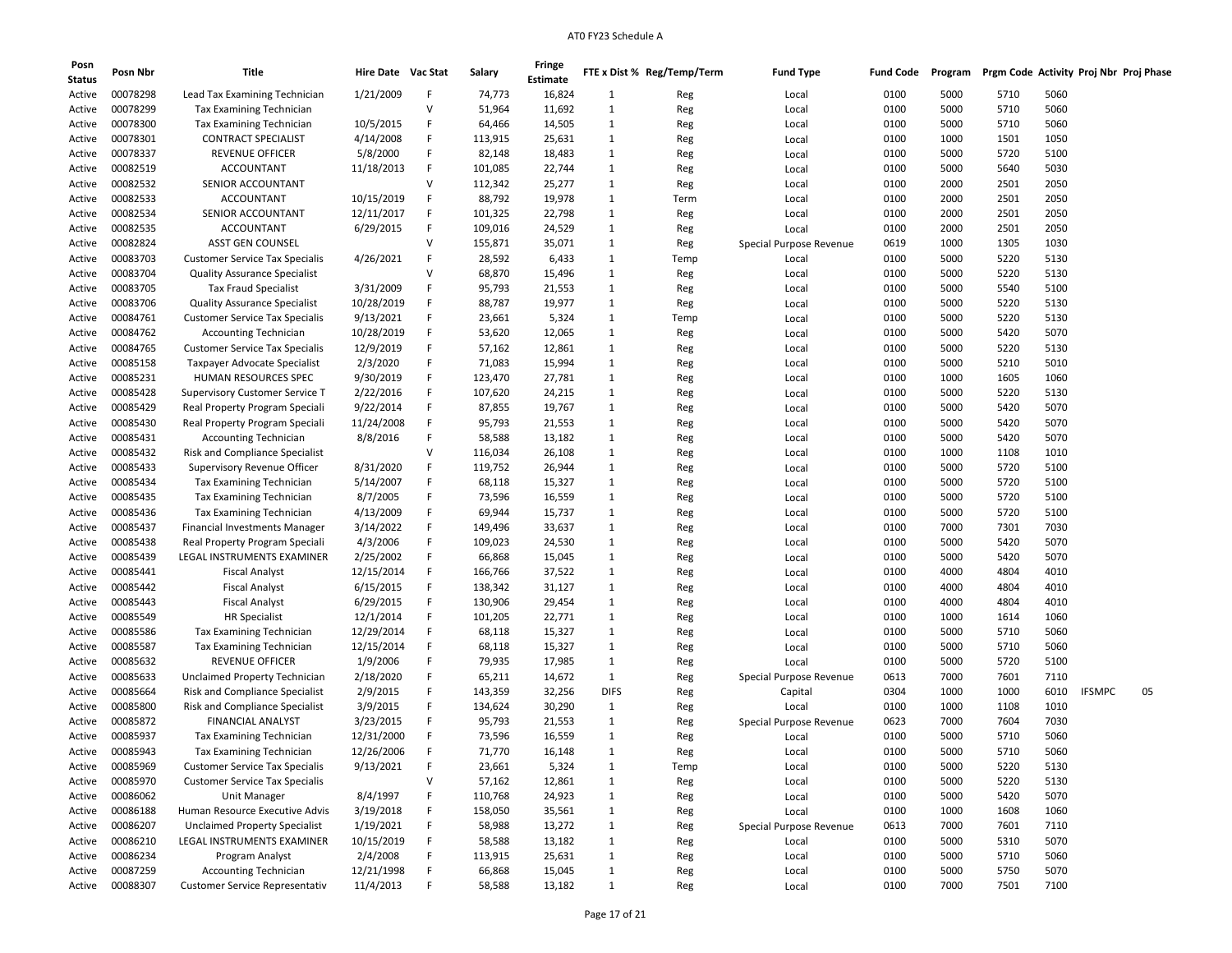| Posn             | Posn Nbr             | Title                                                          | Hire Date Vac Stat      |        | Salary             | Fringe           |                   | FTE x Dist % Reg/Temp/Term | <b>Fund Type</b>        | <b>Fund Code</b> | Program      | Prgm Code Activity Proj Nbr Proj Phase |      |        |    |
|------------------|----------------------|----------------------------------------------------------------|-------------------------|--------|--------------------|------------------|-------------------|----------------------------|-------------------------|------------------|--------------|----------------------------------------|------|--------|----|
| <b>Status</b>    |                      |                                                                |                         |        |                    | Estimate         |                   |                            |                         |                  |              |                                        |      |        |    |
| Active           | 00078298             | Lead Tax Examining Technician                                  | 1/21/2009               | F      | 74,773             | 16,824           | $\mathbf{1}$      | Reg                        | Local                   | 0100             | 5000         | 5710                                   | 5060 |        |    |
| Active           | 00078299             | <b>Tax Examining Technician</b>                                |                         | V      | 51,964             | 11,692           | 1                 | Reg                        | Local                   | 0100             | 5000         | 5710                                   | 5060 |        |    |
| Active           | 00078300             | <b>Tax Examining Technician</b>                                | 10/5/2015               | F      | 64,466             | 14,505           | 1                 | Reg                        | Local                   | 0100             | 5000         | 5710                                   | 5060 |        |    |
| Active           | 00078301             | <b>CONTRACT SPECIALIST</b>                                     | 4/14/2008               | F      | 113,915            | 25,631           | 1                 | Reg                        | Local                   | 0100             | 1000         | 1501                                   | 1050 |        |    |
| Active           | 00078337             | REVENUE OFFICER                                                | 5/8/2000                | F      | 82,148             | 18,483           | $\mathbf{1}$      | Reg                        | Local                   | 0100             | 5000         | 5720                                   | 5100 |        |    |
| Active           | 00082519             | <b>ACCOUNTANT</b>                                              | 11/18/2013              | F      | 101,085            | 22,744           | 1                 | Reg                        | Local                   | 0100             | 5000         | 5640                                   | 5030 |        |    |
| Active           | 00082532             | SENIOR ACCOUNTANT                                              |                         | V      | 112,342            | 25,277           | $\mathbf{1}$      | Reg                        | Local                   | 0100             | 2000         | 2501                                   | 2050 |        |    |
| Active           | 00082533             | <b>ACCOUNTANT</b>                                              | 10/15/2019              | F      | 88,792             | 19,978           | $\mathbf{1}$      | Term                       | Local                   | 0100             | 2000         | 2501                                   | 2050 |        |    |
| Active           | 00082534             | SENIOR ACCOUNTANT                                              | 12/11/2017              | F      | 101,325            | 22,798           | $\mathbf{1}$      | Reg                        | Local                   | 0100             | 2000         | 2501                                   | 2050 |        |    |
| Active           | 00082535             | <b>ACCOUNTANT</b>                                              | 6/29/2015               | F      | 109,016            | 24,529           | $\mathbf{1}$      | Reg                        | Local                   | 0100             | 2000         | 2501                                   | 2050 |        |    |
| Active           | 00082824             | ASST GEN COUNSEL                                               |                         | v      | 155,871            | 35,071           | $\mathbf{1}$      | Reg                        | Special Purpose Revenue | 0619             | 1000         | 1305                                   | 1030 |        |    |
| Active           | 00083703             | <b>Customer Service Tax Specialis</b>                          | 4/26/2021               | F      | 28,592             | 6,433            | 1                 | Temp                       | Local                   | 0100             | 5000         | 5220                                   | 5130 |        |    |
| Active           | 00083704             | <b>Quality Assurance Specialist</b>                            |                         | V      | 68,870             | 15,496           | $\mathbf{1}$      | Reg                        | Local                   | 0100             | 5000         | 5220                                   | 5130 |        |    |
| Active           | 00083705             | <b>Tax Fraud Specialist</b>                                    | 3/31/2009               | F      | 95,793             | 21,553           | $\mathbf{1}$      | Reg                        | Local                   | 0100             | 5000         | 5540                                   | 5100 |        |    |
| Active           | 00083706             | <b>Quality Assurance Specialist</b>                            | 10/28/2019              | F      | 88,787             | 19,977           | 1                 | Reg                        | Local                   | 0100             | 5000         | 5220                                   | 5130 |        |    |
| Active           | 00084761             | <b>Customer Service Tax Specialis</b>                          | 9/13/2021               | F      | 23,661             | 5,324            | 1                 | Temp                       | Local                   | 0100             | 5000         | 5220                                   | 5130 |        |    |
| Active           | 00084762             | <b>Accounting Technician</b>                                   | 10/28/2019              | F      | 53,620             | 12,065           | $\mathbf{1}$      | Reg                        | Local                   | 0100             | 5000         | 5420                                   | 5070 |        |    |
| Active           | 00084765             | <b>Customer Service Tax Specialis</b>                          | 12/9/2019               | F      | 57,162             | 12,861           | $\mathbf{1}$      | Reg                        | Local                   | 0100             | 5000         | 5220                                   | 5130 |        |    |
| Active           | 00085158             | Taxpayer Advocate Specialist                                   | 2/3/2020                | F      | 71,083             | 15,994           | 1                 | Reg                        |                         | 0100             | 5000         | 5210                                   | 5010 |        |    |
| Active           | 00085231             | HUMAN RESOURCES SPEC                                           | 9/30/2019               | F      | 123,470            | 27,781           | $\mathbf{1}$      |                            | Local                   | 0100             | 1000         | 1605                                   | 1060 |        |    |
|                  | 00085428             | <b>Supervisory Customer Service T</b>                          | 2/22/2016               | F      | 107,620            | 24,215           | 1                 | Reg                        | Local                   | 0100             | 5000         | 5220                                   | 5130 |        |    |
| Active           | 00085429             | Real Property Program Speciali                                 | 9/22/2014               | F      | 87,855             | 19,767           | 1                 | Reg                        | Local                   | 0100             | 5000         | 5420                                   | 5070 |        |    |
| Active           | 00085430             |                                                                | 11/24/2008              | F      | 95,793             | 21,553           | 1                 | Reg                        | Local<br>Local          | 0100             | 5000         | 5420                                   | 5070 |        |    |
| Active<br>Active | 00085431             | Real Property Program Speciali<br><b>Accounting Technician</b> | 8/8/2016                | F      | 58,588             | 13,182           | 1                 | Reg<br>Reg                 |                         | 0100             | 5000         | 5420                                   | 5070 |        |    |
|                  | 00085432             | Risk and Compliance Specialist                                 |                         | v      | 116,034            | 26,108           | 1                 |                            | Local                   | 0100             | 1000         | 1108                                   | 1010 |        |    |
| Active           | 00085433             | Supervisory Revenue Officer                                    | 8/31/2020               | F      | 119,752            | 26,944           | $\mathbf{1}$      | Reg                        | Local                   | 0100             | 5000         | 5720                                   | 5100 |        |    |
| Active           | 00085434             | Tax Examining Technician                                       | 5/14/2007               | F      | 68,118             | 15,327           | 1                 | Reg                        | Local                   | 0100             | 5000         | 5720                                   | 5100 |        |    |
| Active           |                      |                                                                | 8/7/2005                | F      |                    |                  |                   | Reg                        | Local                   |                  |              |                                        | 5100 |        |    |
| Active           | 00085435<br>00085436 | <b>Tax Examining Technician</b>                                | 4/13/2009               | F      | 73,596<br>69,944   | 16,559<br>15,737 | 1<br>1            | Reg                        | Local                   | 0100<br>0100     | 5000<br>5000 | 5720<br>5720                           | 5100 |        |    |
| Active           | 00085437             | <b>Tax Examining Technician</b>                                |                         | F      |                    | 33,637           | $\mathbf{1}$      | Reg                        | Local                   | 0100             | 7000         | 7301                                   | 7030 |        |    |
| Active           | 00085438             | <b>Financial Investments Manager</b>                           | 3/14/2022<br>4/3/2006   | F      | 149,496            |                  |                   | Reg                        | Local                   |                  | 5000         |                                        | 5070 |        |    |
| Active           | 00085439             | Real Property Program Speciali<br>LEGAL INSTRUMENTS EXAMINER   |                         | F      | 109,023<br>66,868  | 24,530           | 1<br>$\mathbf{1}$ | Reg                        | Local                   | 0100<br>0100     | 5000         | 5420<br>5420                           | 5070 |        |    |
| Active           | 00085441             |                                                                | 2/25/2002<br>12/15/2014 | F      |                    | 15,045           | $\mathbf{1}$      | Reg                        | Local                   |                  |              |                                        | 4010 |        |    |
| Active           | 00085442             | <b>Fiscal Analyst</b><br><b>Fiscal Analyst</b>                 | 6/15/2015               | F      | 166,766<br>138,342 | 37,522           | 1                 | Reg                        | Local                   | 0100<br>0100     | 4000<br>4000 | 4804<br>4804                           | 4010 |        |    |
| Active           |                      |                                                                |                         | F      |                    | 31,127           |                   | Reg                        | Local                   |                  |              |                                        |      |        |    |
| Active           | 00085443             | <b>Fiscal Analyst</b>                                          | 6/29/2015               |        | 130,906            | 29,454           | 1                 | Reg                        | Local                   | 0100             | 4000         | 4804                                   | 4010 |        |    |
| Active           | 00085549             | <b>HR Specialist</b>                                           | 12/1/2014               | F      | 101,205            | 22,771           | $\mathbf{1}$      | Reg                        | Local                   | 0100             | 1000         | 1614                                   | 1060 |        |    |
| Active           | 00085586             | <b>Tax Examining Technician</b>                                | 12/29/2014              | F<br>F | 68,118             | 15,327           | 1                 | Reg                        | Local                   | 0100             | 5000         | 5710                                   | 5060 |        |    |
| Active           | 00085587<br>00085632 | <b>Tax Examining Technician</b>                                | 12/15/2014              | F      | 68,118             | 15,327           | $\mathbf{1}$      | Reg                        | Local                   | 0100             | 5000         | 5710                                   | 5060 |        |    |
| Active           | 00085633             | <b>REVENUE OFFICER</b>                                         | 1/9/2006                |        | 79,935             | 17,985           | $\mathbf{1}$      | Reg                        | Local                   | 0100             | 5000         | 5720                                   | 5100 |        |    |
| Active           |                      | Unclaimed Property Technician                                  | 2/18/2020               | F      | 65,211             | 14,672           | 1                 | Reg                        | Special Purpose Revenue | 0613             | 7000         | 7601                                   | 7110 |        |    |
| Active           | 00085664             | <b>Risk and Compliance Specialist</b>                          | 2/9/2015                | F      | 143,359            | 32,256           | <b>DIFS</b>       | Reg                        | Capital                 | 0304             | 1000         | 1000                                   | 6010 | IFSMPC | 05 |
| Active           | 00085800             | Risk and Compliance Specialist                                 | 3/9/2015                | F      | 134,624            | 30,290           | 1                 | Reg                        | Local                   | 0100             | 1000         | 1108                                   | 1010 |        |    |
| Active           | 00085872             | FINANCIAL ANALYST                                              | 3/23/2015               | F      | 95,793             | 21,553           | $\mathbf{1}$      | Reg                        | Special Purpose Revenue | 0623             | 7000         | 7604                                   | 7030 |        |    |
| Active           | 00085937             | Tax Examining Technician                                       | 12/31/2000              | F      | 73,596             | 16,559           | 1                 | Reg                        | Local                   | 0100             | 5000         | 5710                                   | 5060 |        |    |
| Active           | 00085943             | <b>Tax Examining Technician</b>                                | 12/26/2006              | F      | 71,770             | 16,148           | 1                 | Reg                        | Local                   | 0100             | 5000         | 5710                                   | 5060 |        |    |
| Active           | 00085969             | <b>Customer Service Tax Specialis</b>                          | 9/13/2021               | F      | 23,661             | 5,324            | 1                 | Temp                       | Local                   | 0100             | 5000         | 5220                                   | 5130 |        |    |
| Active           | 00085970             | <b>Customer Service Tax Specialis</b>                          |                         | V      | 57,162             | 12,861           | $\mathbf{1}$      | Reg                        | Local                   | 0100             | 5000         | 5220                                   | 5130 |        |    |
| Active           | 00086062             | <b>Unit Manager</b>                                            | 8/4/1997                | F      | 110,768            | 24,923           | $\mathbf{1}$      | Reg                        | Local                   | 0100             | 5000         | 5420                                   | 5070 |        |    |
| Active           | 00086188             | Human Resource Executive Advis                                 | 3/19/2018               | F      | 158,050            | 35,561           | $\mathbf{1}$      | Reg                        | Local                   | 0100             | 1000         | 1608                                   | 1060 |        |    |
| Active           | 00086207             | <b>Unclaimed Property Specialist</b>                           | 1/19/2021               | F      | 58,988             | 13,272           | $\mathbf{1}$      | Reg                        | Special Purpose Revenue | 0613             | 7000         | 7601                                   | 7110 |        |    |
| Active           | 00086210             | LEGAL INSTRUMENTS EXAMINER                                     | 10/15/2019              | F      | 58,588             | 13,182           | $\mathbf{1}$      | Reg                        | Local                   | 0100             | 5000         | 5310                                   | 5070 |        |    |
| Active           | 00086234             | Program Analyst                                                | 2/4/2008                | F      | 113,915            | 25,631           | $\mathbf{1}$      | Reg                        | Local                   | 0100             | 5000         | 5710                                   | 5060 |        |    |
| Active           | 00087259             | <b>Accounting Technician</b>                                   | 12/21/1998              | F      | 66,868             | 15,045           | $\mathbf{1}$      | Reg                        | Local                   | 0100             | 5000         | 5750                                   | 5070 |        |    |
| Active           | 00088307             | Customer Service Representativ                                 | 11/4/2013               | F      | 58,588             | 13,182           | $\mathbf{1}$      | Reg                        | Local                   | 0100             | 7000         | 7501                                   | 7100 |        |    |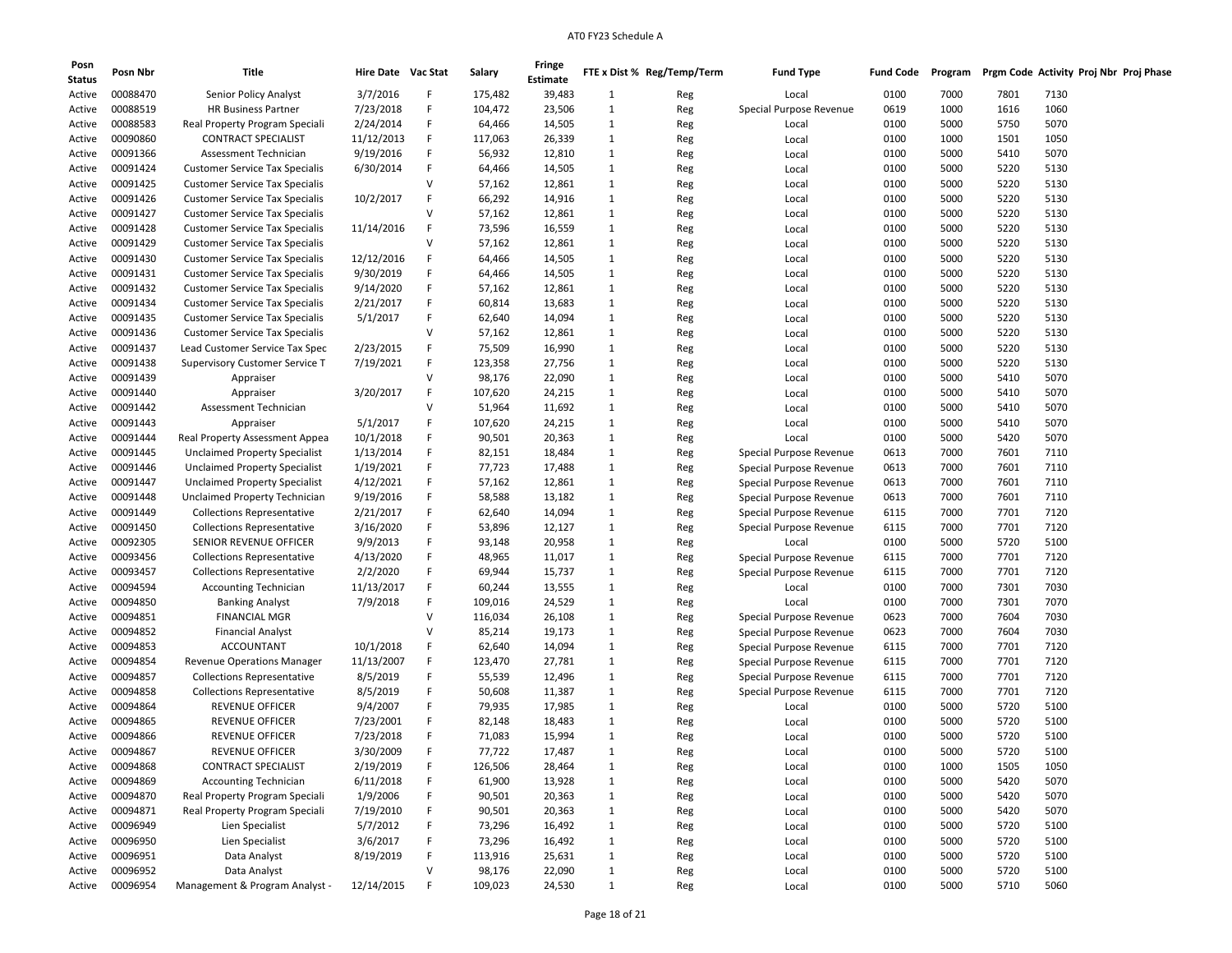| Posn<br><b>Status</b> | Posn Nbr             | Title                                                          | Hire Date Vac Stat     |              | Salary            | Fringe<br>Estimate |                              | FTE x Dist % Reg/Temp/Term | <b>Fund Type</b>        | <b>Fund Code</b> | Program      | Prgm Code Activity Proj Nbr Proj Phase |              |  |
|-----------------------|----------------------|----------------------------------------------------------------|------------------------|--------------|-------------------|--------------------|------------------------------|----------------------------|-------------------------|------------------|--------------|----------------------------------------|--------------|--|
| Active                | 00088470             | Senior Policy Analyst                                          | 3/7/2016               | F            | 175,482           | 39,483             | $\mathbf{1}$                 | Reg                        | Local                   | 0100             | 7000         | 7801                                   | 7130         |  |
| Active                | 00088519             | <b>HR Business Partner</b>                                     | 7/23/2018              | F            | 104,472           | 23,506             | $\mathbf{1}$                 | Reg                        | Special Purpose Revenue | 0619             | 1000         | 1616                                   | 1060         |  |
| Active                | 00088583             | Real Property Program Speciali                                 | 2/24/2014              | F            | 64,466            | 14,505             | $\mathbf{1}$                 | Reg                        | Local                   | 0100             | 5000         | 5750                                   | 5070         |  |
| Active                | 00090860             | <b>CONTRACT SPECIALIST</b>                                     | 11/12/2013             | F            | 117,063           | 26,339             | $\mathbf{1}$                 | Reg                        | Local                   | 0100             | 1000         | 1501                                   | 1050         |  |
| Active                | 00091366             | Assessment Technician                                          | 9/19/2016              | F            | 56,932            | 12,810             | $\mathbf{1}$                 | Reg                        | Local                   | 0100             | 5000         | 5410                                   | 5070         |  |
| Active                | 00091424             | <b>Customer Service Tax Specialis</b>                          | 6/30/2014              | F            | 64,466            | 14,505             | $\mathbf{1}$                 | Reg                        | Local                   | 0100             | 5000         | 5220                                   | 5130         |  |
| Active                | 00091425             | <b>Customer Service Tax Specialis</b>                          |                        | <b>V</b>     | 57,162            | 12,861             | $\mathbf{1}$                 | Reg                        | Local                   | 0100             | 5000         | 5220                                   | 5130         |  |
| Active                | 00091426             | <b>Customer Service Tax Specialis</b>                          | 10/2/2017              | F            | 66,292            | 14,916             | $\mathbf{1}$                 | Reg                        | Local                   | 0100             | 5000         | 5220                                   | 5130         |  |
| Active                | 00091427             | <b>Customer Service Tax Specialis</b>                          |                        | $\vee$       | 57,162            | 12,861             | 1                            | Reg                        | Local                   | 0100             | 5000         | 5220                                   | 5130         |  |
| Active                | 00091428             | <b>Customer Service Tax Specialis</b>                          | 11/14/2016             | F            | 73,596            | 16,559             | $\mathbf{1}$                 | Reg                        | Local                   | 0100             | 5000         | 5220                                   | 5130         |  |
| Active                | 00091429             | <b>Customer Service Tax Specialis</b>                          |                        | V            | 57,162            | 12,861             | $\mathbf{1}$                 | Reg                        | Local                   | 0100             | 5000         | 5220                                   | 5130         |  |
| Active                | 00091430             | <b>Customer Service Tax Specialis</b>                          | 12/12/2016             | F            | 64,466            | 14,505             | $\mathbf{1}$                 | Reg                        | Local                   | 0100             | 5000         | 5220                                   | 5130         |  |
| Active                | 00091431             | <b>Customer Service Tax Specialis</b>                          | 9/30/2019              | F            | 64,466            | 14,505             | $\mathbf{1}$                 | Reg                        | Local                   | 0100             | 5000         | 5220                                   | 5130         |  |
| Active                | 00091432             | <b>Customer Service Tax Specialis</b>                          | 9/14/2020              | F            | 57,162            | 12,861             | $\mathbf{1}$                 | Reg                        | Local                   | 0100             | 5000         | 5220                                   | 5130         |  |
| Active                | 00091434             | <b>Customer Service Tax Specialis</b>                          | 2/21/2017              | F            | 60,814            | 13,683             | $\mathbf{1}$                 | Reg                        | Local                   | 0100             | 5000         | 5220                                   | 5130         |  |
| Active                | 00091435             | <b>Customer Service Tax Specialis</b>                          | 5/1/2017               | F            | 62,640            | 14,094             | $\mathbf{1}$                 | Reg                        | Local                   | 0100             | 5000         | 5220                                   | 5130         |  |
| Active                | 00091436             | <b>Customer Service Tax Specialis</b>                          |                        | $\vee$       | 57,162            | 12,861             | $\mathbf{1}$                 | Reg                        | Local                   | 0100             | 5000         | 5220                                   | 5130         |  |
| Active                | 00091437             | Lead Customer Service Tax Spec                                 | 2/23/2015              | F            | 75,509            | 16,990             | $\mathbf{1}$                 | Reg                        | Local                   | 0100             | 5000         | 5220                                   | 5130         |  |
| Active                | 00091438             | Supervisory Customer Service T                                 | 7/19/2021              | F            | 123,358           | 27,756             | $\mathbf{1}$                 | Reg                        | Local                   | 0100             | 5000         | 5220                                   | 5130         |  |
| Active                | 00091439             | Appraiser                                                      |                        | V            | 98,176            | 22,090             | $\mathbf{1}$                 | Reg                        | Local                   | 0100             | 5000         | 5410                                   | 5070         |  |
| Active                | 00091440             | Appraiser                                                      | 3/20/2017              | F            | 107,620           | 24,215             | $\mathbf{1}$                 | Reg                        | Local                   | 0100             | 5000         | 5410                                   | 5070         |  |
| Active                | 00091442             | Assessment Technician                                          |                        | $\vee$       | 51,964            | 11,692             | $\mathbf{1}$                 | Reg                        | Local                   | 0100             | 5000         | 5410                                   | 5070         |  |
| Active                | 00091443             | Appraiser                                                      | 5/1/2017               | F            | 107,620           | 24,215             | $\mathbf{1}$                 | Reg                        | Local                   | 0100             | 5000         | 5410                                   | 5070         |  |
| Active                | 00091444             | Real Property Assessment Appea                                 | 10/1/2018              | F            | 90,501            | 20,363             | $\mathbf{1}$                 | Reg                        | Local                   | 0100             | 5000         | 5420                                   | 5070         |  |
| Active                | 00091445             | <b>Unclaimed Property Specialist</b>                           | 1/13/2014              | F            | 82,151            | 18,484             | $\mathbf{1}$                 | Reg                        | Special Purpose Revenue | 0613             | 7000         | 7601                                   | 7110         |  |
| Active                | 00091446             | <b>Unclaimed Property Specialist</b>                           | 1/19/2021              | F            | 77,723            | 17,488             | $\mathbf{1}$                 | Reg                        | Special Purpose Revenue | 0613             | 7000         | 7601                                   | 7110         |  |
| Active                | 00091447             | <b>Unclaimed Property Specialist</b>                           | 4/12/2021              | F            | 57,162            | 12,861             | $\mathbf{1}$                 | Reg                        | Special Purpose Revenue | 0613             | 7000         | 7601                                   | 7110         |  |
| Active                | 00091448             | Unclaimed Property Technician                                  | 9/19/2016              | F            | 58,588            | 13,182             | $\mathbf{1}$                 | Reg                        | Special Purpose Revenue | 0613             | 7000         | 7601                                   | 7110         |  |
| Active                | 00091449             | <b>Collections Representative</b>                              | 2/21/2017              | F            | 62,640            | 14,094             | 1                            | Reg                        | Special Purpose Revenue | 6115             | 7000         | 7701                                   | 7120         |  |
| Active                | 00091450             | <b>Collections Representative</b>                              | 3/16/2020              | F            | 53,896            | 12,127             | $\mathbf{1}$                 | Reg                        | Special Purpose Revenue | 6115             | 7000         | 7701                                   | 7120         |  |
| Active                | 00092305             | SENIOR REVENUE OFFICER                                         | 9/9/2013               | F            | 93,148            | 20,958             | $\mathbf{1}$                 | Reg                        | Local                   | 0100             | 5000         | 5720                                   | 5100         |  |
| Active                | 00093456             | <b>Collections Representative</b>                              | 4/13/2020              | F            | 48,965            | 11,017             | $\mathbf{1}$                 | Reg                        | Special Purpose Revenue | 6115             | 7000         | 7701                                   | 7120         |  |
| Active                | 00093457             | <b>Collections Representative</b>                              | 2/2/2020               | F            | 69,944            | 15,737             | $\mathbf{1}$                 | Reg                        | Special Purpose Revenue | 6115             | 7000         | 7701                                   | 7120         |  |
| Active                | 00094594             | <b>Accounting Technician</b>                                   | 11/13/2017             | F            | 60,244            | 13,555             | 1                            | Reg                        | Local                   | 0100             | 7000         | 7301                                   | 7030         |  |
| Active                | 00094850             | <b>Banking Analyst</b>                                         | 7/9/2018               | F            | 109,016           | 24,529             | $\mathbf{1}$                 | Reg                        | Local                   | 0100             | 7000         | 7301                                   | 7070         |  |
| Active                | 00094851             | <b>FINANCIAL MGR</b>                                           |                        | V            | 116,034           | 26,108             | $\mathbf{1}$                 | Reg                        | Special Purpose Revenue | 0623             | 7000         | 7604                                   | 7030         |  |
| Active                | 00094852             | <b>Financial Analyst</b>                                       |                        | $\mathsf{V}$ | 85,214            | 19,173             | $\mathbf{1}$                 | Reg                        | Special Purpose Revenue | 0623             | 7000         | 7604                                   | 7030         |  |
| Active                | 00094853             | <b>ACCOUNTANT</b>                                              | 10/1/2018              | F            | 62,640            | 14,094             | $\mathbf{1}$                 | Reg                        | Special Purpose Revenue | 6115             | 7000         | 7701                                   | 7120         |  |
| Active                | 00094854             | <b>Revenue Operations Manager</b>                              | 11/13/2007             | F            | 123,470           | 27,781             | $\mathbf{1}$                 | Reg                        | Special Purpose Revenue | 6115             | 7000         | 7701                                   | 7120         |  |
| Active                | 00094857             | <b>Collections Representative</b>                              | 8/5/2019               | F            | 55,539            | 12,496             | 1                            | Reg                        | Special Purpose Revenue | 6115             | 7000         | 7701                                   | 7120         |  |
| Active                | 00094858             | <b>Collections Representative</b>                              | 8/5/2019               | F            | 50,608            | 11,387             | $\mathbf{1}$                 |                            | Special Purpose Revenue | 6115             | 7000         | 7701                                   | 7120         |  |
| Active                | 00094864             | <b>REVENUE OFFICER</b>                                         | 9/4/2007               | F            | 79,935            | 17,985             | $\mathbf{1}$                 | Reg                        | Local                   | 0100             | 5000         | 5720                                   | 5100         |  |
| Active                | 00094865             | <b>REVENUE OFFICER</b>                                         | 7/23/2001              | F            | 82,148            | 18,483             | $\mathbf{1}$                 | Reg                        | Local                   | 0100             | 5000         | 5720                                   | 5100         |  |
| Active                | 00094866             | <b>REVENUE OFFICER</b>                                         | 7/23/2018              | F            | 71,083            | 15,994             | $\mathbf{1}$                 | Reg<br>Reg                 | Local                   | 0100             | 5000         | 5720                                   | 5100         |  |
| Active                | 00094867             | <b>REVENUE OFFICER</b>                                         | 3/30/2009              | F            | 77,722            | 17,487             | 1                            |                            | Local                   | 0100             | 5000         | 5720                                   | 5100         |  |
|                       |                      |                                                                |                        |              |                   |                    |                              | Reg                        |                         |                  |              |                                        |              |  |
| Active                | 00094868<br>00094869 | <b>CONTRACT SPECIALIST</b>                                     | 2/19/2019<br>6/11/2018 | F<br>F       | 126,506<br>61,900 | 28,464<br>13,928   | $\mathbf{1}$<br>$\mathbf{1}$ | Reg                        | Local                   | 0100<br>0100     | 1000<br>5000 | 1505<br>5420                           | 1050<br>5070 |  |
| Active                | 00094870             | <b>Accounting Technician</b><br>Real Property Program Speciali |                        | F            |                   |                    |                              | Reg                        | Local                   | 0100             | 5000         |                                        | 5070         |  |
| Active                |                      |                                                                | 1/9/2006               |              | 90,501            | 20,363             | $\mathbf{1}$                 | Reg                        | Local                   |                  |              | 5420                                   |              |  |
| Active                | 00094871<br>00096949 | Real Property Program Speciali<br>Lien Specialist              | 7/19/2010              | F<br>F       | 90,501            | 20,363             | $\mathbf{1}$                 | Reg                        | Local                   | 0100             | 5000         | 5420                                   | 5070         |  |
| Active                |                      |                                                                | 5/7/2012               |              | 73,296            | 16,492             | 1                            | Reg                        | Local                   | 0100             | 5000         | 5720                                   | 5100         |  |
| Active                | 00096950             | Lien Specialist<br>Data Analyst                                | 3/6/2017               | F<br>F       | 73,296            | 16,492             | $\mathbf{1}$                 | Reg                        | Local                   | 0100             | 5000         | 5720                                   | 5100         |  |
| Active                | 00096951<br>00096952 |                                                                | 8/19/2019              | $\mathsf{V}$ | 113,916           | 25,631             | $\mathbf{1}$                 | Reg                        | Local                   | 0100             | 5000         | 5720                                   | 5100         |  |
| Active                |                      | Data Analyst                                                   |                        |              | 98,176            | 22,090             | $\mathbf{1}$                 | Reg                        | Local                   | 0100             | 5000         | 5720                                   | 5100         |  |
| Active                | 00096954             | Management & Program Analyst -                                 | 12/14/2015             | F            | 109,023           | 24,530             | $\mathbf{1}$                 | Reg                        | Local                   | 0100             | 5000         | 5710                                   | 5060         |  |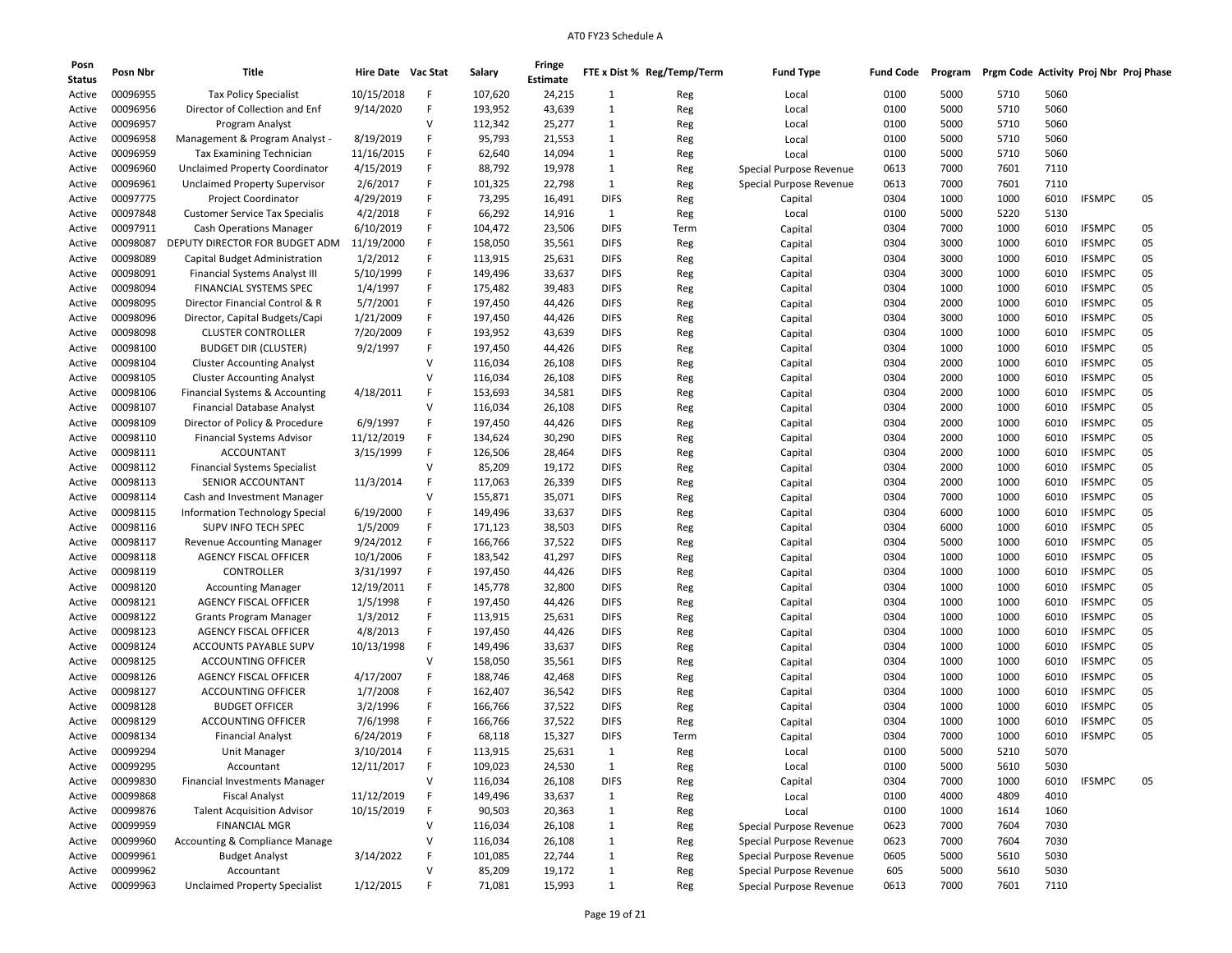| Posn          | Posn Nbr | Title                                     | Hire Date Vac Stat |        | Salary  | Fringe   |              | FTE x Dist % Reg/Temp/Term | <b>Fund Type</b>        | <b>Fund Code</b> | Program | Prgm Code Activity Proj Nbr Proj Phase |      |               |    |
|---------------|----------|-------------------------------------------|--------------------|--------|---------|----------|--------------|----------------------------|-------------------------|------------------|---------|----------------------------------------|------|---------------|----|
| <b>Status</b> |          |                                           |                    |        |         | Estimate |              |                            |                         |                  |         |                                        |      |               |    |
| Active        | 00096955 | <b>Tax Policy Specialist</b>              | 10/15/2018         | F      | 107,620 | 24,215   | 1            | Reg                        | Local                   | 0100             | 5000    | 5710                                   | 5060 |               |    |
| Active        | 00096956 | Director of Collection and Enf            | 9/14/2020          | F      | 193,952 | 43,639   | 1            | Reg                        | Local                   | 0100             | 5000    | 5710                                   | 5060 |               |    |
| Active        | 00096957 | Program Analyst                           |                    | v      | 112,342 | 25,277   | 1            | Reg                        | Local                   | 0100             | 5000    | 5710                                   | 5060 |               |    |
| Active        | 00096958 | Management & Program Analyst -            | 8/19/2019          | F      | 95,793  | 21,553   | 1            | Reg                        | Local                   | 0100             | 5000    | 5710                                   | 5060 |               |    |
| Active        | 00096959 | Tax Examining Technician                  | 11/16/2015         | F      | 62,640  | 14,094   | 1            | Reg                        | Local                   | 0100             | 5000    | 5710                                   | 5060 |               |    |
| Active        | 00096960 | <b>Unclaimed Property Coordinator</b>     | 4/15/2019          | F      | 88,792  | 19,978   | 1            | Reg                        | Special Purpose Revenue | 0613             | 7000    | 7601                                   | 7110 |               |    |
| Active        | 00096961 | <b>Unclaimed Property Supervisor</b>      | 2/6/2017           | F      | 101,325 | 22,798   | $\mathbf{1}$ | Reg                        | Special Purpose Revenue | 0613             | 7000    | 7601                                   | 7110 |               |    |
| Active        | 00097775 | <b>Project Coordinator</b>                | 4/29/2019          | F      | 73,295  | 16,491   | <b>DIFS</b>  | Reg                        | Capital                 | 0304             | 1000    | 1000                                   | 6010 | <b>IFSMPC</b> | 05 |
| Active        | 00097848 | <b>Customer Service Tax Specialis</b>     | 4/2/2018           | F      | 66,292  | 14,916   | 1            | Reg                        | Local                   | 0100             | 5000    | 5220                                   | 5130 |               |    |
| Active        | 00097911 | <b>Cash Operations Manager</b>            | 6/10/2019          | F      | 104,472 | 23,506   | <b>DIFS</b>  | Term                       | Capital                 | 0304             | 7000    | 1000                                   | 6010 | <b>IFSMPC</b> | 05 |
| Active        | 00098087 | DEPUTY DIRECTOR FOR BUDGET ADM            | 11/19/2000         | F      | 158,050 | 35,561   | <b>DIFS</b>  | Reg                        | Capital                 | 0304             | 3000    | 1000                                   | 6010 | <b>IFSMPC</b> | 05 |
| Active        | 00098089 | Capital Budget Administration             | 1/2/2012           | F      | 113,915 | 25,631   | <b>DIFS</b>  | Reg                        | Capital                 | 0304             | 3000    | 1000                                   | 6010 | <b>IFSMPC</b> | 05 |
| Active        | 00098091 | Financial Systems Analyst III             | 5/10/1999          | F      | 149,496 | 33,637   | <b>DIFS</b>  | Reg                        | Capital                 | 0304             | 3000    | 1000                                   | 6010 | <b>IFSMPC</b> | 05 |
| Active        | 00098094 | FINANCIAL SYSTEMS SPEC                    | 1/4/1997           | F      | 175,482 | 39,483   | <b>DIFS</b>  | Reg                        | Capital                 | 0304             | 1000    | 1000                                   | 6010 | <b>IFSMPC</b> | 05 |
| Active        | 00098095 | Director Financial Control & R            | 5/7/2001           | F      | 197,450 | 44,426   | <b>DIFS</b>  | Reg                        | Capital                 | 0304             | 2000    | 1000                                   | 6010 | <b>IFSMPC</b> | 05 |
| Active        | 00098096 | Director, Capital Budgets/Capi            | 1/21/2009          | F      | 197,450 | 44,426   | <b>DIFS</b>  | Reg                        | Capital                 | 0304             | 3000    | 1000                                   | 6010 | <b>IFSMPC</b> | 05 |
| Active        | 00098098 | <b>CLUSTER CONTROLLER</b>                 | 7/20/2009          | F      | 193,952 | 43,639   | <b>DIFS</b>  | Reg                        | Capital                 | 0304             | 1000    | 1000                                   | 6010 | <b>IFSMPC</b> | 05 |
| Active        | 00098100 | <b>BUDGET DIR (CLUSTER)</b>               | 9/2/1997           | F      | 197,450 | 44,426   | <b>DIFS</b>  | Reg                        | Capital                 | 0304             | 1000    | 1000                                   | 6010 | <b>IFSMPC</b> | 05 |
| Active        | 00098104 | <b>Cluster Accounting Analyst</b>         |                    | v      | 116,034 | 26,108   | <b>DIFS</b>  | Reg                        | Capital                 | 0304             | 2000    | 1000                                   | 6010 | <b>IFSMPC</b> | 05 |
| Active        | 00098105 | <b>Cluster Accounting Analyst</b>         |                    | v      | 116,034 | 26,108   | <b>DIFS</b>  | Reg                        | Capital                 | 0304             | 2000    | 1000                                   | 6010 | <b>IFSMPC</b> | 05 |
| Active        | 00098106 | Financial Systems & Accounting            | 4/18/2011          | F      | 153,693 | 34,581   | <b>DIFS</b>  | Reg                        | Capital                 | 0304             | 2000    | 1000                                   | 6010 | <b>IFSMPC</b> | 05 |
| Active        | 00098107 | <b>Financial Database Analyst</b>         |                    | $\vee$ | 116,034 | 26,108   | <b>DIFS</b>  | Reg                        | Capital                 | 0304             | 2000    | 1000                                   | 6010 | <b>IFSMPC</b> | 05 |
| Active        | 00098109 | Director of Policy & Procedure            | 6/9/1997           | F      | 197,450 | 44,426   | <b>DIFS</b>  | Reg                        | Capital                 | 0304             | 2000    | 1000                                   | 6010 | <b>IFSMPC</b> | 05 |
| Active        | 00098110 | <b>Financial Systems Advisor</b>          | 11/12/2019         | F      | 134,624 | 30,290   | <b>DIFS</b>  | Reg                        | Capital                 | 0304             | 2000    | 1000                                   | 6010 | <b>IFSMPC</b> | 05 |
| Active        | 00098111 | <b>ACCOUNTANT</b>                         | 3/15/1999          | F      | 126,506 | 28,464   | <b>DIFS</b>  | Reg                        | Capital                 | 0304             | 2000    | 1000                                   | 6010 | <b>IFSMPC</b> | 05 |
| Active        | 00098112 | <b>Financial Systems Specialist</b>       |                    | v      | 85,209  | 19,172   | <b>DIFS</b>  | Reg                        | Capital                 | 0304             | 2000    | 1000                                   | 6010 | <b>IFSMPC</b> | 05 |
| Active        | 00098113 | SENIOR ACCOUNTANT                         | 11/3/2014          | F      | 117,063 | 26,339   | <b>DIFS</b>  | Reg                        | Capital                 | 0304             | 2000    | 1000                                   | 6010 | <b>IFSMPC</b> | 05 |
| Active        | 00098114 | Cash and Investment Manager               |                    | v      | 155,871 | 35,071   | <b>DIFS</b>  | Reg                        | Capital                 | 0304             | 7000    | 1000                                   | 6010 | <b>IFSMPC</b> | 05 |
| Active        | 00098115 | <b>Information Technology Special</b>     | 6/19/2000          | F      | 149,496 | 33,637   | <b>DIFS</b>  | Reg                        | Capital                 | 0304             | 6000    | 1000                                   | 6010 | <b>IFSMPC</b> | 05 |
| Active        | 00098116 | SUPV INFO TECH SPEC                       | 1/5/2009           | F      | 171,123 | 38,503   | <b>DIFS</b>  | Reg                        | Capital                 | 0304             | 6000    | 1000                                   | 6010 | <b>IFSMPC</b> | 05 |
| Active        | 00098117 | Revenue Accounting Manager                | 9/24/2012          | F      | 166,766 | 37,522   | <b>DIFS</b>  | Reg                        | Capital                 | 0304             | 5000    | 1000                                   | 6010 | <b>IFSMPC</b> | 05 |
| Active        | 00098118 | <b>AGENCY FISCAL OFFICER</b>              | 10/1/2006          | F      | 183,542 | 41,297   | <b>DIFS</b>  | Reg                        | Capital                 | 0304             | 1000    | 1000                                   | 6010 | <b>IFSMPC</b> | 05 |
| Active        | 00098119 | <b>CONTROLLER</b>                         | 3/31/1997          | F      | 197,450 | 44,426   | <b>DIFS</b>  | Reg                        | Capital                 | 0304             | 1000    | 1000                                   | 6010 | <b>IFSMPC</b> | 05 |
| Active        | 00098120 | <b>Accounting Manager</b>                 | 12/19/2011         | F      | 145,778 | 32,800   | <b>DIFS</b>  | Reg                        | Capital                 | 0304             | 1000    | 1000                                   | 6010 | <b>IFSMPC</b> | 05 |
| Active        | 00098121 | <b>AGENCY FISCAL OFFICER</b>              | 1/5/1998           | F      | 197,450 | 44,426   | <b>DIFS</b>  | Reg                        | Capital                 | 0304             | 1000    | 1000                                   | 6010 | <b>IFSMPC</b> | 05 |
| Active        | 00098122 | <b>Grants Program Manager</b>             | 1/3/2012           | F      | 113,915 | 25,631   | <b>DIFS</b>  | Reg                        | Capital                 | 0304             | 1000    | 1000                                   | 6010 | <b>IFSMPC</b> | 05 |
| Active        | 00098123 | AGENCY FISCAL OFFICER                     | 4/8/2013           | F      | 197,450 | 44,426   | <b>DIFS</b>  | Reg                        | Capital                 | 0304             | 1000    | 1000                                   | 6010 | <b>IFSMPC</b> | 05 |
| Active        | 00098124 | ACCOUNTS PAYABLE SUPV                     | 10/13/1998         | F      | 149,496 | 33,637   | <b>DIFS</b>  | Reg                        | Capital                 | 0304             | 1000    | 1000                                   | 6010 | <b>IFSMPC</b> | 05 |
| Active        | 00098125 | ACCOUNTING OFFICER                        |                    | v      | 158,050 | 35,561   | <b>DIFS</b>  | Reg                        | Capital                 | 0304             | 1000    | 1000                                   | 6010 | <b>IFSMPC</b> | 05 |
| Active        | 00098126 | <b>AGENCY FISCAL OFFICER</b>              | 4/17/2007          | F      | 188,746 | 42,468   | <b>DIFS</b>  | Reg                        | Capital                 | 0304             | 1000    | 1000                                   | 6010 | <b>IFSMPC</b> | 05 |
| Active        | 00098127 | <b>ACCOUNTING OFFICER</b>                 | 1/7/2008           | F      | 162,407 | 36,542   | <b>DIFS</b>  | Reg                        | Capital                 | 0304             | 1000    | 1000                                   | 6010 | <b>IFSMPC</b> | 05 |
| Active        | 00098128 | <b>BUDGET OFFICER</b>                     | 3/2/1996           | F      | 166,766 | 37,522   | <b>DIFS</b>  | Reg                        | Capital                 | 0304             | 1000    | 1000                                   | 6010 | <b>IFSMPC</b> | 05 |
| Active        | 00098129 | ACCOUNTING OFFICER                        | 7/6/1998           | F      | 166,766 | 37,522   | <b>DIFS</b>  | Reg                        | Capital                 | 0304             | 1000    | 1000                                   | 6010 | <b>IFSMPC</b> | 05 |
| Active        | 00098134 | <b>Financial Analyst</b>                  | 6/24/2019          | F      | 68,118  | 15,327   | <b>DIFS</b>  | Term                       |                         | 0304             | 7000    | 1000                                   | 6010 | <b>IFSMPC</b> | 05 |
| Active        | 00099294 | Unit Manager                              | 3/10/2014          | F      | 113,915 | 25,631   | 1            |                            | Capital                 | 0100             | 5000    | 5210                                   | 5070 |               |    |
|               |          |                                           |                    | F      |         |          |              | Reg                        | Local                   |                  |         |                                        |      |               |    |
| Active        | 00099295 | Accountant                                | 12/11/2017         | $\vee$ | 109,023 | 24,530   | $\mathbf{1}$ | Reg                        | Local                   | 0100             | 5000    | 5610                                   | 5030 |               |    |
| Active        | 00099830 | Financial Investments Manager             |                    |        | 116,034 | 26,108   | <b>DIFS</b>  | Reg                        | Capital                 | 0304             | 7000    | 1000                                   | 6010 | <b>IFSMPC</b> | 05 |
| Active        | 00099868 | <b>Fiscal Analyst</b>                     | 11/12/2019         | F      | 149,496 | 33,637   | $\mathbf{1}$ | Reg                        | Local                   | 0100             | 4000    | 4809                                   | 4010 |               |    |
| Active        | 00099876 | <b>Talent Acquisition Advisor</b>         | 10/15/2019         | F      | 90,503  | 20,363   | $\mathbf{1}$ | Reg                        | Local                   | 0100             | 1000    | 1614                                   | 1060 |               |    |
| Active        | 00099959 | <b>FINANCIAL MGR</b>                      |                    | $\vee$ | 116,034 | 26,108   | 1            | Reg                        | Special Purpose Revenue | 0623             | 7000    | 7604                                   | 7030 |               |    |
| Active        | 00099960 | <b>Accounting &amp; Compliance Manage</b> |                    | $\vee$ | 116,034 | 26,108   | $\mathbf{1}$ | Reg                        | Special Purpose Revenue | 0623             | 7000    | 7604                                   | 7030 |               |    |
| Active        | 00099961 | <b>Budget Analyst</b>                     | 3/14/2022          | F      | 101,085 | 22,744   | $\mathbf{1}$ | Reg                        | Special Purpose Revenue | 0605             | 5000    | 5610                                   | 5030 |               |    |
| Active        | 00099962 | Accountant                                |                    | V      | 85,209  | 19,172   | $\mathbf 1$  | Reg                        | Special Purpose Revenue | 605              | 5000    | 5610                                   | 5030 |               |    |
| Active        | 00099963 | <b>Unclaimed Property Specialist</b>      | 1/12/2015          |        | 71,081  | 15,993   | $\mathbf{1}$ | Reg                        | Special Purpose Revenue | 0613             | 7000    | 7601                                   | 7110 |               |    |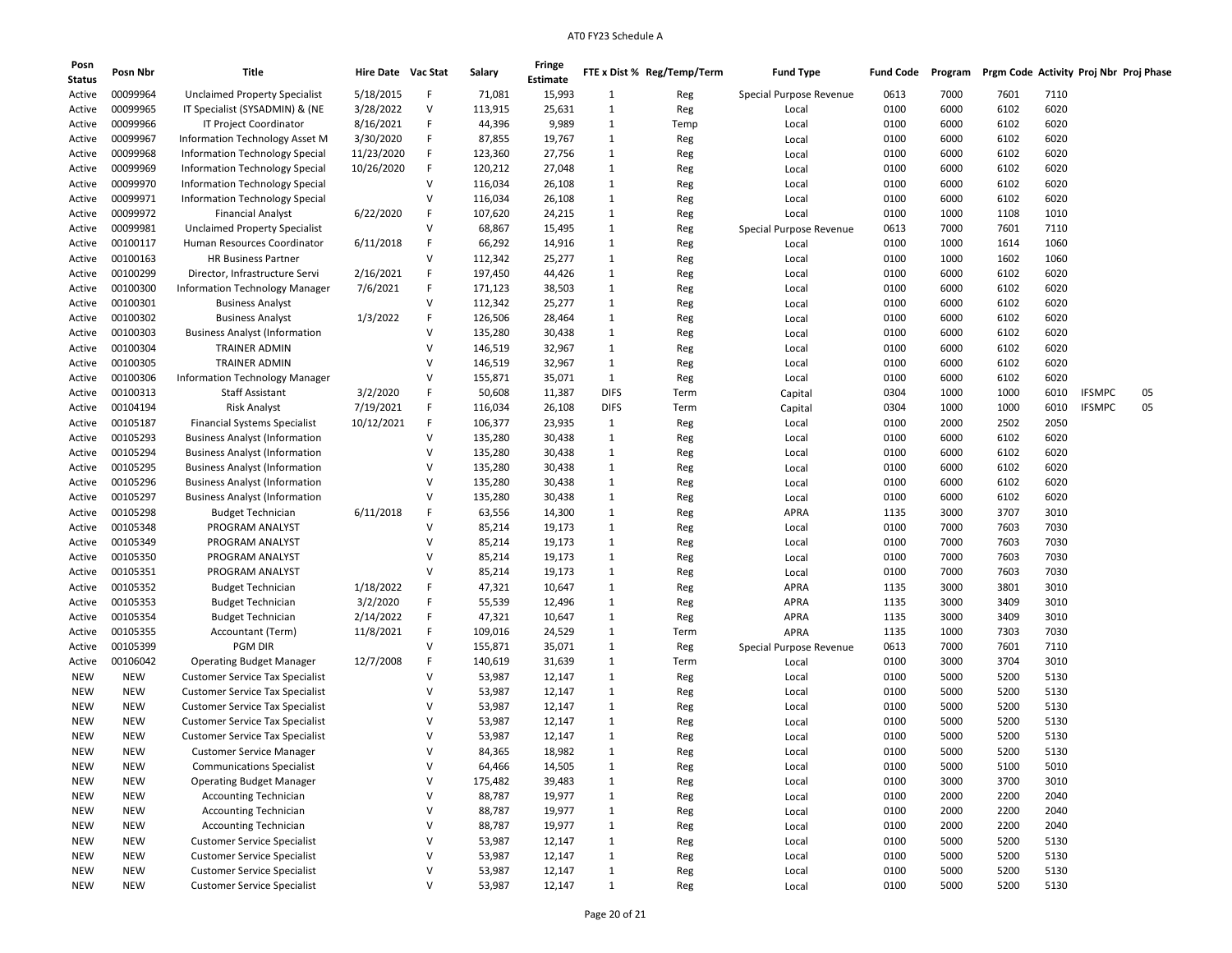| Posn<br>Status | Posn Nbr   | Title                                                      | Hire Date Vac Stat |        | Salary  | <b>Fringe</b><br>Estimate |              | FTE x Dist % Reg/Temp/Term | <b>Fund Type</b>        | <b>Fund Code</b> | Program | Prgm Code Activity Proj Nbr Proj Phase |      |               |    |
|----------------|------------|------------------------------------------------------------|--------------------|--------|---------|---------------------------|--------------|----------------------------|-------------------------|------------------|---------|----------------------------------------|------|---------------|----|
| Active         | 00099964   | <b>Unclaimed Property Specialist</b>                       | 5/18/2015          | F      | 71,081  | 15,993                    | 1            | Reg                        | Special Purpose Revenue | 0613             | 7000    | 7601                                   | 7110 |               |    |
| Active         | 00099965   | IT Specialist (SYSADMIN) & (NE                             | 3/28/2022          | V      | 113,915 | 25,631                    | 1            |                            |                         | 0100             | 6000    | 6102                                   | 6020 |               |    |
| Active         | 00099966   | IT Project Coordinator                                     | 8/16/2021          | F      | 44,396  | 9,989                     | 1            | Reg<br>Temp                | Local<br>Local          | 0100             | 6000    | 6102                                   | 6020 |               |    |
| Active         | 00099967   | Information Technology Asset M                             | 3/30/2020          | F      | 87,855  | 19,767                    | 1            | Reg                        | Local                   | 0100             | 6000    | 6102                                   | 6020 |               |    |
| Active         | 00099968   | <b>Information Technology Special</b>                      | 11/23/2020         | F      | 123,360 | 27,756                    | 1            |                            |                         | 0100             | 6000    | 6102                                   | 6020 |               |    |
|                | 00099969   |                                                            | 10/26/2020         | F      | 120,212 | 27,048                    | 1            | Reg                        | Local<br>Local          | 0100             | 6000    | 6102                                   | 6020 |               |    |
| Active         | 00099970   | Information Technology Special                             |                    | v      | 116,034 | 26,108                    | 1            | Reg                        |                         | 0100             | 6000    | 6102                                   | 6020 |               |    |
| Active         | 00099971   | Information Technology Special                             |                    | v      |         |                           |              | Reg                        | Local                   |                  |         |                                        | 6020 |               |    |
| Active         |            | Information Technology Special<br><b>Financial Analyst</b> | 6/22/2020          | F      | 116,034 | 26,108                    | 1            | Reg                        | Local                   | 0100             | 6000    | 6102                                   |      |               |    |
| Active         | 00099972   |                                                            |                    | $\vee$ | 107,620 | 24,215                    | 1            | Reg                        | Local                   | 0100             | 1000    | 1108                                   | 1010 |               |    |
| Active         | 00099981   | <b>Unclaimed Property Specialist</b>                       |                    |        | 68,867  | 15,495                    | 1            | Reg                        | Special Purpose Revenue | 0613             | 7000    | 7601                                   | 7110 |               |    |
| Active         | 00100117   | Human Resources Coordinator                                | 6/11/2018          | F<br>v | 66,292  | 14,916                    | 1            | Reg                        | Local                   | 0100             | 1000    | 1614                                   | 1060 |               |    |
| Active         | 00100163   | <b>HR Business Partner</b>                                 |                    |        | 112,342 | 25,277                    | 1            | Reg                        | Local                   | 0100             | 1000    | 1602                                   | 1060 |               |    |
| Active         | 00100299   | Director, Infrastructure Servi                             | 2/16/2021          |        | 197,450 | 44,426                    | 1            | Reg                        | Local                   | 0100             | 6000    | 6102                                   | 6020 |               |    |
| Active         | 00100300   | Information Technology Manager                             | 7/6/2021           | F      | 171,123 | 38,503                    | 1            | Reg                        | Local                   | 0100             | 6000    | 6102                                   | 6020 |               |    |
| Active         | 00100301   | <b>Business Analyst</b>                                    |                    | $\vee$ | 112,342 | 25,277                    | 1            | Reg                        | Local                   | 0100             | 6000    | 6102                                   | 6020 |               |    |
| Active         | 00100302   | <b>Business Analyst</b>                                    | 1/3/2022           | F      | 126,506 | 28,464                    | $\mathbf{1}$ | Reg                        | Local                   | 0100             | 6000    | 6102                                   | 6020 |               |    |
| Active         | 00100303   | <b>Business Analyst (Information</b>                       |                    | $\vee$ | 135,280 | 30,438                    | 1            | Reg                        | Local                   | 0100             | 6000    | 6102                                   | 6020 |               |    |
| Active         | 00100304   | <b>TRAINER ADMIN</b>                                       |                    | $\vee$ | 146,519 | 32,967                    | 1            | Reg                        | Local                   | 0100             | 6000    | 6102                                   | 6020 |               |    |
| Active         | 00100305   | TRAINER ADMIN                                              |                    | $\vee$ | 146,519 | 32,967                    | 1            | Reg                        | Local                   | 0100             | 6000    | 6102                                   | 6020 |               |    |
| Active         | 00100306   | Information Technology Manager                             |                    | v      | 155,871 | 35,071                    | 1            | Reg                        | Local                   | 0100             | 6000    | 6102                                   | 6020 |               |    |
| Active         | 00100313   | <b>Staff Assistant</b>                                     | 3/2/2020           | F      | 50,608  | 11,387                    | <b>DIFS</b>  | Term                       | Capital                 | 0304             | 1000    | 1000                                   | 6010 | <b>IFSMPC</b> | 05 |
| Active         | 00104194   | <b>Risk Analyst</b>                                        | 7/19/2021          | F      | 116,034 | 26,108                    | <b>DIFS</b>  | Term                       | Capital                 | 0304             | 1000    | 1000                                   | 6010 | <b>IFSMPC</b> | 05 |
| Active         | 00105187   | <b>Financial Systems Specialist</b>                        | 10/12/2021         | F      | 106,377 | 23,935                    | 1            | Reg                        | Local                   | 0100             | 2000    | 2502                                   | 2050 |               |    |
| Active         | 00105293   | <b>Business Analyst (Information</b>                       |                    | V      | 135,280 | 30,438                    | 1            | Reg                        | Local                   | 0100             | 6000    | 6102                                   | 6020 |               |    |
| Active         | 00105294   | <b>Business Analyst (Information</b>                       |                    | v      | 135,280 | 30,438                    | 1            | Reg                        | Local                   | 0100             | 6000    | 6102                                   | 6020 |               |    |
| Active         | 00105295   | <b>Business Analyst (Information</b>                       |                    | v      | 135,280 | 30,438                    | 1            | Reg                        | Local                   | 0100             | 6000    | 6102                                   | 6020 |               |    |
| Active         | 00105296   | <b>Business Analyst (Information</b>                       |                    | v      | 135,280 | 30,438                    | 1            | Reg                        | Local                   | 0100             | 6000    | 6102                                   | 6020 |               |    |
| Active         | 00105297   | <b>Business Analyst (Information</b>                       |                    | $\vee$ | 135,280 | 30,438                    | 1            | Reg                        | Local                   | 0100             | 6000    | 6102                                   | 6020 |               |    |
| Active         | 00105298   | <b>Budget Technician</b>                                   | 6/11/2018          | F      | 63,556  | 14,300                    | 1            | Reg                        | APRA                    | 1135             | 3000    | 3707                                   | 3010 |               |    |
| Active         | 00105348   | PROGRAM ANALYST                                            |                    | $\vee$ | 85,214  | 19,173                    | 1            | Reg                        | Local                   | 0100             | 7000    | 7603                                   | 7030 |               |    |
| Active         | 00105349   | PROGRAM ANALYST                                            |                    | v      | 85,214  | 19,173                    | 1            | Reg                        | Local                   | 0100             | 7000    | 7603                                   | 7030 |               |    |
| Active         | 00105350   | PROGRAM ANALYST                                            |                    | v      | 85,214  | 19,173                    | 1            | Reg                        | Local                   | 0100             | 7000    | 7603                                   | 7030 |               |    |
| Active         | 00105351   | PROGRAM ANALYST                                            |                    | v      | 85,214  | 19,173                    | 1            | Reg                        | Local                   | 0100             | 7000    | 7603                                   | 7030 |               |    |
| Active         | 00105352   | <b>Budget Technician</b>                                   | 1/18/2022          | F      | 47,321  | 10,647                    | 1            | Reg                        | <b>APRA</b>             | 1135             | 3000    | 3801                                   | 3010 |               |    |
| Active         | 00105353   | <b>Budget Technician</b>                                   | 3/2/2020           | F      | 55,539  | 12,496                    | 1            | Reg                        | <b>APRA</b>             | 1135             | 3000    | 3409                                   | 3010 |               |    |
| Active         | 00105354   | <b>Budget Technician</b>                                   | 2/14/2022          | F      | 47,321  | 10,647                    | 1            | Reg                        | <b>APRA</b>             | 1135             | 3000    | 3409                                   | 3010 |               |    |
| Active         | 00105355   | Accountant (Term)                                          | 11/8/2021          | F      | 109,016 | 24,529                    | 1            | Term                       | <b>APRA</b>             | 1135             | 1000    | 7303                                   | 7030 |               |    |
| Active         | 00105399   | <b>PGM DIR</b>                                             |                    | $\vee$ | 155,871 | 35,071                    | 1            | Reg                        | Special Purpose Revenue | 0613             | 7000    | 7601                                   | 7110 |               |    |
| Active         | 00106042   | <b>Operating Budget Manager</b>                            | 12/7/2008          | F      | 140,619 | 31,639                    | 1            | Term                       | Local                   | 0100             | 3000    | 3704                                   | 3010 |               |    |
| <b>NEW</b>     | <b>NEW</b> | <b>Customer Service Tax Specialist</b>                     |                    | $\vee$ | 53,987  | 12,147                    | 1            | Reg                        | Local                   | 0100             | 5000    | 5200                                   | 5130 |               |    |
| NEW            | <b>NEW</b> | <b>Customer Service Tax Specialist</b>                     |                    | v      | 53,987  | 12,147                    | 1            | Reg                        | Local                   | 0100             | 5000    | 5200                                   | 5130 |               |    |
| NEW            | <b>NEW</b> | <b>Customer Service Tax Specialist</b>                     |                    | v      | 53,987  | 12,147                    | 1            | Reg                        | Local                   | 0100             | 5000    | 5200                                   | 5130 |               |    |
| NEW            | <b>NEW</b> | <b>Customer Service Tax Specialist</b>                     |                    | v      | 53,987  | 12,147                    | 1            | Reg                        | Local                   | 0100             | 5000    | 5200                                   | 5130 |               |    |
| <b>NEW</b>     | <b>NEW</b> | <b>Customer Service Tax Specialist</b>                     |                    | v      | 53,987  | 12,147                    | 1            | Reg                        | Local                   | 0100             | 5000    | 5200                                   | 5130 |               |    |
| <b>NEW</b>     | <b>NEW</b> | <b>Customer Service Manager</b>                            |                    | $\vee$ | 84,365  | 18,982                    | 1            | Reg                        | Local                   | 0100             | 5000    | 5200                                   | 5130 |               |    |
| <b>NEW</b>     | <b>NEW</b> | <b>Communications Specialist</b>                           |                    | V      | 64,466  | 14,505                    | 1            | Reg                        | Local                   | 0100             | 5000    | 5100                                   | 5010 |               |    |
| <b>NEW</b>     | <b>NEW</b> | <b>Operating Budget Manager</b>                            |                    | V      | 175,482 | 39,483                    | $\mathbf{1}$ | Reg                        | Local                   | 0100             | 3000    | 3700                                   | 3010 |               |    |
| <b>NEW</b>     | <b>NEW</b> | <b>Accounting Technician</b>                               |                    | $\vee$ | 88,787  | 19,977                    | $\mathbf{1}$ | Reg                        | Local                   | 0100             | 2000    | 2200                                   | 2040 |               |    |
| <b>NEW</b>     | <b>NEW</b> | <b>Accounting Technician</b>                               |                    | V      | 88,787  | 19,977                    | $\mathbf{1}$ | Reg                        | Local                   | 0100             | 2000    | 2200                                   | 2040 |               |    |
| <b>NEW</b>     | <b>NEW</b> | <b>Accounting Technician</b>                               |                    | V      | 88,787  | 19,977                    | $\mathbf{1}$ | Reg                        | Local                   | 0100             | 2000    | 2200                                   | 2040 |               |    |
| <b>NEW</b>     | <b>NEW</b> | <b>Customer Service Specialist</b>                         |                    | V      | 53,987  | 12,147                    | $\mathbf{1}$ | Reg                        | Local                   | 0100             | 5000    | 5200                                   | 5130 |               |    |
| <b>NEW</b>     | <b>NEW</b> | <b>Customer Service Specialist</b>                         |                    | V      | 53,987  | 12,147                    | $\mathbf{1}$ | Reg                        | Local                   | 0100             | 5000    | 5200                                   | 5130 |               |    |
| <b>NEW</b>     | <b>NEW</b> | <b>Customer Service Specialist</b>                         |                    | V      | 53,987  | 12,147                    | $\mathbf{1}$ | Reg                        | Local                   | 0100             | 5000    | 5200                                   | 5130 |               |    |
| <b>NEW</b>     | NEW        | <b>Customer Service Specialist</b>                         |                    | V      | 53,987  | 12,147                    | $\mathbf{1}$ | Reg                        | Local                   | 0100             | 5000    | 5200                                   | 5130 |               |    |